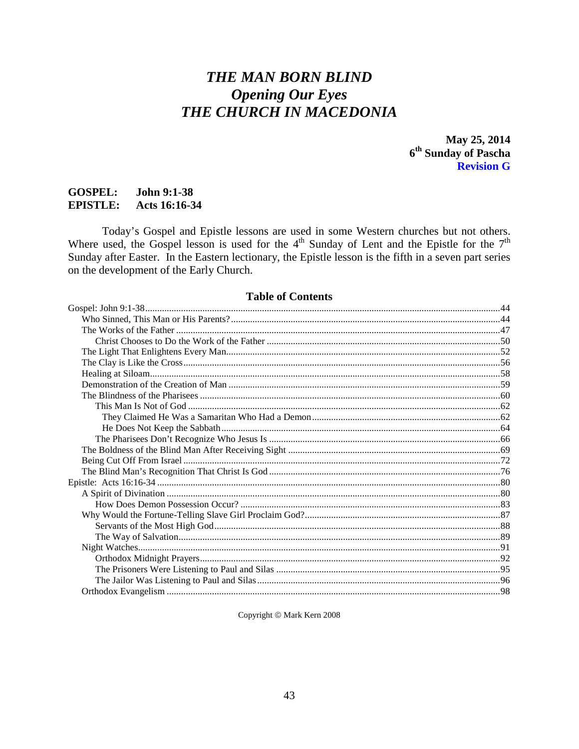# **THE MAN BORN BLIND Opening Our Eyes** THE CHURCH IN MACEDONIA

May 25, 2014 6<sup>th</sup> Sunday of Pascha **Revision G** 

#### **GOSPEL:** John 9:1-38 **EPISTLE:** Acts 16:16-34

Today's Gospel and Epistle lessons are used in some Western churches but not others.<br>Where used, the Gospel lesson is used for the  $4<sup>th</sup>$  Sunday of Lent and the Epistle for the  $7<sup>th</sup>$ Sunday after Easter. In the Eastern lectionary, the Epistle lesson is the fifth in a seven part series on the development of the Early Church.

# **Table of Contents**

Copyright © Mark Kern 2008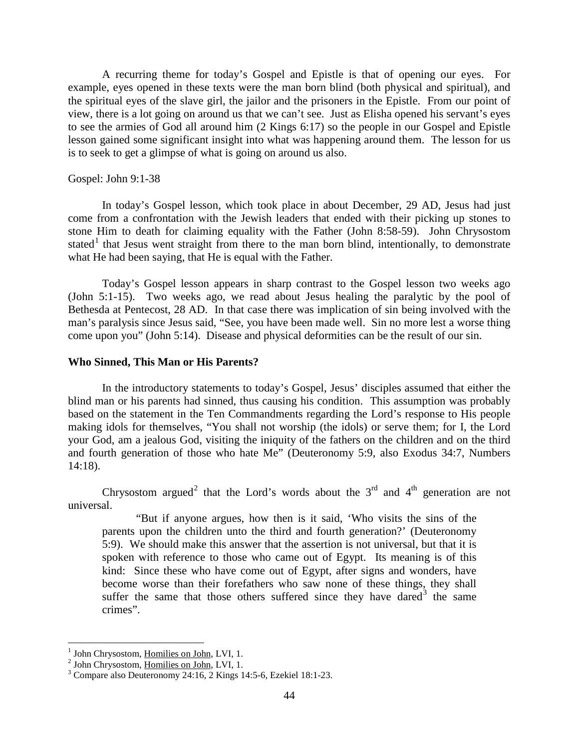A recurring theme for today's Gospel and Epistle is that of opening our eyes. For example, eyes opened in these texts were the man born blind (both physical and spiritual), and the spiritual eyes of the slave girl, the jailor and the prisoners in the Epistle. From our point of view, there is a lot going on around us that we can't see. Just as Elisha opened his servant's eyes to see the armies of God all around him (2 Kings 6:17) so the people in our Gospel and Epistle lesson gained some significant insight into what was happening around them. The lesson for us is to seek to get a glimpse of what is going on around us also.

# <span id="page-1-0"></span>Gospel: John 9:1-38

In today's Gospel lesson, which took place in about December, 29 AD, Jesus had just come from a confrontation with the Jewish leaders that ended with their picking up stones to stone Him to death for claiming equality with the Father (John 8:58-59). John Chrysostom stated<sup>[1](#page-1-2)</sup> that Jesus went straight from there to the man born blind, intentionally, to demonstrate what He had been saying, that He is equal with the Father.

Today's Gospel lesson appears in sharp contrast to the Gospel lesson two weeks ago (John 5:1-15). Two weeks ago, we read about Jesus healing the paralytic by the pool of Bethesda at Pentecost, 28 AD. In that case there was implication of sin being involved with the man's paralysis since Jesus said, "See, you have been made well. Sin no more lest a worse thing come upon you" (John 5:14). Disease and physical deformities can be the result of our sin.

# <span id="page-1-1"></span>**Who Sinned, This Man or His Parents?**

In the introductory statements to today's Gospel, Jesus' disciples assumed that either the blind man or his parents had sinned, thus causing his condition. This assumption was probably based on the statement in the Ten Commandments regarding the Lord's response to His people making idols for themselves, "You shall not worship (the idols) or serve them; for I, the Lord your God, am a jealous God, visiting the iniquity of the fathers on the children and on the third and fourth generation of those who hate Me" (Deuteronomy 5:9, also Exodus 34:7, Numbers 14:18).

Chrysostom argued<sup>[2](#page-1-3)</sup> that the Lord's words about the  $3<sup>rd</sup>$  and  $4<sup>th</sup>$  generation are not universal.

"But if anyone argues, how then is it said, 'Who visits the sins of the parents upon the children unto the third and fourth generation?' (Deuteronomy 5:9). We should make this answer that the assertion is not universal, but that it is spoken with reference to those who came out of Egypt. Its meaning is of this kind: Since these who have come out of Egypt, after signs and wonders, have become worse than their forefathers who saw none of these things, they shall suffer the same that those others suffered since they have dared  $3$  the same crimes".

<span id="page-1-4"></span>

<span id="page-1-3"></span><span id="page-1-2"></span><sup>&</sup>lt;sup>1</sup> John Chrysostom, <u>Homilies on John</u>, LVI, 1.<br><sup>2</sup> John Chrysostom, <u>Homilies on John</u>, LVI, 1.<br><sup>3</sup> Compare also Deuteronomy 24:16, 2 Kings 14:5-6, Ezekiel 18:1-23.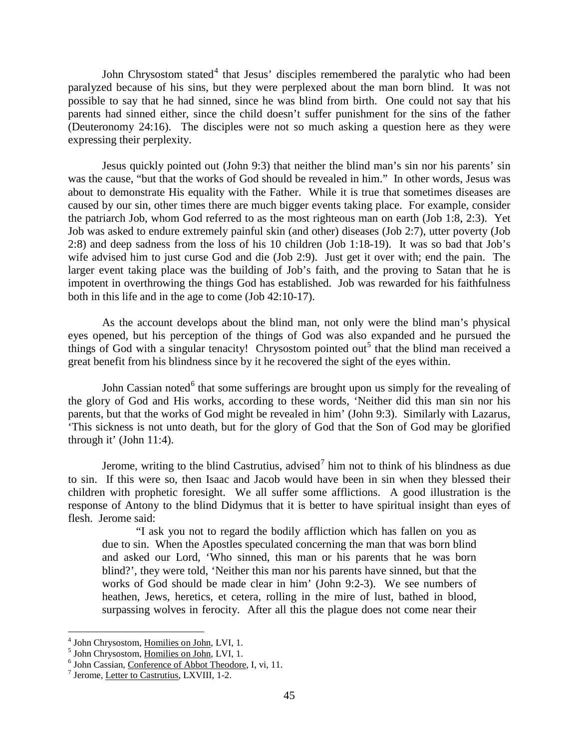John Chrysostom stated<sup>[4](#page-2-0)</sup> that Jesus' disciples remembered the paralytic who had been paralyzed because of his sins, but they were perplexed about the man born blind. It was not possible to say that he had sinned, since he was blind from birth. One could not say that his parents had sinned either, since the child doesn't suffer punishment for the sins of the father (Deuteronomy 24:16). The disciples were not so much asking a question here as they were expressing their perplexity.

Jesus quickly pointed out (John 9:3) that neither the blind man's sin nor his parents' sin was the cause, "but that the works of God should be revealed in him." In other words, Jesus was about to demonstrate His equality with the Father. While it is true that sometimes diseases are caused by our sin, other times there are much bigger events taking place. For example, consider the patriarch Job, whom God referred to as the most righteous man on earth (Job 1:8, 2:3). Yet Job was asked to endure extremely painful skin (and other) diseases (Job 2:7), utter poverty (Job 2:8) and deep sadness from the loss of his 10 children (Job 1:18-19). It was so bad that Job's wife advised him to just curse God and die (Job 2:9). Just get it over with; end the pain. The larger event taking place was the building of Job's faith, and the proving to Satan that he is impotent in overthrowing the things God has established. Job was rewarded for his faithfulness both in this life and in the age to come (Job 42:10-17).

As the account develops about the blind man, not only were the blind man's physical eyes opened, but his perception of the things of God was also expanded and he pursued the things of God with a singular tenacity! Chrysostom pointed out<sup>[5](#page-2-1)</sup> that the blind man received a great benefit from his blindness since by it he recovered the sight of the eyes within.

John Cassian noted $<sup>6</sup>$  $<sup>6</sup>$  $<sup>6</sup>$  that some sufferings are brought upon us simply for the revealing of</sup> the glory of God and His works, according to these words, 'Neither did this man sin nor his parents, but that the works of God might be revealed in him' (John 9:3). Similarly with Lazarus, 'This sickness is not unto death, but for the glory of God that the Son of God may be glorified through it' (John 11:4).

Jerome, writing to the blind Castrutius, advised<sup>[7](#page-2-3)</sup> him not to think of his blindness as due to sin. If this were so, then Isaac and Jacob would have been in sin when they blessed their children with prophetic foresight. We all suffer some afflictions. A good illustration is the response of Antony to the blind Didymus that it is better to have spiritual insight than eyes of flesh. Jerome said:

"I ask you not to regard the bodily affliction which has fallen on you as due to sin. When the Apostles speculated concerning the man that was born blind and asked our Lord, 'Who sinned, this man or his parents that he was born blind?', they were told, 'Neither this man nor his parents have sinned, but that the works of God should be made clear in him' (John 9:2-3). We see numbers of heathen, Jews, heretics, et cetera, rolling in the mire of lust, bathed in blood, surpassing wolves in ferocity. After all this the plague does not come near their

<span id="page-2-2"></span><span id="page-2-1"></span>

<span id="page-2-0"></span><sup>&</sup>lt;sup>4</sup> John Chrysostom, <u>Homilies on John</u>, LVI, 1.<br><sup>5</sup> John Chrysostom, <u>Homilies on John</u>, LVI, 1.<br><sup>6</sup> John Cassian, <u>Conference of Abbot Theodore</u>, I, vi, 11.<br><sup>7</sup> Jerome, Letter to Castrutius, LXVIII, 1-2.

<span id="page-2-3"></span>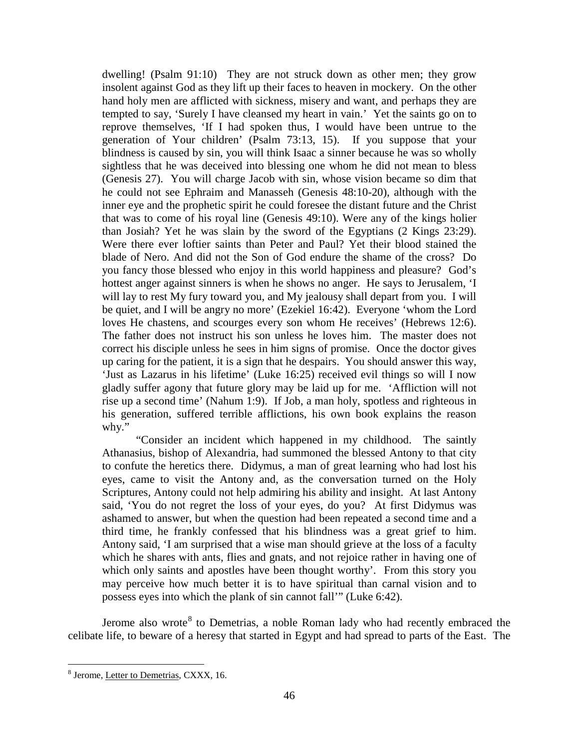dwelling! (Psalm 91:10) They are not struck down as other men; they grow insolent against God as they lift up their faces to heaven in mockery. On the other hand holy men are afflicted with sickness, misery and want, and perhaps they are tempted to say, 'Surely I have cleansed my heart in vain.' Yet the saints go on to reprove themselves, 'If I had spoken thus, I would have been untrue to the generation of Your children' (Psalm 73:13, 15). If you suppose that your blindness is caused by sin, you will think Isaac a sinner because he was so wholly sightless that he was deceived into blessing one whom he did not mean to bless (Genesis 27). You will charge Jacob with sin, whose vision became so dim that he could not see Ephraim and Manasseh (Genesis 48:10-20), although with the inner eye and the prophetic spirit he could foresee the distant future and the Christ that was to come of his royal line (Genesis 49:10). Were any of the kings holier than Josiah? Yet he was slain by the sword of the Egyptians (2 Kings 23:29). Were there ever loftier saints than Peter and Paul? Yet their blood stained the blade of Nero. And did not the Son of God endure the shame of the cross? Do you fancy those blessed who enjoy in this world happiness and pleasure? God's hottest anger against sinners is when he shows no anger. He says to Jerusalem, 'I will lay to rest My fury toward you, and My jealousy shall depart from you. I will be quiet, and I will be angry no more' (Ezekiel 16:42). Everyone 'whom the Lord loves He chastens, and scourges every son whom He receives' (Hebrews 12:6). The father does not instruct his son unless he loves him. The master does not correct his disciple unless he sees in him signs of promise. Once the doctor gives up caring for the patient, it is a sign that he despairs. You should answer this way, 'Just as Lazarus in his lifetime' (Luke 16:25) received evil things so will I now gladly suffer agony that future glory may be laid up for me. 'Affliction will not rise up a second time' (Nahum 1:9). If Job, a man holy, spotless and righteous in his generation, suffered terrible afflictions, his own book explains the reason why."

"Consider an incident which happened in my childhood. The saintly Athanasius, bishop of Alexandria, had summoned the blessed Antony to that city to confute the heretics there. Didymus, a man of great learning who had lost his eyes, came to visit the Antony and, as the conversation turned on the Holy Scriptures, Antony could not help admiring his ability and insight. At last Antony said, 'You do not regret the loss of your eyes, do you? At first Didymus was ashamed to answer, but when the question had been repeated a second time and a third time, he frankly confessed that his blindness was a great grief to him. Antony said, 'I am surprised that a wise man should grieve at the loss of a faculty which he shares with ants, flies and gnats, and not rejoice rather in having one of which only saints and apostles have been thought worthy'. From this story you may perceive how much better it is to have spiritual than carnal vision and to possess eyes into which the plank of sin cannot fall'" (Luke 6:42).

Jerome also wrote<sup>[8](#page-3-0)</sup> to Demetrias, a noble Roman lady who had recently embraced the celibate life, to beware of a heresy that started in Egypt and had spread to parts of the East. The

<span id="page-3-0"></span> <sup>8</sup> Jerome, Letter to Demetrias, CXXX, 16.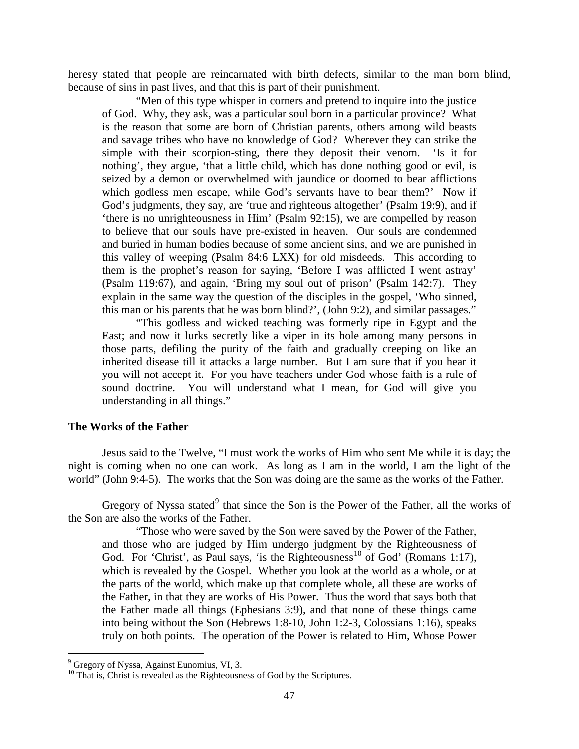heresy stated that people are reincarnated with birth defects, similar to the man born blind, because of sins in past lives, and that this is part of their punishment.

"Men of this type whisper in corners and pretend to inquire into the justice of God. Why, they ask, was a particular soul born in a particular province? What is the reason that some are born of Christian parents, others among wild beasts and savage tribes who have no knowledge of God? Wherever they can strike the simple with their scorpion-sting, there they deposit their venom. 'Is it for nothing', they argue, 'that a little child, which has done nothing good or evil, is seized by a demon or overwhelmed with jaundice or doomed to bear afflictions which godless men escape, while God's servants have to bear them?' Now if God's judgments, they say, are 'true and righteous altogether' (Psalm 19:9), and if 'there is no unrighteousness in Him' (Psalm 92:15), we are compelled by reason to believe that our souls have pre-existed in heaven. Our souls are condemned and buried in human bodies because of some ancient sins, and we are punished in this valley of weeping (Psalm 84:6 LXX) for old misdeeds. This according to them is the prophet's reason for saying, 'Before I was afflicted I went astray' (Psalm 119:67), and again, 'Bring my soul out of prison' (Psalm 142:7). They explain in the same way the question of the disciples in the gospel, 'Who sinned, this man or his parents that he was born blind?', (John 9:2), and similar passages."

"This godless and wicked teaching was formerly ripe in Egypt and the East; and now it lurks secretly like a viper in its hole among many persons in those parts, defiling the purity of the faith and gradually creeping on like an inherited disease till it attacks a large number. But I am sure that if you hear it you will not accept it. For you have teachers under God whose faith is a rule of sound doctrine. You will understand what I mean, for God will give you understanding in all things."

# <span id="page-4-0"></span>**The Works of the Father**

Jesus said to the Twelve, "I must work the works of Him who sent Me while it is day; the night is coming when no one can work. As long as I am in the world, I am the light of the world" (John 9:4-5). The works that the Son was doing are the same as the works of the Father.

Gregory of Nyssa stated $9$  that since the Son is the Power of the Father, all the works of the Son are also the works of the Father.

"Those who were saved by the Son were saved by the Power of the Father, and those who are judged by Him undergo judgment by the Righteousness of God. For 'Christ', as Paul says, 'is the Righteousness<sup>[10](#page-4-2)</sup> of God' (Romans 1:17), which is revealed by the Gospel. Whether you look at the world as a whole, or at the parts of the world, which make up that complete whole, all these are works of the Father, in that they are works of His Power. Thus the word that says both that the Father made all things (Ephesians 3:9), and that none of these things came into being without the Son (Hebrews 1:8-10, John 1:2-3, Colossians 1:16), speaks truly on both points. The operation of the Power is related to Him, Whose Power

<span id="page-4-2"></span>

<span id="page-4-1"></span> $^{9}$  Gregory of Nyssa, Against Eunomius, VI, 3.  $^{10}$  That is, Christ is revealed as the Righteousness of God by the Scriptures.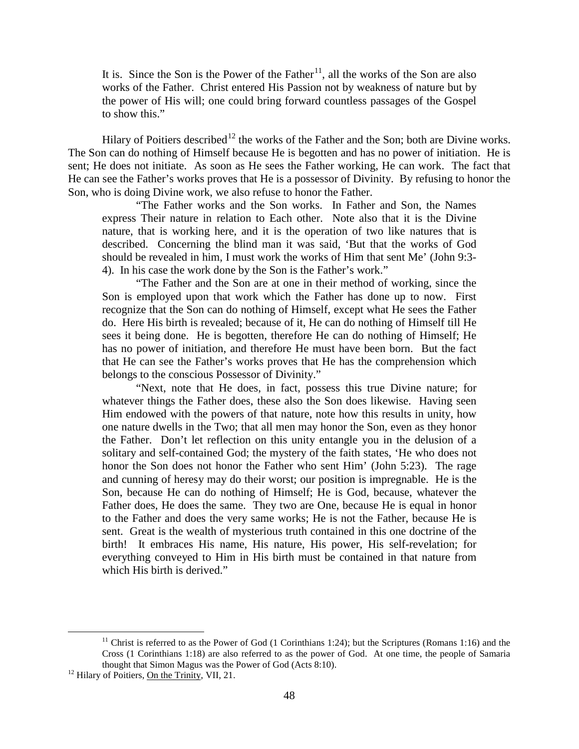It is. Since the Son is the Power of the Father<sup>11</sup>, all the works of the Son are also works of the Father. Christ entered His Passion not by weakness of nature but by the power of His will; one could bring forward countless passages of the Gospel to show this."

Hilary of Poitiers described<sup>[12](#page-5-1)</sup> the works of the Father and the Son; both are Divine works. The Son can do nothing of Himself because He is begotten and has no power of initiation. He is sent; He does not initiate. As soon as He sees the Father working, He can work. The fact that He can see the Father's works proves that He is a possessor of Divinity. By refusing to honor the Son, who is doing Divine work, we also refuse to honor the Father.

"The Father works and the Son works. In Father and Son, the Names express Their nature in relation to Each other. Note also that it is the Divine nature, that is working here, and it is the operation of two like natures that is described. Concerning the blind man it was said, 'But that the works of God should be revealed in him, I must work the works of Him that sent Me' (John 9:3- 4). In his case the work done by the Son is the Father's work."

"The Father and the Son are at one in their method of working, since the Son is employed upon that work which the Father has done up to now. First recognize that the Son can do nothing of Himself, except what He sees the Father do. Here His birth is revealed; because of it, He can do nothing of Himself till He sees it being done. He is begotten, therefore He can do nothing of Himself; He has no power of initiation, and therefore He must have been born. But the fact that He can see the Father's works proves that He has the comprehension which belongs to the conscious Possessor of Divinity."

"Next, note that He does, in fact, possess this true Divine nature; for whatever things the Father does, these also the Son does likewise. Having seen Him endowed with the powers of that nature, note how this results in unity, how one nature dwells in the Two; that all men may honor the Son, even as they honor the Father. Don't let reflection on this unity entangle you in the delusion of a solitary and self-contained God; the mystery of the faith states, 'He who does not honor the Son does not honor the Father who sent Him' (John 5:23). The rage and cunning of heresy may do their worst; our position is impregnable. He is the Son, because He can do nothing of Himself; He is God, because, whatever the Father does, He does the same. They two are One, because He is equal in honor to the Father and does the very same works; He is not the Father, because He is sent. Great is the wealth of mysterious truth contained in this one doctrine of the birth! It embraces His name, His nature, His power, His self-revelation; for everything conveyed to Him in His birth must be contained in that nature from which His birth is derived."

<span id="page-5-0"></span><sup>&</sup>lt;sup>11</sup> Christ is referred to as the Power of God (1 Corinthians 1:24); but the Scriptures (Romans 1:16) and the Cross (1 Corinthians 1:18) are also referred to as the power of God. At one time, the people of Samaria thought that Simon Magus was the Power of God (Acts 8:10).<br><sup>12</sup> Hilary of Poitiers, <u>On the Trinity</u>, VII, 21.

<span id="page-5-1"></span>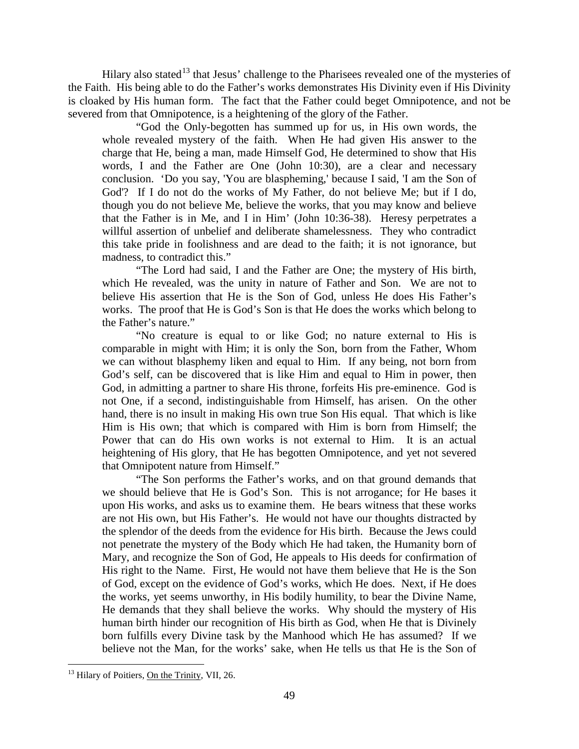Hilary also stated<sup>[13](#page-6-0)</sup> that Jesus' challenge to the Pharisees revealed one of the mysteries of the Faith. His being able to do the Father's works demonstrates His Divinity even if His Divinity is cloaked by His human form. The fact that the Father could beget Omnipotence, and not be severed from that Omnipotence, is a heightening of the glory of the Father.

"God the Only-begotten has summed up for us, in His own words, the whole revealed mystery of the faith. When He had given His answer to the charge that He, being a man, made Himself God, He determined to show that His words, I and the Father are One (John 10:30), are a clear and necessary conclusion. 'Do you say, 'You are blaspheming,' because I said, 'I am the Son of God'? If I do not do the works of My Father, do not believe Me; but if I do, though you do not believe Me, believe the works, that you may know and believe that the Father is in Me, and I in Him' (John 10:36-38). Heresy perpetrates a willful assertion of unbelief and deliberate shamelessness. They who contradict this take pride in foolishness and are dead to the faith; it is not ignorance, but madness, to contradict this."

"The Lord had said, I and the Father are One; the mystery of His birth, which He revealed, was the unity in nature of Father and Son. We are not to believe His assertion that He is the Son of God, unless He does His Father's works. The proof that He is God's Son is that He does the works which belong to the Father's nature."

"No creature is equal to or like God; no nature external to His is comparable in might with Him; it is only the Son, born from the Father, Whom we can without blasphemy liken and equal to Him. If any being, not born from God's self, can be discovered that is like Him and equal to Him in power, then God, in admitting a partner to share His throne, forfeits His pre-eminence. God is not One, if a second, indistinguishable from Himself, has arisen. On the other hand, there is no insult in making His own true Son His equal. That which is like Him is His own; that which is compared with Him is born from Himself; the Power that can do His own works is not external to Him. It is an actual heightening of His glory, that He has begotten Omnipotence, and yet not severed that Omnipotent nature from Himself."

"The Son performs the Father's works, and on that ground demands that we should believe that He is God's Son. This is not arrogance; for He bases it upon His works, and asks us to examine them. He bears witness that these works are not His own, but His Father's. He would not have our thoughts distracted by the splendor of the deeds from the evidence for His birth. Because the Jews could not penetrate the mystery of the Body which He had taken, the Humanity born of Mary, and recognize the Son of God, He appeals to His deeds for confirmation of His right to the Name. First, He would not have them believe that He is the Son of God, except on the evidence of God's works, which He does. Next, if He does the works, yet seems unworthy, in His bodily humility, to bear the Divine Name, He demands that they shall believe the works. Why should the mystery of His human birth hinder our recognition of His birth as God, when He that is Divinely born fulfills every Divine task by the Manhood which He has assumed? If we believe not the Man, for the works' sake, when He tells us that He is the Son of

<span id="page-6-0"></span> $13$  Hilary of Poitiers, On the Trinity, VII, 26.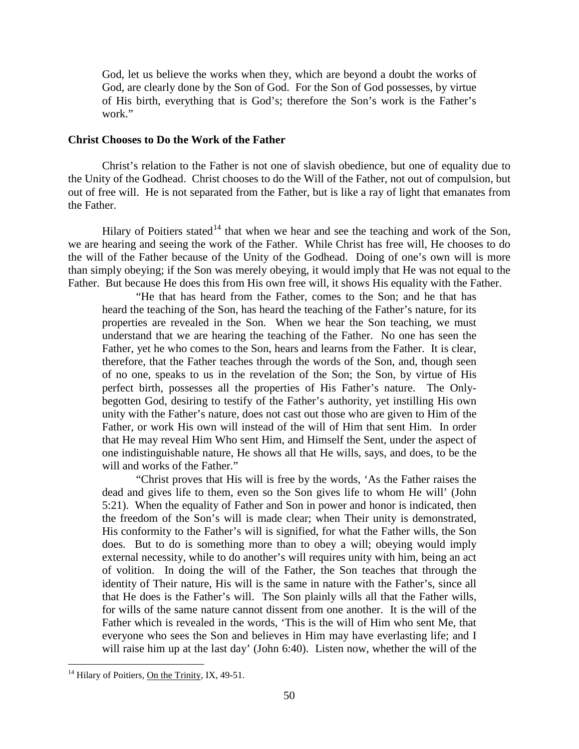God, let us believe the works when they, which are beyond a doubt the works of God, are clearly done by the Son of God. For the Son of God possesses, by virtue of His birth, everything that is God's; therefore the Son's work is the Father's work."

## <span id="page-7-0"></span>**Christ Chooses to Do the Work of the Father**

Christ's relation to the Father is not one of slavish obedience, but one of equality due to the Unity of the Godhead. Christ chooses to do the Will of the Father, not out of compulsion, but out of free will. He is not separated from the Father, but is like a ray of light that emanates from the Father.

Hilary of Poitiers stated<sup>[14](#page-7-1)</sup> that when we hear and see the teaching and work of the Son, we are hearing and seeing the work of the Father. While Christ has free will, He chooses to do the will of the Father because of the Unity of the Godhead. Doing of one's own will is more than simply obeying; if the Son was merely obeying, it would imply that He was not equal to the Father. But because He does this from His own free will, it shows His equality with the Father.

"He that has heard from the Father, comes to the Son; and he that has heard the teaching of the Son, has heard the teaching of the Father's nature, for its properties are revealed in the Son. When we hear the Son teaching, we must understand that we are hearing the teaching of the Father. No one has seen the Father, yet he who comes to the Son, hears and learns from the Father. It is clear, therefore, that the Father teaches through the words of the Son, and, though seen of no one, speaks to us in the revelation of the Son; the Son, by virtue of His perfect birth, possesses all the properties of His Father's nature. The Onlybegotten God, desiring to testify of the Father's authority, yet instilling His own unity with the Father's nature, does not cast out those who are given to Him of the Father, or work His own will instead of the will of Him that sent Him. In order that He may reveal Him Who sent Him, and Himself the Sent, under the aspect of one indistinguishable nature, He shows all that He wills, says, and does, to be the will and works of the Father."

"Christ proves that His will is free by the words, 'As the Father raises the dead and gives life to them, even so the Son gives life to whom He will' (John 5:21). When the equality of Father and Son in power and honor is indicated, then the freedom of the Son's will is made clear; when Their unity is demonstrated, His conformity to the Father's will is signified, for what the Father wills, the Son does. But to do is something more than to obey a will; obeying would imply external necessity, while to do another's will requires unity with him, being an act of volition. In doing the will of the Father, the Son teaches that through the identity of Their nature, His will is the same in nature with the Father's, since all that He does is the Father's will. The Son plainly wills all that the Father wills, for wills of the same nature cannot dissent from one another. It is the will of the Father which is revealed in the words, 'This is the will of Him who sent Me, that everyone who sees the Son and believes in Him may have everlasting life; and I will raise him up at the last day' (John 6:40). Listen now, whether the will of the

<span id="page-7-1"></span><sup>&</sup>lt;sup>14</sup> Hilary of Poitiers, **On the Trinity**, IX, 49-51.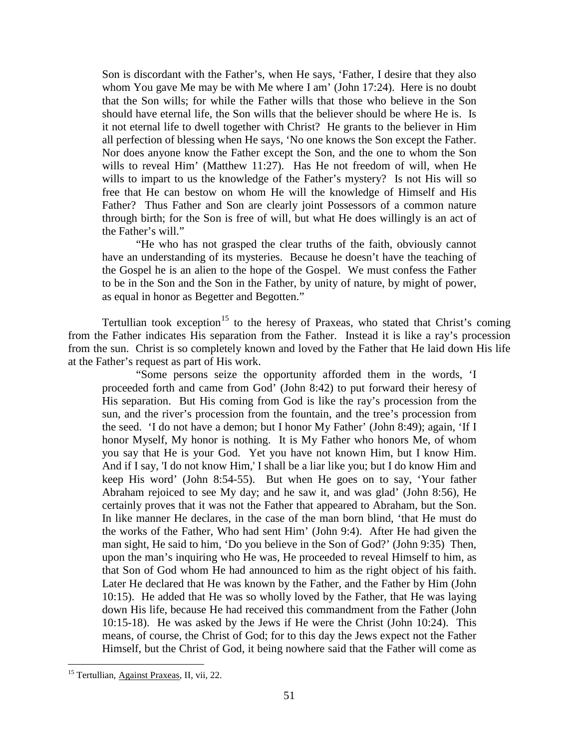Son is discordant with the Father's, when He says, 'Father, I desire that they also whom You gave Me may be with Me where I am' (John 17:24). Here is no doubt that the Son wills; for while the Father wills that those who believe in the Son should have eternal life, the Son wills that the believer should be where He is. Is it not eternal life to dwell together with Christ? He grants to the believer in Him all perfection of blessing when He says, 'No one knows the Son except the Father. Nor does anyone know the Father except the Son, and the one to whom the Son wills to reveal Him' (Matthew 11:27). Has He not freedom of will, when He wills to impart to us the knowledge of the Father's mystery? Is not His will so free that He can bestow on whom He will the knowledge of Himself and His Father? Thus Father and Son are clearly joint Possessors of a common nature through birth; for the Son is free of will, but what He does willingly is an act of the Father's will."

"He who has not grasped the clear truths of the faith, obviously cannot have an understanding of its mysteries. Because he doesn't have the teaching of the Gospel he is an alien to the hope of the Gospel. We must confess the Father to be in the Son and the Son in the Father, by unity of nature, by might of power, as equal in honor as Begetter and Begotten."

Tertullian took exception<sup>[15](#page-8-0)</sup> to the heresy of Praxeas, who stated that Christ's coming from the Father indicates His separation from the Father. Instead it is like a ray's procession from the sun. Christ is so completely known and loved by the Father that He laid down His life at the Father's request as part of His work.

"Some persons seize the opportunity afforded them in the words, 'I proceeded forth and came from God' (John 8:42) to put forward their heresy of His separation. But His coming from God is like the ray's procession from the sun, and the river's procession from the fountain, and the tree's procession from the seed. 'I do not have a demon; but I honor My Father' (John 8:49); again, 'If I honor Myself, My honor is nothing. It is My Father who honors Me, of whom you say that He is your God. Yet you have not known Him, but I know Him. And if I say, 'I do not know Him,' I shall be a liar like you; but I do know Him and keep His word' (John 8:54-55). But when He goes on to say, 'Your father Abraham rejoiced to see My day; and he saw it, and was glad' (John 8:56), He certainly proves that it was not the Father that appeared to Abraham, but the Son. In like manner He declares, in the case of the man born blind, 'that He must do the works of the Father, Who had sent Him' (John 9:4). After He had given the man sight, He said to him, 'Do you believe in the Son of God?' (John 9:35) Then, upon the man's inquiring who He was, He proceeded to reveal Himself to him, as that Son of God whom He had announced to him as the right object of his faith. Later He declared that He was known by the Father, and the Father by Him (John 10:15). He added that He was so wholly loved by the Father, that He was laying down His life, because He had received this commandment from the Father (John 10:15-18). He was asked by the Jews if He were the Christ (John 10:24). This means, of course, the Christ of God; for to this day the Jews expect not the Father Himself, but the Christ of God, it being nowhere said that the Father will come as

<span id="page-8-0"></span><sup>&</sup>lt;sup>15</sup> Tertullian, Against Praxeas, II, vii, 22.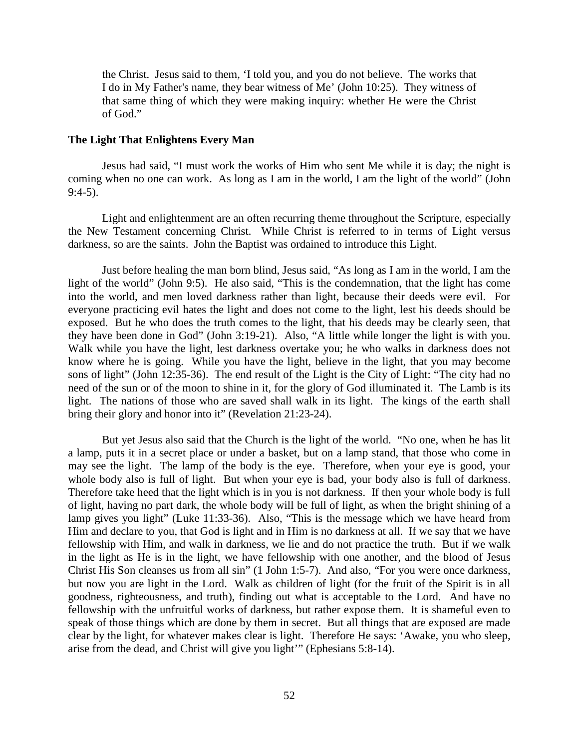the Christ. Jesus said to them, 'I told you, and you do not believe. The works that I do in My Father's name, they bear witness of Me' (John 10:25). They witness of that same thing of which they were making inquiry: whether He were the Christ of God."

# <span id="page-9-0"></span>**The Light That Enlightens Every Man**

Jesus had said, "I must work the works of Him who sent Me while it is day; the night is coming when no one can work. As long as I am in the world, I am the light of the world" (John 9:4-5).

Light and enlightenment are an often recurring theme throughout the Scripture, especially the New Testament concerning Christ. While Christ is referred to in terms of Light versus darkness, so are the saints. John the Baptist was ordained to introduce this Light.

Just before healing the man born blind, Jesus said, "As long as I am in the world, I am the light of the world" (John 9:5). He also said, "This is the condemnation, that the light has come into the world, and men loved darkness rather than light, because their deeds were evil. For everyone practicing evil hates the light and does not come to the light, lest his deeds should be exposed. But he who does the truth comes to the light, that his deeds may be clearly seen, that they have been done in God" (John 3:19-21). Also, "A little while longer the light is with you. Walk while you have the light, lest darkness overtake you; he who walks in darkness does not know where he is going. While you have the light, believe in the light, that you may become sons of light" (John 12:35-36). The end result of the Light is the City of Light: "The city had no need of the sun or of the moon to shine in it, for the glory of God illuminated it. The Lamb is its light. The nations of those who are saved shall walk in its light. The kings of the earth shall bring their glory and honor into it" (Revelation 21:23-24).

But yet Jesus also said that the Church is the light of the world. "No one, when he has lit a lamp, puts it in a secret place or under a basket, but on a lamp stand, that those who come in may see the light. The lamp of the body is the eye. Therefore, when your eye is good, your whole body also is full of light. But when your eye is bad, your body also is full of darkness. Therefore take heed that the light which is in you is not darkness. If then your whole body is full of light, having no part dark, the whole body will be full of light, as when the bright shining of a lamp gives you light" (Luke 11:33-36). Also, "This is the message which we have heard from Him and declare to you, that God is light and in Him is no darkness at all. If we say that we have fellowship with Him, and walk in darkness, we lie and do not practice the truth. But if we walk in the light as He is in the light, we have fellowship with one another, and the blood of Jesus Christ His Son cleanses us from all sin" (1 John 1:5-7). And also, "For you were once darkness, but now you are light in the Lord. Walk as children of light (for the fruit of the Spirit is in all goodness, righteousness, and truth), finding out what is acceptable to the Lord. And have no fellowship with the unfruitful works of darkness, but rather expose them. It is shameful even to speak of those things which are done by them in secret. But all things that are exposed are made clear by the light, for whatever makes clear is light. Therefore He says: 'Awake, you who sleep, arise from the dead, and Christ will give you light'" (Ephesians 5:8-14).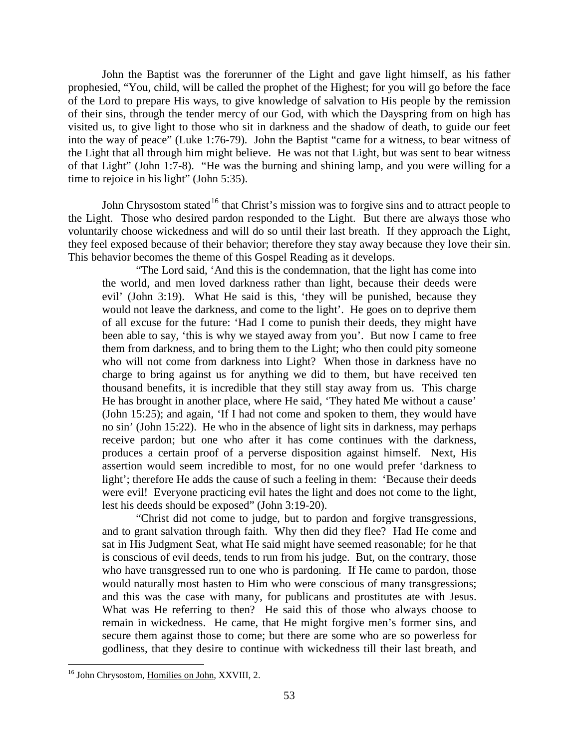John the Baptist was the forerunner of the Light and gave light himself, as his father prophesied, "You, child, will be called the prophet of the Highest; for you will go before the face of the Lord to prepare His ways, to give knowledge of salvation to His people by the remission of their sins, through the tender mercy of our God, with which the Dayspring from on high has visited us, to give light to those who sit in darkness and the shadow of death, to guide our feet into the way of peace" (Luke 1:76-79). John the Baptist "came for a witness, to bear witness of the Light that all through him might believe. He was not that Light, but was sent to bear witness of that Light" (John 1:7-8). "He was the burning and shining lamp, and you were willing for a time to rejoice in his light" (John 5:35).

John Chrysostom stated<sup>[16](#page-10-0)</sup> that Christ's mission was to forgive sins and to attract people to the Light. Those who desired pardon responded to the Light. But there are always those who voluntarily choose wickedness and will do so until their last breath. If they approach the Light, they feel exposed because of their behavior; therefore they stay away because they love their sin. This behavior becomes the theme of this Gospel Reading as it develops.

"The Lord said, 'And this is the condemnation, that the light has come into the world, and men loved darkness rather than light, because their deeds were evil' (John 3:19). What He said is this, 'they will be punished, because they would not leave the darkness, and come to the light'. He goes on to deprive them of all excuse for the future: 'Had I come to punish their deeds, they might have been able to say, 'this is why we stayed away from you'. But now I came to free them from darkness, and to bring them to the Light; who then could pity someone who will not come from darkness into Light? When those in darkness have no charge to bring against us for anything we did to them, but have received ten thousand benefits, it is incredible that they still stay away from us. This charge He has brought in another place, where He said, 'They hated Me without a cause' (John 15:25); and again, 'If I had not come and spoken to them, they would have no sin' (John 15:22). He who in the absence of light sits in darkness, may perhaps receive pardon; but one who after it has come continues with the darkness, produces a certain proof of a perverse disposition against himself. Next, His assertion would seem incredible to most, for no one would prefer 'darkness to light'; therefore He adds the cause of such a feeling in them: 'Because their deeds were evil! Everyone practicing evil hates the light and does not come to the light, lest his deeds should be exposed" (John 3:19-20).

"Christ did not come to judge, but to pardon and forgive transgressions, and to grant salvation through faith. Why then did they flee? Had He come and sat in His Judgment Seat, what He said might have seemed reasonable; for he that is conscious of evil deeds, tends to run from his judge. But, on the contrary, those who have transgressed run to one who is pardoning. If He came to pardon, those would naturally most hasten to Him who were conscious of many transgressions; and this was the case with many, for publicans and prostitutes ate with Jesus. What was He referring to then? He said this of those who always choose to remain in wickedness. He came, that He might forgive men's former sins, and secure them against those to come; but there are some who are so powerless for godliness, that they desire to continue with wickedness till their last breath, and

<span id="page-10-0"></span><sup>&</sup>lt;sup>16</sup> John Chrysostom, Homilies on John, XXVIII, 2.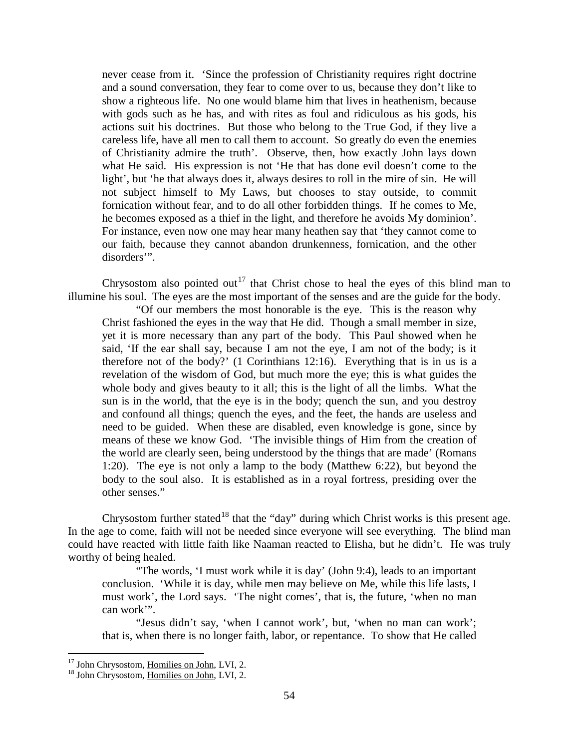never cease from it. 'Since the profession of Christianity requires right doctrine and a sound conversation, they fear to come over to us, because they don't like to show a righteous life. No one would blame him that lives in heathenism, because with gods such as he has, and with rites as foul and ridiculous as his gods, his actions suit his doctrines. But those who belong to the True God, if they live a careless life, have all men to call them to account. So greatly do even the enemies of Christianity admire the truth'. Observe, then, how exactly John lays down what He said. His expression is not 'He that has done evil doesn't come to the light', but 'he that always does it, always desires to roll in the mire of sin. He will not subject himself to My Laws, but chooses to stay outside, to commit fornication without fear, and to do all other forbidden things. If he comes to Me, he becomes exposed as a thief in the light, and therefore he avoids My dominion'. For instance, even now one may hear many heathen say that 'they cannot come to our faith, because they cannot abandon drunkenness, fornication, and the other disorders'".

Chrysostom also pointed out<sup>[17](#page-11-0)</sup> that Christ chose to heal the eyes of this blind man to illumine his soul. The eyes are the most important of the senses and are the guide for the body.

"Of our members the most honorable is the eye. This is the reason why Christ fashioned the eyes in the way that He did. Though a small member in size, yet it is more necessary than any part of the body. This Paul showed when he said, 'If the ear shall say, because I am not the eye, I am not of the body; is it therefore not of the body?' (1 Corinthians 12:16). Everything that is in us is a revelation of the wisdom of God, but much more the eye; this is what guides the whole body and gives beauty to it all; this is the light of all the limbs. What the sun is in the world, that the eye is in the body; quench the sun, and you destroy and confound all things; quench the eyes, and the feet, the hands are useless and need to be guided. When these are disabled, even knowledge is gone, since by means of these we know God. 'The invisible things of Him from the creation of the world are clearly seen, being understood by the things that are made' (Romans 1:20). The eye is not only a lamp to the body (Matthew 6:22), but beyond the body to the soul also. It is established as in a royal fortress, presiding over the other senses."

Chrysostom further stated<sup>[18](#page-11-1)</sup> that the "day" during which Christ works is this present age. In the age to come, faith will not be needed since everyone will see everything. The blind man could have reacted with little faith like Naaman reacted to Elisha, but he didn't. He was truly worthy of being healed.

"The words, 'I must work while it is day' (John 9:4), leads to an important conclusion. 'While it is day, while men may believe on Me, while this life lasts, I must work', the Lord says. 'The night comes', that is, the future, 'when no man can work'".

"Jesus didn't say, 'when I cannot work', but, 'when no man can work'; that is, when there is no longer faith, labor, or repentance. To show that He called

<span id="page-11-0"></span> $17$  John Chrysostom, Homilies on John, LVI, 2.  $18$  John Chrysostom, Homilies on John, LVI, 2.

<span id="page-11-1"></span>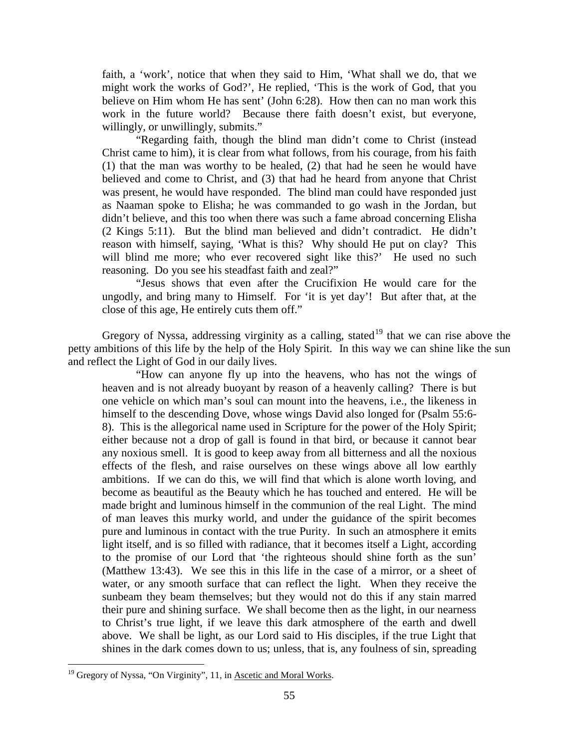faith, a 'work', notice that when they said to Him, 'What shall we do, that we might work the works of God?', He replied, 'This is the work of God, that you believe on Him whom He has sent' (John 6:28). How then can no man work this work in the future world? Because there faith doesn't exist, but everyone, willingly, or unwillingly, submits."

"Regarding faith, though the blind man didn't come to Christ (instead Christ came to him), it is clear from what follows, from his courage, from his faith (1) that the man was worthy to be healed, (2) that had he seen he would have believed and come to Christ, and (3) that had he heard from anyone that Christ was present, he would have responded. The blind man could have responded just as Naaman spoke to Elisha; he was commanded to go wash in the Jordan, but didn't believe, and this too when there was such a fame abroad concerning Elisha (2 Kings 5:11). But the blind man believed and didn't contradict. He didn't reason with himself, saying, 'What is this? Why should He put on clay? This will blind me more; who ever recovered sight like this?' He used no such reasoning. Do you see his steadfast faith and zeal?"

"Jesus shows that even after the Crucifixion He would care for the ungodly, and bring many to Himself. For 'it is yet day'! But after that, at the close of this age, He entirely cuts them off."

Gregory of Nyssa, addressing virginity as a calling, stated<sup>[19](#page-12-0)</sup> that we can rise above the petty ambitions of this life by the help of the Holy Spirit. In this way we can shine like the sun and reflect the Light of God in our daily lives.

"How can anyone fly up into the heavens, who has not the wings of heaven and is not already buoyant by reason of a heavenly calling? There is but one vehicle on which man's soul can mount into the heavens, i.e., the likeness in himself to the descending Dove, whose wings David also longed for (Psalm 55:6- 8). This is the allegorical name used in Scripture for the power of the Holy Spirit; either because not a drop of gall is found in that bird, or because it cannot bear any noxious smell. It is good to keep away from all bitterness and all the noxious effects of the flesh, and raise ourselves on these wings above all low earthly ambitions. If we can do this, we will find that which is alone worth loving, and become as beautiful as the Beauty which he has touched and entered. He will be made bright and luminous himself in the communion of the real Light. The mind of man leaves this murky world, and under the guidance of the spirit becomes pure and luminous in contact with the true Purity. In such an atmosphere it emits light itself, and is so filled with radiance, that it becomes itself a Light, according to the promise of our Lord that 'the righteous should shine forth as the sun' (Matthew 13:43). We see this in this life in the case of a mirror, or a sheet of water, or any smooth surface that can reflect the light. When they receive the sunbeam they beam themselves; but they would not do this if any stain marred their pure and shining surface. We shall become then as the light, in our nearness to Christ's true light, if we leave this dark atmosphere of the earth and dwell above. We shall be light, as our Lord said to His disciples, if the true Light that shines in the dark comes down to us; unless, that is, any foulness of sin, spreading

<span id="page-12-0"></span><sup>&</sup>lt;sup>19</sup> Gregory of Nyssa, "On Virginity", 11, in Ascetic and Moral Works.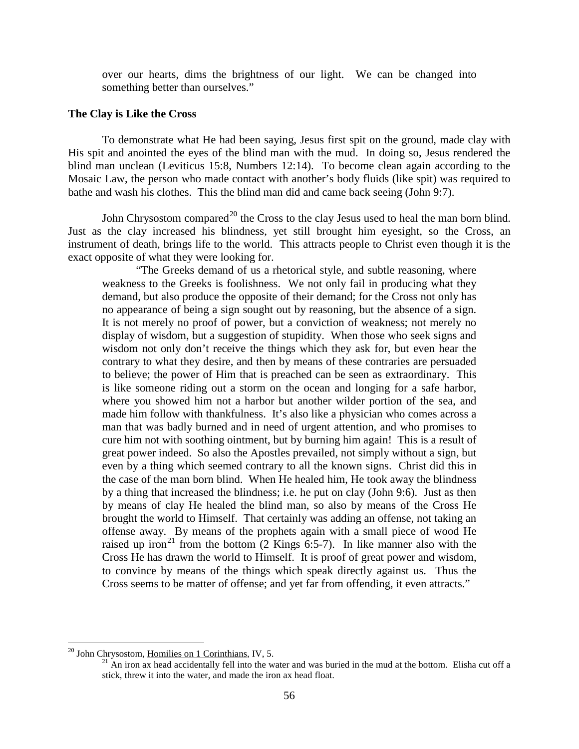over our hearts, dims the brightness of our light. We can be changed into something better than ourselves."

# <span id="page-13-0"></span>**The Clay is Like the Cross**

To demonstrate what He had been saying, Jesus first spit on the ground, made clay with His spit and anointed the eyes of the blind man with the mud. In doing so, Jesus rendered the blind man unclean (Leviticus 15:8, Numbers 12:14). To become clean again according to the Mosaic Law, the person who made contact with another's body fluids (like spit) was required to bathe and wash his clothes. This the blind man did and came back seeing (John 9:7).

John Chrysostom compared<sup>[20](#page-13-1)</sup> the Cross to the clay Jesus used to heal the man born blind. Just as the clay increased his blindness, yet still brought him eyesight, so the Cross, an instrument of death, brings life to the world. This attracts people to Christ even though it is the exact opposite of what they were looking for.

"The Greeks demand of us a rhetorical style, and subtle reasoning, where weakness to the Greeks is foolishness. We not only fail in producing what they demand, but also produce the opposite of their demand; for the Cross not only has no appearance of being a sign sought out by reasoning, but the absence of a sign. It is not merely no proof of power, but a conviction of weakness; not merely no display of wisdom, but a suggestion of stupidity. When those who seek signs and wisdom not only don't receive the things which they ask for, but even hear the contrary to what they desire, and then by means of these contraries are persuaded to believe; the power of Him that is preached can be seen as extraordinary. This is like someone riding out a storm on the ocean and longing for a safe harbor, where you showed him not a harbor but another wilder portion of the sea, and made him follow with thankfulness. It's also like a physician who comes across a man that was badly burned and in need of urgent attention, and who promises to cure him not with soothing ointment, but by burning him again! This is a result of great power indeed. So also the Apostles prevailed, not simply without a sign, but even by a thing which seemed contrary to all the known signs. Christ did this in the case of the man born blind. When He healed him, He took away the blindness by a thing that increased the blindness; i.e. he put on clay (John 9:6). Just as then by means of clay He healed the blind man, so also by means of the Cross He brought the world to Himself. That certainly was adding an offense, not taking an offense away. By means of the prophets again with a small piece of wood He raised up iron<sup>[21](#page-13-2)</sup> from the bottom  $(2 \text{ Kings } 6:5-7)$ . In like manner also with the Cross He has drawn the world to Himself. It is proof of great power and wisdom, to convince by means of the things which speak directly against us. Thus the Cross seems to be matter of offense; and yet far from offending, it even attracts."

<span id="page-13-2"></span><span id="page-13-1"></span><sup>&</sup>lt;sup>20</sup> John Chrysostom, <u>Homilies on 1 Corinthians</u>, IV, 5.<br><sup>21</sup> An iron ax head accidentally fell into the water and was buried in the mud at the bottom. Elisha cut off a stick, threw it into the water, and made the iron ax head float.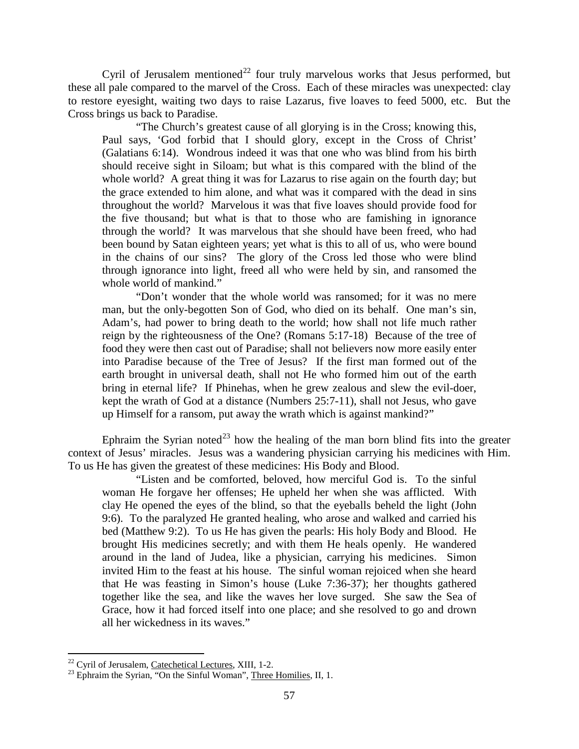Cyril of Jerusalem mentioned<sup>[22](#page-14-0)</sup> four truly marvelous works that Jesus performed, but these all pale compared to the marvel of the Cross. Each of these miracles was unexpected: clay to restore eyesight, waiting two days to raise Lazarus, five loaves to feed 5000, etc. But the Cross brings us back to Paradise.

"The Church's greatest cause of all glorying is in the Cross; knowing this, Paul says, 'God forbid that I should glory, except in the Cross of Christ' (Galatians 6:14). Wondrous indeed it was that one who was blind from his birth should receive sight in Siloam; but what is this compared with the blind of the whole world? A great thing it was for Lazarus to rise again on the fourth day; but the grace extended to him alone, and what was it compared with the dead in sins throughout the world? Marvelous it was that five loaves should provide food for the five thousand; but what is that to those who are famishing in ignorance through the world? It was marvelous that she should have been freed, who had been bound by Satan eighteen years; yet what is this to all of us, who were bound in the chains of our sins? The glory of the Cross led those who were blind through ignorance into light, freed all who were held by sin, and ransomed the whole world of mankind."

"Don't wonder that the whole world was ransomed; for it was no mere man, but the only-begotten Son of God, who died on its behalf. One man's sin, Adam's, had power to bring death to the world; how shall not life much rather reign by the righteousness of the One? (Romans 5:17-18) Because of the tree of food they were then cast out of Paradise; shall not believers now more easily enter into Paradise because of the Tree of Jesus? If the first man formed out of the earth brought in universal death, shall not He who formed him out of the earth bring in eternal life? If Phinehas, when he grew zealous and slew the evil-doer, kept the wrath of God at a distance (Numbers 25:7-11), shall not Jesus, who gave up Himself for a ransom, put away the wrath which is against mankind?"

Ephraim the Syrian noted<sup>[23](#page-14-1)</sup> how the healing of the man born blind fits into the greater context of Jesus' miracles. Jesus was a wandering physician carrying his medicines with Him. To us He has given the greatest of these medicines: His Body and Blood.

"Listen and be comforted, beloved, how merciful God is. To the sinful woman He forgave her offenses; He upheld her when she was afflicted. With clay He opened the eyes of the blind, so that the eyeballs beheld the light (John 9:6). To the paralyzed He granted healing, who arose and walked and carried his bed (Matthew 9:2). To us He has given the pearls: His holy Body and Blood. He brought His medicines secretly; and with them He heals openly. He wandered around in the land of Judea, like a physician, carrying his medicines. Simon invited Him to the feast at his house. The sinful woman rejoiced when she heard that He was feasting in Simon's house (Luke 7:36-37); her thoughts gathered together like the sea, and like the waves her love surged. She saw the Sea of Grace, how it had forced itself into one place; and she resolved to go and drown all her wickedness in its waves."

<span id="page-14-1"></span><span id="page-14-0"></span><sup>&</sup>lt;sup>22</sup> Cyril of Jerusalem, Catechetical Lectures, XIII, 1-2.<br><sup>23</sup> Ephraim the Syrian, "On the Sinful Woman", Three Homilies, II, 1.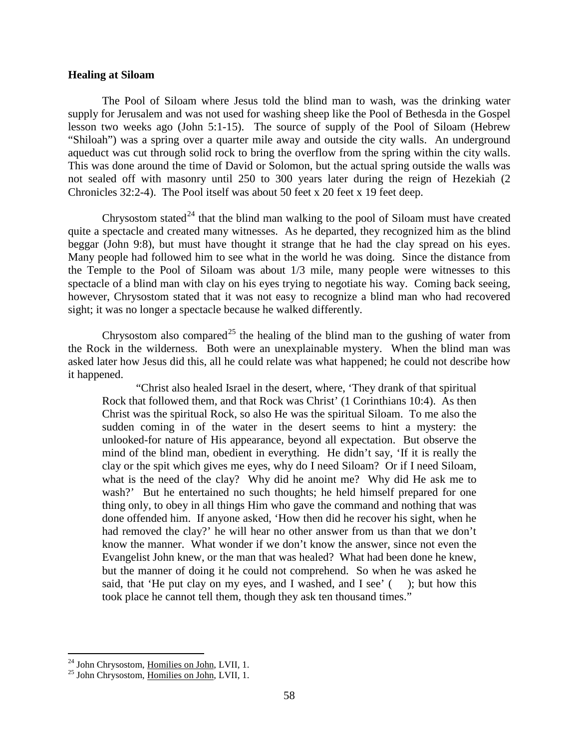# <span id="page-15-0"></span>**Healing at Siloam**

The Pool of Siloam where Jesus told the blind man to wash, was the drinking water supply for Jerusalem and was not used for washing sheep like the Pool of Bethesda in the Gospel lesson two weeks ago (John 5:1-15). The source of supply of the Pool of Siloam (Hebrew "Shiloah") was a spring over a quarter mile away and outside the city walls. An underground aqueduct was cut through solid rock to bring the overflow from the spring within the city walls. This was done around the time of David or Solomon, but the actual spring outside the walls was not sealed off with masonry until 250 to 300 years later during the reign of Hezekiah (2 Chronicles 32:2-4). The Pool itself was about 50 feet x 20 feet x 19 feet deep.

Chrysostom stated<sup>[24](#page-15-2)</sup> that the blind man walking to the pool of Siloam must have created quite a spectacle and created many witnesses. As he departed, they recognized him as the blind beggar (John 9:8), but must have thought it strange that he had the clay spread on his eyes. Many people had followed him to see what in the world he was doing. Since the distance from the Temple to the Pool of Siloam was about 1/3 mile, many people were witnesses to this spectacle of a blind man with clay on his eyes trying to negotiate his way. Coming back seeing, however, Chrysostom stated that it was not easy to recognize a blind man who had recovered sight; it was no longer a spectacle because he walked differently.

Chrysostom also compared<sup>[25](#page-15-3)</sup> the healing of the blind man to the gushing of water from the Rock in the wilderness. Both were an unexplainable mystery. When the blind man was asked later how Jesus did this, all he could relate was what happened; he could not describe how it happened.

"Christ also healed Israel in the desert, where, 'They drank of that spiritual Rock that followed them, and that Rock was Christ' (1 Corinthians 10:4). As then Christ was the spiritual Rock, so also He was the spiritual Siloam. To me also the sudden coming in of the water in the desert seems to hint a mystery: the unlooked-for nature of His appearance, beyond all expectation. But observe the mind of the blind man, obedient in everything. He didn't say, 'If it is really the clay or the spit which gives me eyes, why do I need Siloam? Or if I need Siloam, what is the need of the clay? Why did he anoint me? Why did He ask me to wash?' But he entertained no such thoughts; he held himself prepared for one thing only, to obey in all things Him who gave the command and nothing that was done offended him. If anyone asked, 'How then did he recover his sight, when he had removed the clay?' he will hear no other answer from us than that we don't know the manner. What wonder if we don't know the answer, since not even the Evangelist John knew, or the man that was healed? What had been done he knew, but the manner of doing it he could not comprehend. So when he was asked he said, that 'He put clay on my eyes, and I washed, and I see'  $($ ); but how this took place he cannot tell them, though they ask ten thousand times."

<span id="page-15-2"></span><span id="page-15-1"></span><sup>&</sup>lt;sup>24</sup> John Chrysostom, <u>Homilies on John</u>, LVII, 1.<br><sup>25</sup> John Chrysostom, <u>Homilies on John</u>, LVII, 1.

<span id="page-15-3"></span>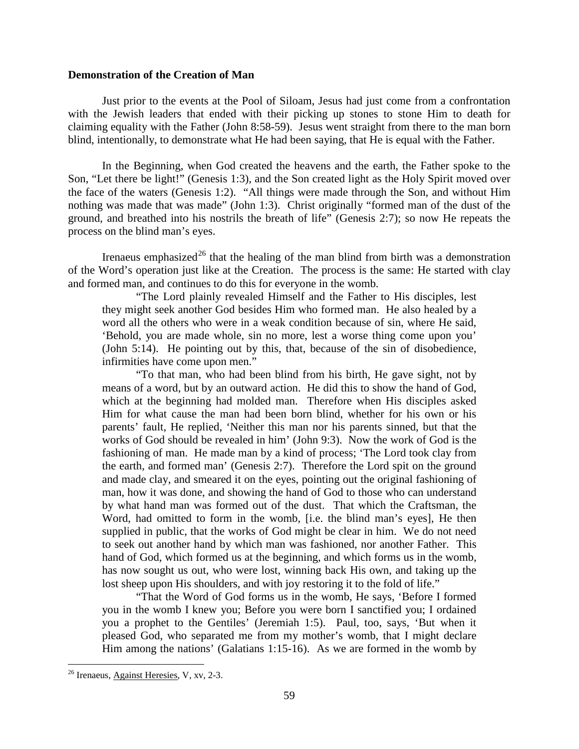# **Demonstration of the Creation of Man**

Just prior to the events at the Pool of Siloam, Jesus had just come from a confrontation with the Jewish leaders that ended with their picking up stones to stone Him to death for claiming equality with the Father (John 8:58-59). Jesus went straight from there to the man born blind, intentionally, to demonstrate what He had been saying, that He is equal with the Father.

In the Beginning, when God created the heavens and the earth, the Father spoke to the Son, "Let there be light!" (Genesis 1:3), and the Son created light as the Holy Spirit moved over the face of the waters (Genesis 1:2). "All things were made through the Son, and without Him nothing was made that was made" (John 1:3). Christ originally "formed man of the dust of the ground, and breathed into his nostrils the breath of life" (Genesis 2:7); so now He repeats the process on the blind man's eyes.

Irenaeus emphasized<sup>[26](#page-16-0)</sup> that the healing of the man blind from birth was a demonstration of the Word's operation just like at the Creation. The process is the same: He started with clay and formed man, and continues to do this for everyone in the womb.

"The Lord plainly revealed Himself and the Father to His disciples, lest they might seek another God besides Him who formed man. He also healed by a word all the others who were in a weak condition because of sin, where He said, 'Behold, you are made whole, sin no more, lest a worse thing come upon you' (John 5:14). He pointing out by this, that, because of the sin of disobedience, infirmities have come upon men."

"To that man, who had been blind from his birth, He gave sight, not by means of a word, but by an outward action. He did this to show the hand of God, which at the beginning had molded man. Therefore when His disciples asked Him for what cause the man had been born blind, whether for his own or his parents' fault, He replied, 'Neither this man nor his parents sinned, but that the works of God should be revealed in him' (John 9:3). Now the work of God is the fashioning of man. He made man by a kind of process; 'The Lord took clay from the earth, and formed man' (Genesis 2:7). Therefore the Lord spit on the ground and made clay, and smeared it on the eyes, pointing out the original fashioning of man, how it was done, and showing the hand of God to those who can understand by what hand man was formed out of the dust. That which the Craftsman, the Word, had omitted to form in the womb, [i.e. the blind man's eyes], He then supplied in public, that the works of God might be clear in him. We do not need to seek out another hand by which man was fashioned, nor another Father. This hand of God, which formed us at the beginning, and which forms us in the womb, has now sought us out, who were lost, winning back His own, and taking up the lost sheep upon His shoulders, and with joy restoring it to the fold of life."

"That the Word of God forms us in the womb, He says, 'Before I formed you in the womb I knew you; Before you were born I sanctified you; I ordained you a prophet to the Gentiles' (Jeremiah 1:5). Paul, too, says, 'But when it pleased God, who separated me from my mother's womb, that I might declare Him among the nations' (Galatians 1:15-16). As we are formed in the womb by

<span id="page-16-0"></span> <sup>26</sup> Irenaeus, Against Heresies, V, xv, 2-3.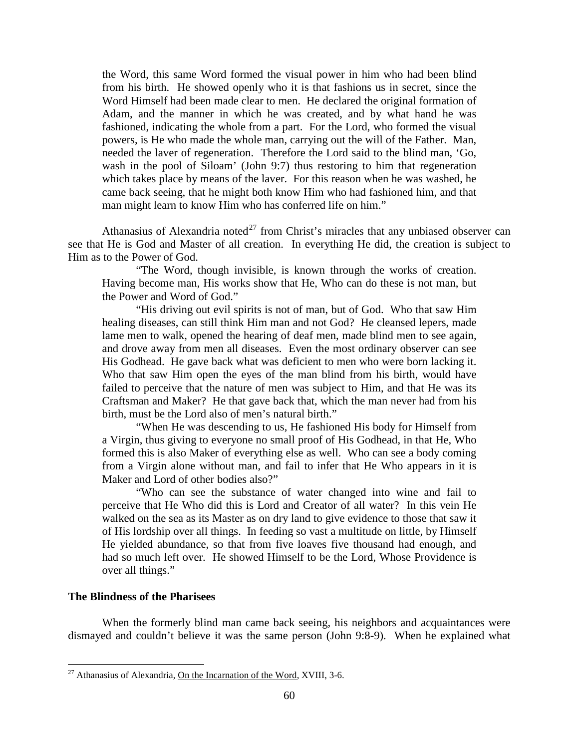the Word, this same Word formed the visual power in him who had been blind from his birth. He showed openly who it is that fashions us in secret, since the Word Himself had been made clear to men. He declared the original formation of Adam, and the manner in which he was created, and by what hand he was fashioned, indicating the whole from a part. For the Lord, who formed the visual powers, is He who made the whole man, carrying out the will of the Father. Man, needed the laver of regeneration. Therefore the Lord said to the blind man, 'Go, wash in the pool of Siloam' (John 9:7) thus restoring to him that regeneration which takes place by means of the laver. For this reason when he was washed, he came back seeing, that he might both know Him who had fashioned him, and that man might learn to know Him who has conferred life on him."

Athanasius of Alexandria noted<sup>[27](#page-17-1)</sup> from Christ's miracles that any unbiased observer can see that He is God and Master of all creation. In everything He did, the creation is subject to Him as to the Power of God.

"The Word, though invisible, is known through the works of creation. Having become man, His works show that He, Who can do these is not man, but the Power and Word of God."

"His driving out evil spirits is not of man, but of God. Who that saw Him healing diseases, can still think Him man and not God? He cleansed lepers, made lame men to walk, opened the hearing of deaf men, made blind men to see again, and drove away from men all diseases. Even the most ordinary observer can see His Godhead. He gave back what was deficient to men who were born lacking it. Who that saw Him open the eyes of the man blind from his birth, would have failed to perceive that the nature of men was subject to Him, and that He was its Craftsman and Maker? He that gave back that, which the man never had from his birth, must be the Lord also of men's natural birth."

"When He was descending to us, He fashioned His body for Himself from a Virgin, thus giving to everyone no small proof of His Godhead, in that He, Who formed this is also Maker of everything else as well. Who can see a body coming from a Virgin alone without man, and fail to infer that He Who appears in it is Maker and Lord of other bodies also?"

"Who can see the substance of water changed into wine and fail to perceive that He Who did this is Lord and Creator of all water? In this vein He walked on the sea as its Master as on dry land to give evidence to those that saw it of His lordship over all things. In feeding so vast a multitude on little, by Himself He yielded abundance, so that from five loaves five thousand had enough, and had so much left over. He showed Himself to be the Lord, Whose Providence is over all things."

# <span id="page-17-0"></span>**The Blindness of the Pharisees**

When the formerly blind man came back seeing, his neighbors and acquaintances were dismayed and couldn't believe it was the same person (John 9:8-9). When he explained what

<span id="page-17-1"></span> $^{27}$  Athanasius of Alexandria, On the Incarnation of the Word, XVIII, 3-6.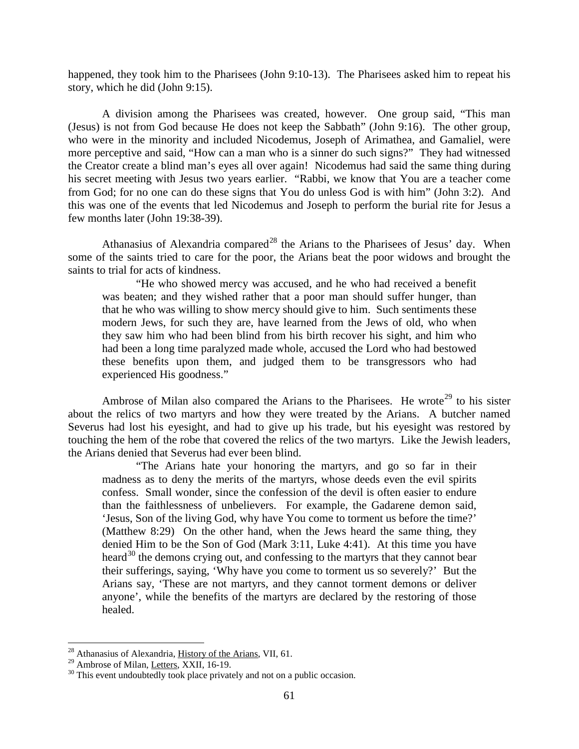happened, they took him to the Pharisees (John 9:10-13). The Pharisees asked him to repeat his story, which he did (John 9:15).

A division among the Pharisees was created, however. One group said, "This man (Jesus) is not from God because He does not keep the Sabbath" (John 9:16). The other group, who were in the minority and included Nicodemus, Joseph of Arimathea, and Gamaliel, were more perceptive and said, "How can a man who is a sinner do such signs?" They had witnessed the Creator create a blind man's eyes all over again! Nicodemus had said the same thing during his secret meeting with Jesus two years earlier. "Rabbi, we know that You are a teacher come from God; for no one can do these signs that You do unless God is with him" (John 3:2). And this was one of the events that led Nicodemus and Joseph to perform the burial rite for Jesus a few months later (John 19:38-39).

Athanasius of Alexandria compared<sup>[28](#page-18-0)</sup> the Arians to the Pharisees of Jesus' day. When some of the saints tried to care for the poor, the Arians beat the poor widows and brought the saints to trial for acts of kindness.

"He who showed mercy was accused, and he who had received a benefit was beaten; and they wished rather that a poor man should suffer hunger, than that he who was willing to show mercy should give to him. Such sentiments these modern Jews, for such they are, have learned from the Jews of old, who when they saw him who had been blind from his birth recover his sight, and him who had been a long time paralyzed made whole, accused the Lord who had bestowed these benefits upon them, and judged them to be transgressors who had experienced His goodness."

Ambrose of Milan also compared the Arians to the Pharisees. He wrote<sup>[29](#page-18-1)</sup> to his sister about the relics of two martyrs and how they were treated by the Arians. A butcher named Severus had lost his eyesight, and had to give up his trade, but his eyesight was restored by touching the hem of the robe that covered the relics of the two martyrs. Like the Jewish leaders, the Arians denied that Severus had ever been blind.

"The Arians hate your honoring the martyrs, and go so far in their madness as to deny the merits of the martyrs, whose deeds even the evil spirits confess. Small wonder, since the confession of the devil is often easier to endure than the faithlessness of unbelievers. For example, the Gadarene demon said, 'Jesus, Son of the living God, why have You come to torment us before the time?' (Matthew 8:29) On the other hand, when the Jews heard the same thing, they denied Him to be the Son of God (Mark 3:11, Luke 4:41). At this time you have heard<sup>[30](#page-18-2)</sup> the demons crying out, and confessing to the martyrs that they cannot bear their sufferings, saying, 'Why have you come to torment us so severely?' But the Arians say, 'These are not martyrs, and they cannot torment demons or deliver anyone', while the benefits of the martyrs are declared by the restoring of those healed.

<span id="page-18-1"></span><span id="page-18-0"></span><sup>&</sup>lt;sup>28</sup> Athanasius of Alexandria,  $\underline{History}$  of the Arians, VII, 61.<br><sup>29</sup> Ambrose of Milan, Letters, XXII, 16-19.

<span id="page-18-2"></span> $30$  This event undoubtedly took place privately and not on a public occasion.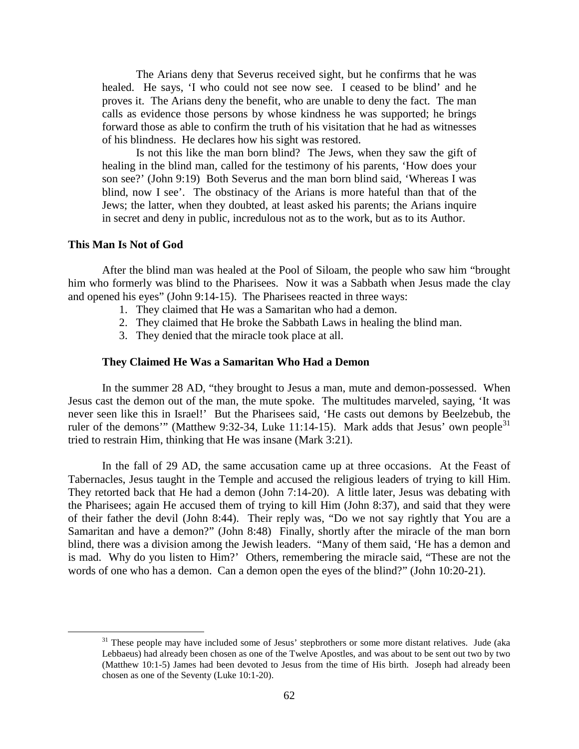The Arians deny that Severus received sight, but he confirms that he was healed. He says, 'I who could not see now see. I ceased to be blind' and he proves it. The Arians deny the benefit, who are unable to deny the fact. The man calls as evidence those persons by whose kindness he was supported; he brings forward those as able to confirm the truth of his visitation that he had as witnesses of his blindness. He declares how his sight was restored.

Is not this like the man born blind? The Jews, when they saw the gift of healing in the blind man, called for the testimony of his parents, 'How does your son see?' (John 9:19) Both Severus and the man born blind said, 'Whereas I was blind, now I see'. The obstinacy of the Arians is more hateful than that of the Jews; the latter, when they doubted, at least asked his parents; the Arians inquire in secret and deny in public, incredulous not as to the work, but as to its Author.

#### <span id="page-19-0"></span>**This Man Is Not of God**

After the blind man was healed at the Pool of Siloam, the people who saw him "brought him who formerly was blind to the Pharisees. Now it was a Sabbath when Jesus made the clay and opened his eyes" (John 9:14-15). The Pharisees reacted in three ways:

- 1. They claimed that He was a Samaritan who had a demon.
- 2. They claimed that He broke the Sabbath Laws in healing the blind man.
- 3. They denied that the miracle took place at all.

#### **They Claimed He Was a Samaritan Who Had a Demon**

<span id="page-19-1"></span>In the summer 28 AD, "they brought to Jesus a man, mute and demon-possessed. When Jesus cast the demon out of the man, the mute spoke. The multitudes marveled, saying, 'It was never seen like this in Israel!' But the Pharisees said, 'He casts out demons by Beelzebub, the ruler of the demons'" (Matthew 9:32-34, Luke 11:14-15). Mark adds that Jesus' own people<sup>[31](#page-19-2)</sup> tried to restrain Him, thinking that He was insane (Mark 3:21).

In the fall of 29 AD, the same accusation came up at three occasions. At the Feast of Tabernacles, Jesus taught in the Temple and accused the religious leaders of trying to kill Him. They retorted back that He had a demon (John 7:14-20). A little later, Jesus was debating with the Pharisees; again He accused them of trying to kill Him (John 8:37), and said that they were of their father the devil (John 8:44). Their reply was, "Do we not say rightly that You are a Samaritan and have a demon?" (John 8:48) Finally, shortly after the miracle of the man born blind, there was a division among the Jewish leaders. "Many of them said, 'He has a demon and is mad. Why do you listen to Him?' Others, remembering the miracle said, "These are not the words of one who has a demon. Can a demon open the eyes of the blind?" (John 10:20-21).

<span id="page-19-2"></span><sup>&</sup>lt;sup>31</sup> These people may have included some of Jesus' stepbrothers or some more distant relatives. Jude (aka Lebbaeus) had already been chosen as one of the Twelve Apostles, and was about to be sent out two by two (Matthew 10:1-5) James had been devoted to Jesus from the time of His birth. Joseph had already been chosen as one of the Seventy (Luke 10:1-20).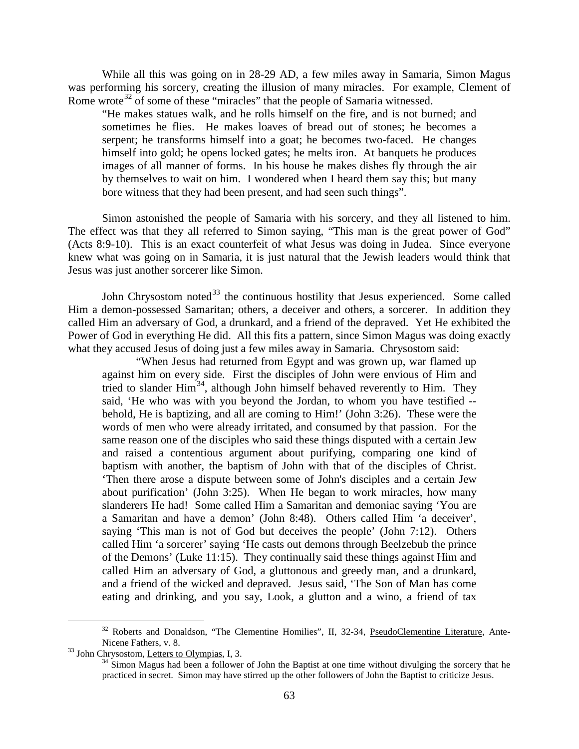While all this was going on in 28-29 AD, a few miles away in Samaria, Simon Magus was performing his sorcery, creating the illusion of many miracles. For example, Clement of Rome wrote<sup>[32](#page-20-0)</sup> of some of these "miracles" that the people of Samaria witnessed.

"He makes statues walk, and he rolls himself on the fire, and is not burned; and sometimes he flies. He makes loaves of bread out of stones; he becomes a serpent; he transforms himself into a goat; he becomes two-faced. He changes himself into gold; he opens locked gates; he melts iron. At banquets he produces images of all manner of forms. In his house he makes dishes fly through the air by themselves to wait on him. I wondered when I heard them say this; but many bore witness that they had been present, and had seen such things".

Simon astonished the people of Samaria with his sorcery, and they all listened to him. The effect was that they all referred to Simon saying, "This man is the great power of God" (Acts 8:9-10). This is an exact counterfeit of what Jesus was doing in Judea. Since everyone knew what was going on in Samaria, it is just natural that the Jewish leaders would think that Jesus was just another sorcerer like Simon.

John Chrysostom noted<sup>[33](#page-20-1)</sup> the continuous hostility that Jesus experienced. Some called Him a demon-possessed Samaritan; others, a deceiver and others, a sorcerer. In addition they called Him an adversary of God, a drunkard, and a friend of the depraved. Yet He exhibited the Power of God in everything He did. All this fits a pattern, since Simon Magus was doing exactly what they accused Jesus of doing just a few miles away in Samaria. Chrysostom said:

"When Jesus had returned from Egypt and was grown up, war flamed up against him on every side. First the disciples of John were envious of Him and tried to slander Him<sup>[34](#page-20-2)</sup>, although John himself behaved reverently to Him. They said, 'He who was with you beyond the Jordan, to whom you have testified - behold, He is baptizing, and all are coming to Him!' (John 3:26). These were the words of men who were already irritated, and consumed by that passion. For the same reason one of the disciples who said these things disputed with a certain Jew and raised a contentious argument about purifying, comparing one kind of baptism with another, the baptism of John with that of the disciples of Christ. 'Then there arose a dispute between some of John's disciples and a certain Jew about purification' (John 3:25). When He began to work miracles, how many slanderers He had! Some called Him a Samaritan and demoniac saying 'You are a Samaritan and have a demon' (John 8:48). Others called Him 'a deceiver', saying 'This man is not of God but deceives the people' (John 7:12). Others called Him 'a sorcerer' saying 'He casts out demons through Beelzebub the prince of the Demons' (Luke 11:15). They continually said these things against Him and called Him an adversary of God, a gluttonous and greedy man, and a drunkard, and a friend of the wicked and depraved. Jesus said, 'The Son of Man has come eating and drinking, and you say, Look, a glutton and a wino, a friend of tax

<span id="page-20-0"></span><sup>&</sup>lt;sup>32</sup> Roberts and Donaldson, "The Clementine Homilies", II, 32-34, PseudoClementine Literature, Ante-Nicene Fathers, v. 8.<br><sup>33</sup> John Chrysostom, <u>Letters to Olympias</u>, I, 3.<br><sup>34</sup> Simon Magus had been a follower of John the Baptist at one time without divulging the sorcery that he

<span id="page-20-2"></span><span id="page-20-1"></span>

practiced in secret. Simon may have stirred up the other followers of John the Baptist to criticize Jesus.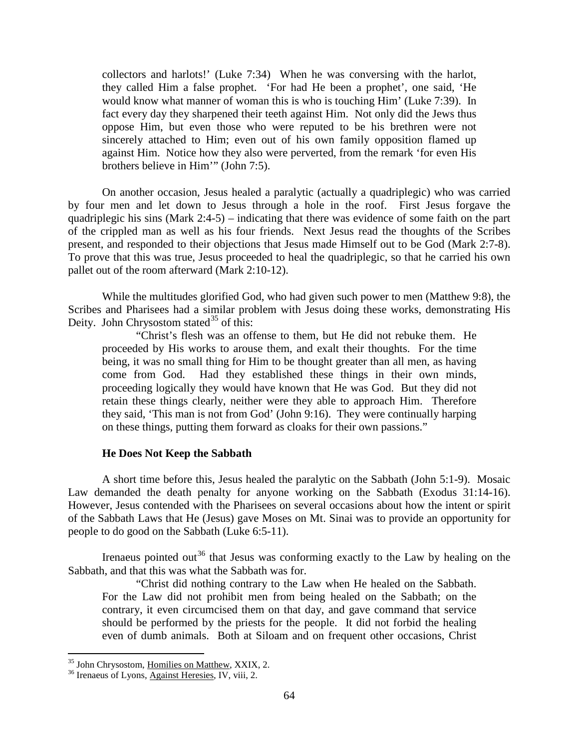collectors and harlots!' (Luke 7:34) When he was conversing with the harlot, they called Him a false prophet. 'For had He been a prophet', one said, 'He would know what manner of woman this is who is touching Him' (Luke 7:39). In fact every day they sharpened their teeth against Him. Not only did the Jews thus oppose Him, but even those who were reputed to be his brethren were not sincerely attached to Him; even out of his own family opposition flamed up against Him. Notice how they also were perverted, from the remark 'for even His brothers believe in Him'" (John 7:5).

On another occasion, Jesus healed a paralytic (actually a quadriplegic) who was carried by four men and let down to Jesus through a hole in the roof. First Jesus forgave the quadriplegic his sins (Mark 2:4-5) – indicating that there was evidence of some faith on the part of the crippled man as well as his four friends. Next Jesus read the thoughts of the Scribes present, and responded to their objections that Jesus made Himself out to be God (Mark 2:7-8). To prove that this was true, Jesus proceeded to heal the quadriplegic, so that he carried his own pallet out of the room afterward (Mark 2:10-12).

While the multitudes glorified God, who had given such power to men (Matthew 9:8), the Scribes and Pharisees had a similar problem with Jesus doing these works, demonstrating His Deity. John Chrysostom stated $^{35}$  $^{35}$  $^{35}$  of this:

"Christ's flesh was an offense to them, but He did not rebuke them. He proceeded by His works to arouse them, and exalt their thoughts. For the time being, it was no small thing for Him to be thought greater than all men, as having come from God. Had they established these things in their own minds, proceeding logically they would have known that He was God. But they did not retain these things clearly, neither were they able to approach Him. Therefore they said, 'This man is not from God' (John 9:16). They were continually harping on these things, putting them forward as cloaks for their own passions."

## **He Does Not Keep the Sabbath**

<span id="page-21-0"></span>A short time before this, Jesus healed the paralytic on the Sabbath (John 5:1-9). Mosaic Law demanded the death penalty for anyone working on the Sabbath (Exodus 31:14-16). However, Jesus contended with the Pharisees on several occasions about how the intent or spirit of the Sabbath Laws that He (Jesus) gave Moses on Mt. Sinai was to provide an opportunity for people to do good on the Sabbath (Luke 6:5-11).

Irenaeus pointed out<sup>[36](#page-21-2)</sup> that Jesus was conforming exactly to the Law by healing on the Sabbath, and that this was what the Sabbath was for.

"Christ did nothing contrary to the Law when He healed on the Sabbath. For the Law did not prohibit men from being healed on the Sabbath; on the contrary, it even circumcised them on that day, and gave command that service should be performed by the priests for the people. It did not forbid the healing even of dumb animals. Both at Siloam and on frequent other occasions, Christ

<span id="page-21-1"></span><sup>&</sup>lt;sup>35</sup> John Chrysostom, <u>Homilies on Matthew</u>, XXIX, 2.<br><sup>36</sup> Irenaeus of Lyons, Against Heresies, IV, viii, 2.

<span id="page-21-2"></span>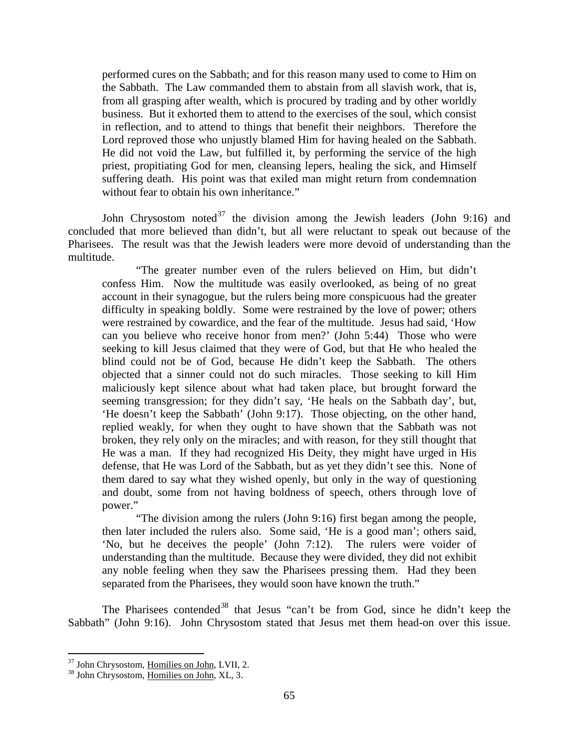performed cures on the Sabbath; and for this reason many used to come to Him on the Sabbath. The Law commanded them to abstain from all slavish work, that is, from all grasping after wealth, which is procured by trading and by other worldly business. But it exhorted them to attend to the exercises of the soul, which consist in reflection, and to attend to things that benefit their neighbors. Therefore the Lord reproved those who unjustly blamed Him for having healed on the Sabbath. He did not void the Law, but fulfilled it, by performing the service of the high priest, propitiating God for men, cleansing lepers, healing the sick, and Himself suffering death. His point was that exiled man might return from condemnation without fear to obtain his own inheritance."

John Chrysostom noted<sup>[37](#page-22-0)</sup> the division among the Jewish leaders (John 9:16) and concluded that more believed than didn't, but all were reluctant to speak out because of the Pharisees. The result was that the Jewish leaders were more devoid of understanding than the multitude.

"The greater number even of the rulers believed on Him, but didn't confess Him. Now the multitude was easily overlooked, as being of no great account in their synagogue, but the rulers being more conspicuous had the greater difficulty in speaking boldly. Some were restrained by the love of power; others were restrained by cowardice, and the fear of the multitude. Jesus had said, 'How can you believe who receive honor from men?' (John 5:44) Those who were seeking to kill Jesus claimed that they were of God, but that He who healed the blind could not be of God, because He didn't keep the Sabbath. The others objected that a sinner could not do such miracles. Those seeking to kill Him maliciously kept silence about what had taken place, but brought forward the seeming transgression; for they didn't say, 'He heals on the Sabbath day', but, 'He doesn't keep the Sabbath' (John 9:17). Those objecting, on the other hand, replied weakly, for when they ought to have shown that the Sabbath was not broken, they rely only on the miracles; and with reason, for they still thought that He was a man. If they had recognized His Deity, they might have urged in His defense, that He was Lord of the Sabbath, but as yet they didn't see this. None of them dared to say what they wished openly, but only in the way of questioning and doubt, some from not having boldness of speech, others through love of power."

"The division among the rulers (John 9:16) first began among the people, then later included the rulers also. Some said, 'He is a good man'; others said, 'No, but he deceives the people' (John 7:12). The rulers were voider of understanding than the multitude. Because they were divided, they did not exhibit any noble feeling when they saw the Pharisees pressing them. Had they been separated from the Pharisees, they would soon have known the truth."

The Pharisees contended<sup>[38](#page-22-1)</sup> that Jesus "can't be from God, since he didn't keep the Sabbath" (John 9:16). John Chrysostom stated that Jesus met them head-on over this issue.

<span id="page-22-0"></span> $37$  John Chrysostom, Homilies on John, LVII, 2.  $38$  John Chrysostom, Homilies on John, XL, 3.

<span id="page-22-1"></span>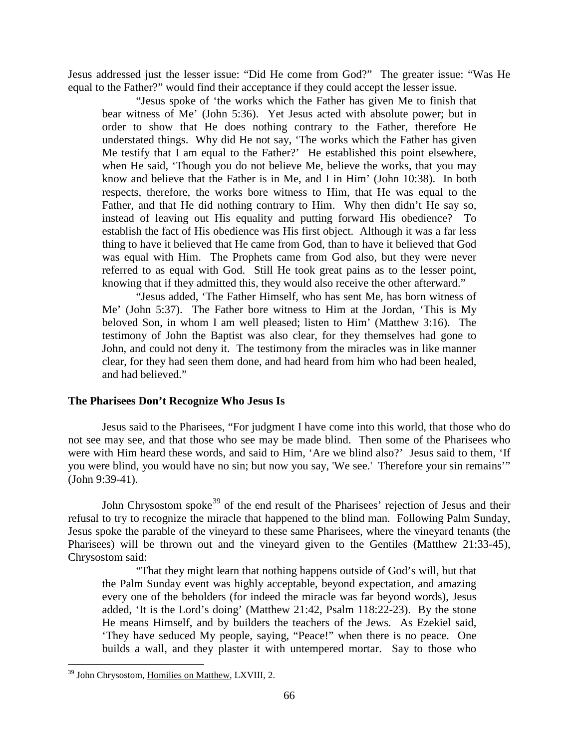Jesus addressed just the lesser issue: "Did He come from God?" The greater issue: "Was He equal to the Father?" would find their acceptance if they could accept the lesser issue.

"Jesus spoke of 'the works which the Father has given Me to finish that bear witness of Me' (John 5:36). Yet Jesus acted with absolute power; but in order to show that He does nothing contrary to the Father, therefore He understated things. Why did He not say, 'The works which the Father has given Me testify that I am equal to the Father?' He established this point elsewhere, when He said, 'Though you do not believe Me, believe the works, that you may know and believe that the Father is in Me, and I in Him' (John 10:38). In both respects, therefore, the works bore witness to Him, that He was equal to the Father, and that He did nothing contrary to Him. Why then didn't He say so, instead of leaving out His equality and putting forward His obedience? To establish the fact of His obedience was His first object. Although it was a far less thing to have it believed that He came from God, than to have it believed that God was equal with Him. The Prophets came from God also, but they were never referred to as equal with God. Still He took great pains as to the lesser point, knowing that if they admitted this, they would also receive the other afterward."

"Jesus added, 'The Father Himself, who has sent Me, has born witness of Me' (John 5:37). The Father bore witness to Him at the Jordan, 'This is My beloved Son, in whom I am well pleased; listen to Him' (Matthew 3:16). The testimony of John the Baptist was also clear, for they themselves had gone to John, and could not deny it. The testimony from the miracles was in like manner clear, for they had seen them done, and had heard from him who had been healed, and had believed."

# <span id="page-23-0"></span>**The Pharisees Don't Recognize Who Jesus Is**

Jesus said to the Pharisees, "For judgment I have come into this world, that those who do not see may see, and that those who see may be made blind. Then some of the Pharisees who were with Him heard these words, and said to Him, 'Are we blind also?' Jesus said to them, 'If you were blind, you would have no sin; but now you say, 'We see.' Therefore your sin remains'" (John 9:39-41).

John Chrysostom spoke<sup>[39](#page-23-1)</sup> of the end result of the Pharisees' rejection of Jesus and their refusal to try to recognize the miracle that happened to the blind man. Following Palm Sunday, Jesus spoke the parable of the vineyard to these same Pharisees, where the vineyard tenants (the Pharisees) will be thrown out and the vineyard given to the Gentiles (Matthew 21:33-45), Chrysostom said:

"That they might learn that nothing happens outside of God's will, but that the Palm Sunday event was highly acceptable, beyond expectation, and amazing every one of the beholders (for indeed the miracle was far beyond words), Jesus added, 'It is the Lord's doing' (Matthew 21:42, Psalm 118:22-23). By the stone He means Himself, and by builders the teachers of the Jews. As Ezekiel said, 'They have seduced My people, saying, "Peace!" when there is no peace. One builds a wall, and they plaster it with untempered mortar. Say to those who

<span id="page-23-1"></span><sup>&</sup>lt;sup>39</sup> John Chrysostom, Homilies on Matthew, LXVIII, 2.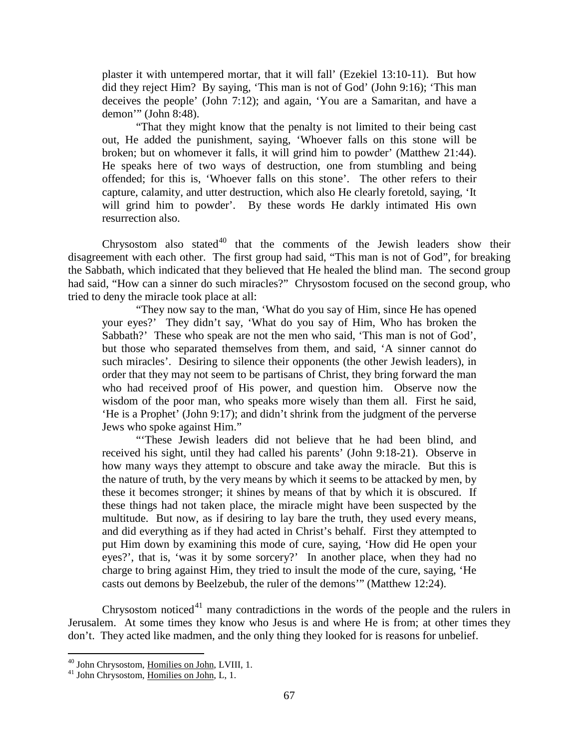plaster it with untempered mortar, that it will fall' (Ezekiel 13:10-11). But how did they reject Him? By saying, 'This man is not of God' (John 9:16); 'This man deceives the people' (John 7:12); and again, 'You are a Samaritan, and have a demon'" (John 8:48).

"That they might know that the penalty is not limited to their being cast out, He added the punishment, saying, 'Whoever falls on this stone will be broken; but on whomever it falls, it will grind him to powder' (Matthew 21:44). He speaks here of two ways of destruction, one from stumbling and being offended; for this is, 'Whoever falls on this stone'. The other refers to their capture, calamity, and utter destruction, which also He clearly foretold, saying, 'It will grind him to powder'. By these words He darkly intimated His own resurrection also.

Chrysostom also stated $40$  that the comments of the Jewish leaders show their disagreement with each other. The first group had said, "This man is not of God", for breaking the Sabbath, which indicated that they believed that He healed the blind man. The second group had said, "How can a sinner do such miracles?" Chrysostom focused on the second group, who tried to deny the miracle took place at all:

"They now say to the man, 'What do you say of Him, since He has opened your eyes?' They didn't say, 'What do you say of Him, Who has broken the Sabbath?' These who speak are not the men who said, 'This man is not of God', but those who separated themselves from them, and said, 'A sinner cannot do such miracles'. Desiring to silence their opponents (the other Jewish leaders), in order that they may not seem to be partisans of Christ, they bring forward the man who had received proof of His power, and question him. Observe now the wisdom of the poor man, who speaks more wisely than them all. First he said, 'He is a Prophet' (John 9:17); and didn't shrink from the judgment of the perverse Jews who spoke against Him."

"'These Jewish leaders did not believe that he had been blind, and received his sight, until they had called his parents' (John 9:18-21). Observe in how many ways they attempt to obscure and take away the miracle. But this is the nature of truth, by the very means by which it seems to be attacked by men, by these it becomes stronger; it shines by means of that by which it is obscured. If these things had not taken place, the miracle might have been suspected by the multitude. But now, as if desiring to lay bare the truth, they used every means, and did everything as if they had acted in Christ's behalf. First they attempted to put Him down by examining this mode of cure, saying, 'How did He open your eyes?', that is, 'was it by some sorcery?' In another place, when they had no charge to bring against Him, they tried to insult the mode of the cure, saying, 'He casts out demons by Beelzebub, the ruler of the demons'" (Matthew 12:24).

Chrysostom noticed<sup>[41](#page-24-1)</sup> many contradictions in the words of the people and the rulers in Jerusalem. At some times they know who Jesus is and where He is from; at other times they don't. They acted like madmen, and the only thing they looked for is reasons for unbelief.

<span id="page-24-0"></span><sup>&</sup>lt;sup>40</sup> John Chrysostom, <u>Homilies on John</u>, LVIII, 1.<br><sup>41</sup> John Chrysostom, <u>Homilies on John</u>, L, 1.

<span id="page-24-1"></span>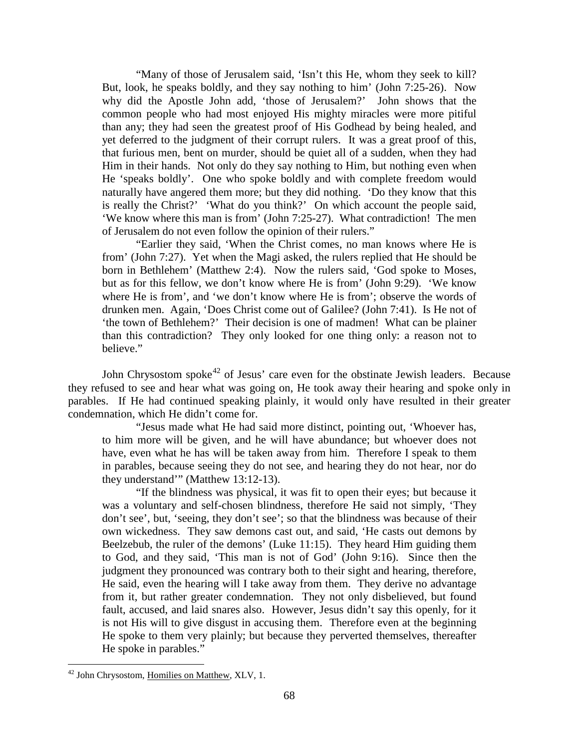"Many of those of Jerusalem said, 'Isn't this He, whom they seek to kill? But, look, he speaks boldly, and they say nothing to him' (John 7:25-26). Now why did the Apostle John add, 'those of Jerusalem?' John shows that the common people who had most enjoyed His mighty miracles were more pitiful than any; they had seen the greatest proof of His Godhead by being healed, and yet deferred to the judgment of their corrupt rulers. It was a great proof of this, that furious men, bent on murder, should be quiet all of a sudden, when they had Him in their hands. Not only do they say nothing to Him, but nothing even when He 'speaks boldly'. One who spoke boldly and with complete freedom would naturally have angered them more; but they did nothing. 'Do they know that this is really the Christ?' 'What do you think?' On which account the people said, 'We know where this man is from' (John 7:25-27). What contradiction! The men of Jerusalem do not even follow the opinion of their rulers."

"Earlier they said, 'When the Christ comes, no man knows where He is from' (John 7:27). Yet when the Magi asked, the rulers replied that He should be born in Bethlehem' (Matthew 2:4). Now the rulers said, 'God spoke to Moses, but as for this fellow, we don't know where He is from' (John 9:29). 'We know where He is from', and 'we don't know where He is from'; observe the words of drunken men. Again, 'Does Christ come out of Galilee? (John 7:41). Is He not of 'the town of Bethlehem?' Their decision is one of madmen! What can be plainer than this contradiction? They only looked for one thing only: a reason not to believe."

John Chrysostom spoke<sup>[42](#page-25-0)</sup> of Jesus' care even for the obstinate Jewish leaders. Because they refused to see and hear what was going on, He took away their hearing and spoke only in parables. If He had continued speaking plainly, it would only have resulted in their greater condemnation, which He didn't come for.

"Jesus made what He had said more distinct, pointing out, 'Whoever has, to him more will be given, and he will have abundance; but whoever does not have, even what he has will be taken away from him. Therefore I speak to them in parables, because seeing they do not see, and hearing they do not hear, nor do they understand'" (Matthew 13:12-13).

"If the blindness was physical, it was fit to open their eyes; but because it was a voluntary and self-chosen blindness, therefore He said not simply, 'They don't see', but, 'seeing, they don't see'; so that the blindness was because of their own wickedness. They saw demons cast out, and said, 'He casts out demons by Beelzebub, the ruler of the demons' (Luke 11:15). They heard Him guiding them to God, and they said, 'This man is not of God' (John 9:16). Since then the judgment they pronounced was contrary both to their sight and hearing, therefore, He said, even the hearing will I take away from them. They derive no advantage from it, but rather greater condemnation. They not only disbelieved, but found fault, accused, and laid snares also. However, Jesus didn't say this openly, for it is not His will to give disgust in accusing them. Therefore even at the beginning He spoke to them very plainly; but because they perverted themselves, thereafter He spoke in parables."

<span id="page-25-0"></span><sup>&</sup>lt;sup>42</sup> John Chrysostom, Homilies on Matthew, XLV, 1.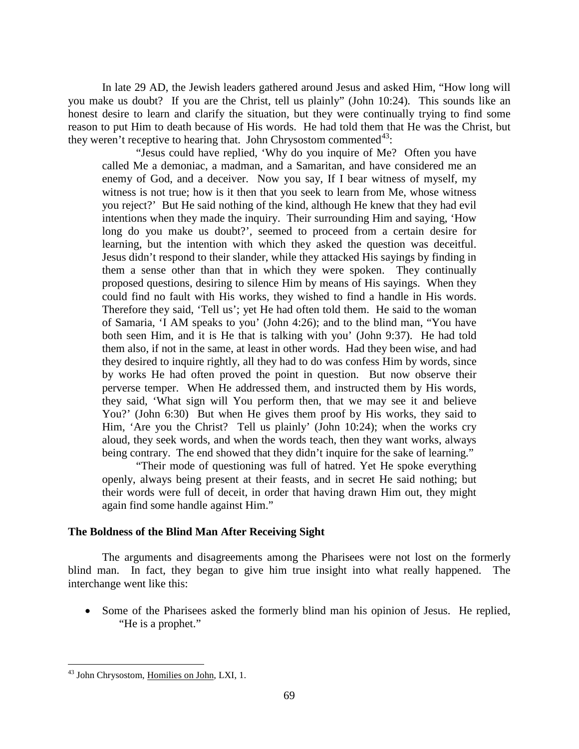In late 29 AD, the Jewish leaders gathered around Jesus and asked Him, "How long will you make us doubt? If you are the Christ, tell us plainly" (John 10:24). This sounds like an honest desire to learn and clarify the situation, but they were continually trying to find some reason to put Him to death because of His words. He had told them that He was the Christ, but they weren't receptive to hearing that. John Chrysostom commented $43$ :

"Jesus could have replied, 'Why do you inquire of Me? Often you have called Me a demoniac, a madman, and a Samaritan, and have considered me an enemy of God, and a deceiver. Now you say, If I bear witness of myself, my witness is not true; how is it then that you seek to learn from Me, whose witness you reject?' But He said nothing of the kind, although He knew that they had evil intentions when they made the inquiry. Their surrounding Him and saying, 'How long do you make us doubt?', seemed to proceed from a certain desire for learning, but the intention with which they asked the question was deceitful. Jesus didn't respond to their slander, while they attacked His sayings by finding in them a sense other than that in which they were spoken. They continually proposed questions, desiring to silence Him by means of His sayings. When they could find no fault with His works, they wished to find a handle in His words. Therefore they said, 'Tell us'; yet He had often told them. He said to the woman of Samaria, 'I AM speaks to you' (John 4:26); and to the blind man, "You have both seen Him, and it is He that is talking with you' (John 9:37). He had told them also, if not in the same, at least in other words. Had they been wise, and had they desired to inquire rightly, all they had to do was confess Him by words, since by works He had often proved the point in question. But now observe their perverse temper. When He addressed them, and instructed them by His words, they said, 'What sign will You perform then, that we may see it and believe You?' (John 6:30) But when He gives them proof by His works, they said to Him, 'Are you the Christ? Tell us plainly' (John 10:24); when the works cry aloud, they seek words, and when the words teach, then they want works, always being contrary. The end showed that they didn't inquire for the sake of learning."

"Their mode of questioning was full of hatred. Yet He spoke everything openly, always being present at their feasts, and in secret He said nothing; but their words were full of deceit, in order that having drawn Him out, they might again find some handle against Him."

# <span id="page-26-0"></span>**The Boldness of the Blind Man After Receiving Sight**

The arguments and disagreements among the Pharisees were not lost on the formerly blind man. In fact, they began to give him true insight into what really happened. The interchange went like this:

• Some of the Pharisees asked the formerly blind man his opinion of Jesus. He replied, "He is a prophet."

<span id="page-26-1"></span><sup>&</sup>lt;sup>43</sup> John Chrysostom, Homilies on John, LXI, 1.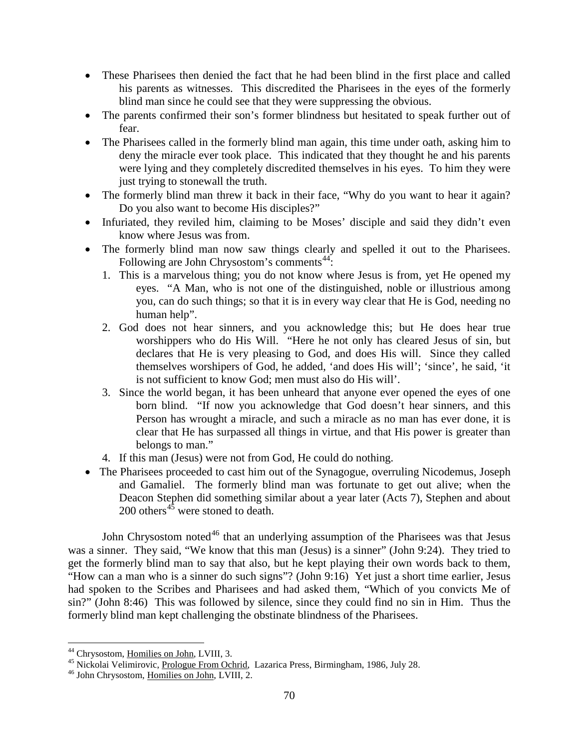- These Pharisees then denied the fact that he had been blind in the first place and called his parents as witnesses. This discredited the Pharisees in the eyes of the formerly blind man since he could see that they were suppressing the obvious.
- The parents confirmed their son's former blindness but hesitated to speak further out of fear.
- The Pharisees called in the formerly blind man again, this time under oath, asking him to deny the miracle ever took place. This indicated that they thought he and his parents were lying and they completely discredited themselves in his eyes. To him they were just trying to stonewall the truth.
- The formerly blind man threw it back in their face, "Why do you want to hear it again? Do you also want to become His disciples?"
- Infuriated, they reviled him, claiming to be Moses' disciple and said they didn't even know where Jesus was from.
- The formerly blind man now saw things clearly and spelled it out to the Pharisees. Following are John Chrysostom's comments<sup>[44](#page-27-0)</sup>:
	- 1. This is a marvelous thing; you do not know where Jesus is from, yet He opened my eyes. "A Man, who is not one of the distinguished, noble or illustrious among you, can do such things; so that it is in every way clear that He is God, needing no human help".
	- 2. God does not hear sinners, and you acknowledge this; but He does hear true worshippers who do His Will. "Here he not only has cleared Jesus of sin, but declares that He is very pleasing to God, and does His will. Since they called themselves worshipers of God, he added, 'and does His will'; 'since', he said, 'it is not sufficient to know God; men must also do His will'.
	- 3. Since the world began, it has been unheard that anyone ever opened the eyes of one born blind. "If now you acknowledge that God doesn't hear sinners, and this Person has wrought a miracle, and such a miracle as no man has ever done, it is clear that He has surpassed all things in virtue, and that His power is greater than belongs to man."
	- 4. If this man (Jesus) were not from God, He could do nothing.
- The Pharisees proceeded to cast him out of the Synagogue, overruling Nicodemus, Joseph and Gamaliel. The formerly blind man was fortunate to get out alive; when the Deacon Stephen did something similar about a year later (Acts 7), Stephen and about  $200$  others<sup>[45](#page-27-1)</sup> were stoned to death.

John Chrysostom noted<sup>[46](#page-27-2)</sup> that an underlying assumption of the Pharisees was that Jesus was a sinner. They said, "We know that this man (Jesus) is a sinner" (John 9:24). They tried to get the formerly blind man to say that also, but he kept playing their own words back to them, "How can a man who is a sinner do such signs"? (John 9:16) Yet just a short time earlier, Jesus had spoken to the Scribes and Pharisees and had asked them, "Which of you convicts Me of sin?" (John 8:46) This was followed by silence, since they could find no sin in Him. Thus the formerly blind man kept challenging the obstinate blindness of the Pharisees.

<span id="page-27-1"></span><span id="page-27-0"></span><sup>&</sup>lt;sup>44</sup> Chrysostom, <u>Homilies on John</u>, LVIII, 3.<br><sup>45</sup> Nickolai Velimirovic, <u>Prologue From Ochrid</u>, Lazarica Press, Birmingham, 1986, July 28.<br><sup>46</sup> John Chrysostom, Homilies on John, LVIII, 2.

<span id="page-27-2"></span>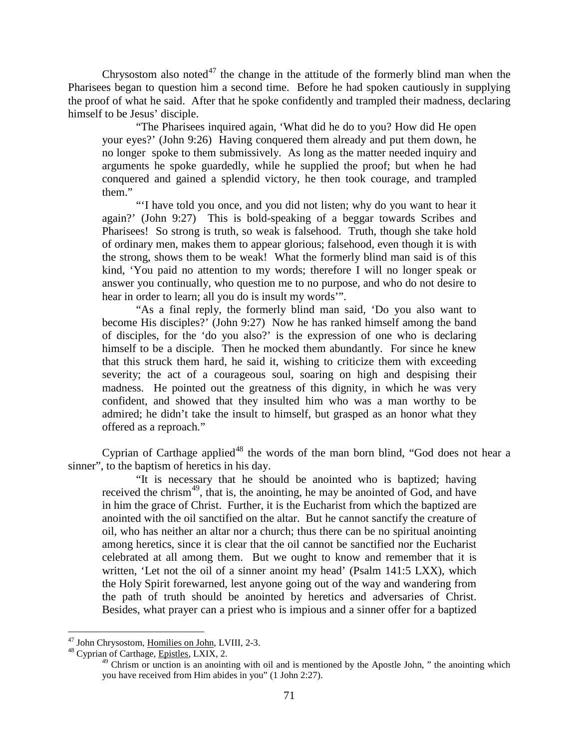Chrysostom also noted<sup>[47](#page-28-0)</sup> the change in the attitude of the formerly blind man when the Pharisees began to question him a second time. Before he had spoken cautiously in supplying the proof of what he said. After that he spoke confidently and trampled their madness, declaring himself to be Jesus' disciple.

"The Pharisees inquired again, 'What did he do to you? How did He open your eyes?' (John 9:26) Having conquered them already and put them down, he no longer spoke to them submissively. As long as the matter needed inquiry and arguments he spoke guardedly, while he supplied the proof; but when he had conquered and gained a splendid victory, he then took courage, and trampled them."

"'I have told you once, and you did not listen; why do you want to hear it again?' (John 9:27) This is bold-speaking of a beggar towards Scribes and Pharisees! So strong is truth, so weak is falsehood. Truth, though she take hold of ordinary men, makes them to appear glorious; falsehood, even though it is with the strong, shows them to be weak! What the formerly blind man said is of this kind, 'You paid no attention to my words; therefore I will no longer speak or answer you continually, who question me to no purpose, and who do not desire to hear in order to learn; all you do is insult my words'".

"As a final reply, the formerly blind man said, 'Do you also want to become His disciples?' (John 9:27) Now he has ranked himself among the band of disciples, for the 'do you also?' is the expression of one who is declaring himself to be a disciple. Then he mocked them abundantly. For since he knew that this struck them hard, he said it, wishing to criticize them with exceeding severity; the act of a courageous soul, soaring on high and despising their madness. He pointed out the greatness of this dignity, in which he was very confident, and showed that they insulted him who was a man worthy to be admired; he didn't take the insult to himself, but grasped as an honor what they offered as a reproach."

Cyprian of Carthage applied<sup>[48](#page-28-1)</sup> the words of the man born blind, "God does not hear a sinner", to the baptism of heretics in his day.

"It is necessary that he should be anointed who is baptized; having received the chrism<sup>[49](#page-28-2)</sup>, that is, the anointing, he may be anointed of God, and have in him the grace of Christ. Further, it is the Eucharist from which the baptized are anointed with the oil sanctified on the altar. But he cannot sanctify the creature of oil, who has neither an altar nor a church; thus there can be no spiritual anointing among heretics, since it is clear that the oil cannot be sanctified nor the Eucharist celebrated at all among them. But we ought to know and remember that it is written, 'Let not the oil of a sinner anoint my head' (Psalm 141:5 LXX), which the Holy Spirit forewarned, lest anyone going out of the way and wandering from the path of truth should be anointed by heretics and adversaries of Christ. Besides, what prayer can a priest who is impious and a sinner offer for a baptized

<span id="page-28-1"></span><span id="page-28-0"></span> $^{47}$  John Chrysostom, <u>Homilies on John</u>, LVIII, 2-3.<br> $^{48}$  Cyprian of Carthage, Epistles, LXIX, 2.

<span id="page-28-2"></span>

 $^{49}$  Chrism or unction is an anointing with oil and is mentioned by the Apostle John, " the anointing which you have received from Him abides in you" (1 John 2:27).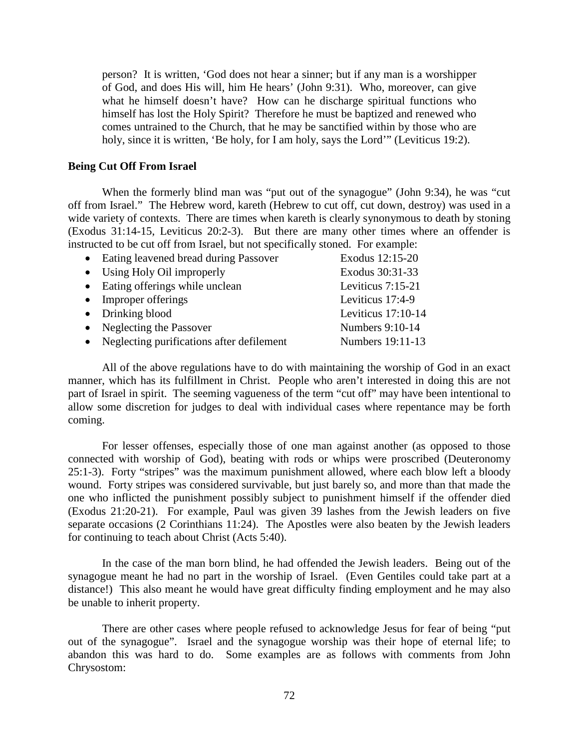person? It is written, 'God does not hear a sinner; but if any man is a worshipper of God, and does His will, him He hears' (John 9:31). Who, moreover, can give what he himself doesn't have? How can he discharge spiritual functions who himself has lost the Holy Spirit? Therefore he must be baptized and renewed who comes untrained to the Church, that he may be sanctified within by those who are holy, since it is written, 'Be holy, for I am holy, says the Lord'" (Leviticus 19:2).

# <span id="page-29-0"></span>**Being Cut Off From Israel**

When the formerly blind man was "put out of the synagogue" (John 9:34), he was "cut off from Israel." The Hebrew word, kareth (Hebrew to cut off, cut down, destroy) was used in a wide variety of contexts. There are times when kareth is clearly synonymous to death by stoning (Exodus 31:14-15, Leviticus 20:2-3). But there are many other times where an offender is instructed to be cut off from Israel, but not specifically stoned. For example:

| • Eating leavened bread during Passover     | Exodus 12:15-20      |
|---------------------------------------------|----------------------|
| • Using Holy Oil improperly                 | Exodus 30:31-33      |
| • Eating offerings while unclean            | Leviticus 7:15-21    |
| • Improper offerings                        | Leviticus 17:4-9     |
| $\bullet$ Drinking blood                    | Leviticus $17:10-14$ |
| • Neglecting the Passover                   | Numbers 9:10-14      |
| • Neglecting purifications after defilement | Numbers 19:11-13     |
|                                             |                      |

All of the above regulations have to do with maintaining the worship of God in an exact manner, which has its fulfillment in Christ. People who aren't interested in doing this are not part of Israel in spirit. The seeming vagueness of the term "cut off" may have been intentional to allow some discretion for judges to deal with individual cases where repentance may be forth coming.

For lesser offenses, especially those of one man against another (as opposed to those connected with worship of God), beating with rods or whips were proscribed (Deuteronomy 25:1-3). Forty "stripes" was the maximum punishment allowed, where each blow left a bloody wound. Forty stripes was considered survivable, but just barely so, and more than that made the one who inflicted the punishment possibly subject to punishment himself if the offender died (Exodus 21:20-21). For example, Paul was given 39 lashes from the Jewish leaders on five separate occasions (2 Corinthians 11:24). The Apostles were also beaten by the Jewish leaders for continuing to teach about Christ (Acts 5:40).

In the case of the man born blind, he had offended the Jewish leaders. Being out of the synagogue meant he had no part in the worship of Israel. (Even Gentiles could take part at a distance!) This also meant he would have great difficulty finding employment and he may also be unable to inherit property.

There are other cases where people refused to acknowledge Jesus for fear of being "put out of the synagogue". Israel and the synagogue worship was their hope of eternal life; to abandon this was hard to do. Some examples are as follows with comments from John Chrysostom: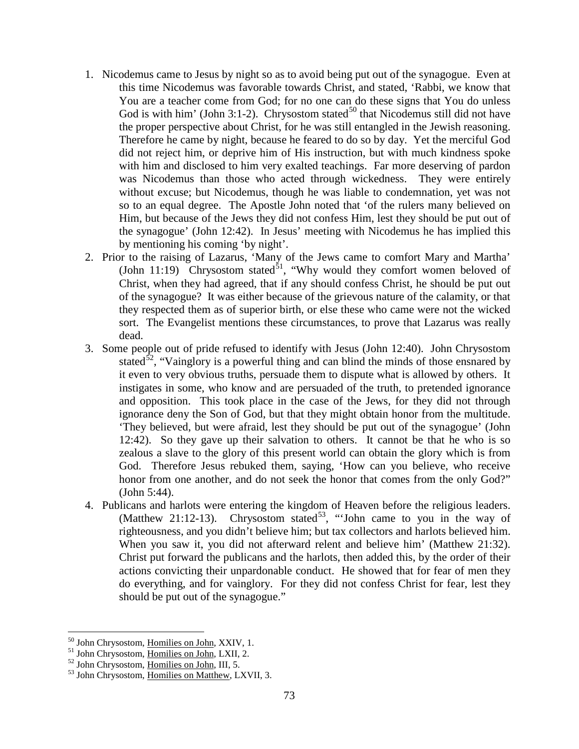- 1. Nicodemus came to Jesus by night so as to avoid being put out of the synagogue. Even at this time Nicodemus was favorable towards Christ, and stated, 'Rabbi, we know that You are a teacher come from God; for no one can do these signs that You do unless God is with him' (John 3:1-2). Chrysostom stated<sup>[50](#page-30-0)</sup> that Nicodemus still did not have the proper perspective about Christ, for he was still entangled in the Jewish reasoning. Therefore he came by night, because he feared to do so by day. Yet the merciful God did not reject him, or deprive him of His instruction, but with much kindness spoke with him and disclosed to him very exalted teachings. Far more deserving of pardon was Nicodemus than those who acted through wickedness. They were entirely without excuse; but Nicodemus, though he was liable to condemnation, yet was not so to an equal degree. The Apostle John noted that 'of the rulers many believed on Him, but because of the Jews they did not confess Him, lest they should be put out of the synagogue' (John 12:42). In Jesus' meeting with Nicodemus he has implied this by mentioning his coming 'by night'.
- 2. Prior to the raising of Lazarus, 'Many of the Jews came to comfort Mary and Martha' (John 11:19) Chrysostom stated<sup>51</sup>, "Why would they comfort women beloved of Christ, when they had agreed, that if any should confess Christ, he should be put out of the synagogue? It was either because of the grievous nature of the calamity, or that they respected them as of superior birth, or else these who came were not the wicked sort. The Evangelist mentions these circumstances, to prove that Lazarus was really dead.
- 3. Some people out of pride refused to identify with Jesus (John 12:40). John Chrysostom stated<sup>52</sup>, "Vainglory is a powerful thing and can blind the minds of those ensnared by it even to very obvious truths, persuade them to dispute what is allowed by others. It instigates in some, who know and are persuaded of the truth, to pretended ignorance and opposition. This took place in the case of the Jews, for they did not through ignorance deny the Son of God, but that they might obtain honor from the multitude. 'They believed, but were afraid, lest they should be put out of the synagogue' (John 12:42). So they gave up their salvation to others. It cannot be that he who is so zealous a slave to the glory of this present world can obtain the glory which is from God. Therefore Jesus rebuked them, saying, 'How can you believe, who receive honor from one another, and do not seek the honor that comes from the only God?" (John 5:44).
- 4. Publicans and harlots were entering the kingdom of Heaven before the religious leaders. (Matthew 21:12-13). Chrysostom stated<sup>53</sup>, "'John came to you in the way of righteousness, and you didn't believe him; but tax collectors and harlots believed him. When you saw it, you did not afterward relent and believe him' (Matthew 21:32). Christ put forward the publicans and the harlots, then added this, by the order of their actions convicting their unpardonable conduct. He showed that for fear of men they do everything, and for vainglory. For they did not confess Christ for fear, lest they should be put out of the synagogue."

<span id="page-30-0"></span><sup>&</sup>lt;sup>50</sup> John Chrysostom, <u>Homilies on John</u>, XXIV, 1.<br><sup>51</sup> John Chrysostom, <u>Homilies on John</u>, LXII, 2.<br><sup>52</sup> John Chrysostom, Homilies on Matthew, LXVII, 3.

<span id="page-30-1"></span>

<span id="page-30-2"></span>

<span id="page-30-3"></span>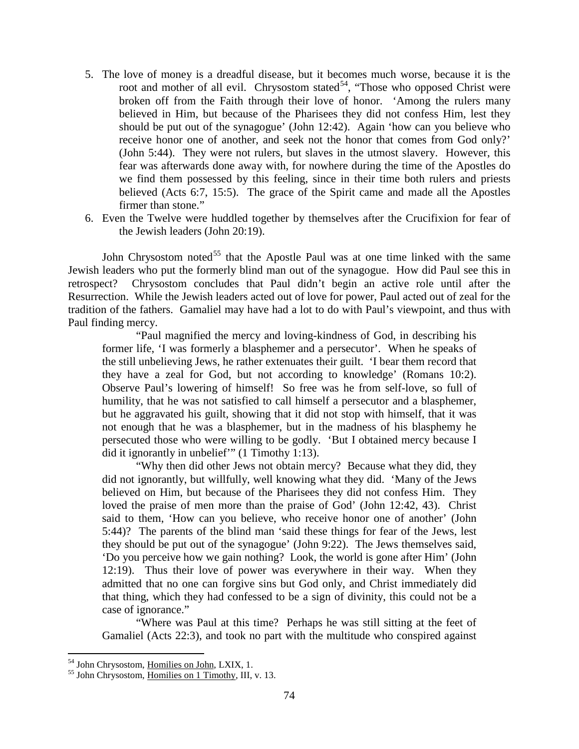- 5. The love of money is a dreadful disease, but it becomes much worse, because it is the root and mother of all evil. Chrysostom stated<sup>[54](#page-31-0)</sup>, "Those who opposed Christ were broken off from the Faith through their love of honor. 'Among the rulers many believed in Him, but because of the Pharisees they did not confess Him, lest they should be put out of the synagogue' (John 12:42). Again 'how can you believe who receive honor one of another, and seek not the honor that comes from God only?' (John 5:44). They were not rulers, but slaves in the utmost slavery. However, this fear was afterwards done away with, for nowhere during the time of the Apostles do we find them possessed by this feeling, since in their time both rulers and priests believed (Acts 6:7, 15:5). The grace of the Spirit came and made all the Apostles firmer than stone."
- 6. Even the Twelve were huddled together by themselves after the Crucifixion for fear of the Jewish leaders (John 20:19).

John Chrysostom noted<sup>[55](#page-31-1)</sup> that the Apostle Paul was at one time linked with the same Jewish leaders who put the formerly blind man out of the synagogue. How did Paul see this in retrospect? Chrysostom concludes that Paul didn't begin an active role until after the Resurrection. While the Jewish leaders acted out of love for power, Paul acted out of zeal for the tradition of the fathers. Gamaliel may have had a lot to do with Paul's viewpoint, and thus with Paul finding mercy.

"Paul magnified the mercy and loving-kindness of God, in describing his former life, 'I was formerly a blasphemer and a persecutor'. When he speaks of the still unbelieving Jews, he rather extenuates their guilt. 'I bear them record that they have a zeal for God, but not according to knowledge' (Romans 10:2). Observe Paul's lowering of himself! So free was he from self-love, so full of humility, that he was not satisfied to call himself a persecutor and a blasphemer, but he aggravated his guilt, showing that it did not stop with himself, that it was not enough that he was a blasphemer, but in the madness of his blasphemy he persecuted those who were willing to be godly. 'But I obtained mercy because I did it ignorantly in unbelief'" (1 Timothy 1:13).

"Why then did other Jews not obtain mercy? Because what they did, they did not ignorantly, but willfully, well knowing what they did. 'Many of the Jews believed on Him, but because of the Pharisees they did not confess Him. They loved the praise of men more than the praise of God' (John 12:42, 43). Christ said to them, 'How can you believe, who receive honor one of another' (John 5:44)? The parents of the blind man 'said these things for fear of the Jews, lest they should be put out of the synagogue' (John 9:22). The Jews themselves said, 'Do you perceive how we gain nothing? Look, the world is gone after Him' (John 12:19). Thus their love of power was everywhere in their way. When they admitted that no one can forgive sins but God only, and Christ immediately did that thing, which they had confessed to be a sign of divinity, this could not be a case of ignorance."

"Where was Paul at this time? Perhaps he was still sitting at the feet of Gamaliel (Acts 22:3), and took no part with the multitude who conspired against

<span id="page-31-1"></span><span id="page-31-0"></span><sup>&</sup>lt;sup>54</sup> John Chrysostom, <u>Homilies on John</u>, LXIX, 1.<br><sup>55</sup> John Chrysostom, <u>Homilies on 1 Timothy</u>, III, v. 13.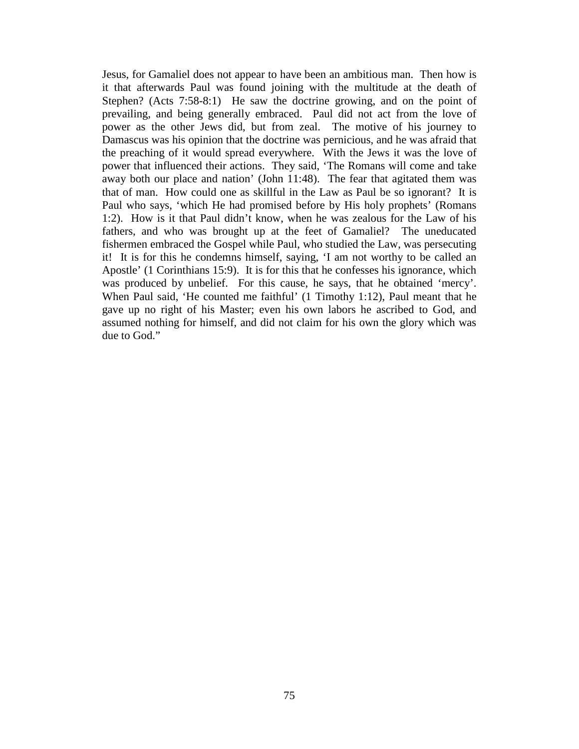<span id="page-32-0"></span>Jesus, for Gamaliel does not appear to have been an ambitious man. Then how is it that afterwards Paul was found joining with the multitude at the death of Stephen? (Acts 7:58-8:1) He saw the doctrine growing, and on the point of prevailing, and being generally embraced. Paul did not act from the love of power as the other Jews did, but from zeal. The motive of his journey to Damascus was his opinion that the doctrine was pernicious, and he was afraid that the preaching of it would spread everywhere. With the Jews it was the love of power that influenced their actions. They said, 'The Romans will come and take away both our place and nation' (John 11:48). The fear that agitated them was that of man. How could one as skillful in the Law as Paul be so ignorant? It is Paul who says, 'which He had promised before by His holy prophets' (Romans 1:2). How is it that Paul didn't know, when he was zealous for the Law of his fathers, and who was brought up at the feet of Gamaliel? The uneducated fishermen embraced the Gospel while Paul, who studied the Law, was persecuting it! It is for this he condemns himself, saying, 'I am not worthy to be called an Apostle' (1 Corinthians 15:9). It is for this that he confesses his ignorance, which was produced by unbelief. For this cause, he says, that he obtained 'mercy'. When Paul said, 'He counted me faithful' (1 Timothy 1:12), Paul meant that he gave up no right of his Master; even his own labors he ascribed to God, and assumed nothing for himself, and did not claim for his own the glory which was due to God."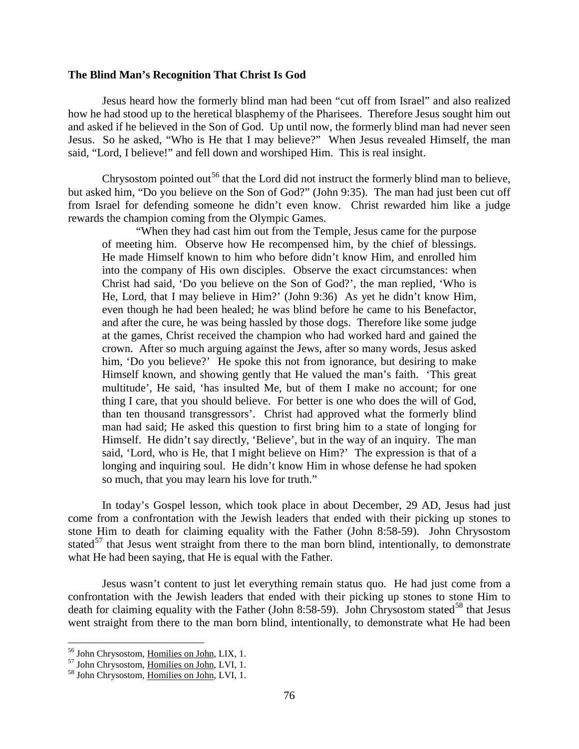#### **The Blind Man's Recognition That Christ Is God**

Jesus heard how the formerly blind man had been "cut off from Israel" and also realized how he had stood up to the heretical blasphemy of the Pharisees. Therefore Jesus sought him out and asked if he believed in the Son of God. Up until now, the formerly blind man had never seen Jesus. So he asked, "Who is He that I may believe?" When Jesus revealed Himself, the man said, "Lord, I believe!" and fell down and worshiped Him. This is real insight.

Chrysostom pointed out<sup>[56](#page-33-0)</sup> that the Lord did not instruct the formerly blind man to believe, but asked him, "Do you believe on the Son of God?" (John 9:35). The man had just been cut off from Israel for defending someone he didn't even know. Christ rewarded him like a judge rewards the champion coming from the Olympic Games.

"When they had cast him out from the Temple, Jesus came for the purpose of meeting him. Observe how He recompensed him, by the chief of blessings. He made Himself known to him who before didn't know Him, and enrolled him into the company of His own disciples. Observe the exact circumstances: when Christ had said, 'Do you believe on the Son of God?', the man replied, 'Who is He, Lord, that I may believe in Him?' (John 9:36) As yet he didn't know Him, even though he had been healed; he was blind before he came to his Benefactor, and after the cure, he was being hassled by those dogs. Therefore like some judge at the games, Christ received the champion who had worked hard and gained the crown. After so much arguing against the Jews, after so many words, Jesus asked him, 'Do you believe?' He spoke this not from ignorance, but desiring to make Himself known, and showing gently that He valued the man's faith. 'This great multitude', He said, 'has insulted Me, but of them I make no account; for one thing I care, that you should believe. For better is one who does the will of God, than ten thousand transgressors'. Christ had approved what the formerly blind man had said; He asked this question to first bring him to a state of longing for Himself. He didn't say directly, 'Believe', but in the way of an inquiry. The man said, 'Lord, who is He, that I might believe on Him?' The expression is that of a longing and inquiring soul. He didn't know Him in whose defense he had spoken so much, that you may learn his love for truth."

In today's Gospel lesson, which took place in about December, 29 AD, Jesus had just come from a confrontation with the Jewish leaders that ended with their picking up stones to stone Him to death for claiming equality with the Father (John 8:58-59). John Chrysostom stated<sup>[57](#page-33-1)</sup> that Jesus went straight from there to the man born blind, intentionally, to demonstrate what He had been saying, that He is equal with the Father.

Jesus wasn't content to just let everything remain status quo. He had just come from a confrontation with the Jewish leaders that ended with their picking up stones to stone Him to death for claiming equality with the Father (John 8:[58](#page-33-2)-59). John Chrysostom stated<sup>58</sup> that Jesus went straight from there to the man born blind, intentionally, to demonstrate what He had been

<span id="page-33-1"></span><span id="page-33-0"></span><sup>&</sup>lt;sup>56</sup> John Chrysostom, <u>Homilies on John</u>, LIX, 1.<br><sup>57</sup> John Chrysostom, <u>Homilies on John</u>, LVI, 1.<br><sup>58</sup> John Chrysostom, Homilies on John, LVI, 1.

<span id="page-33-2"></span>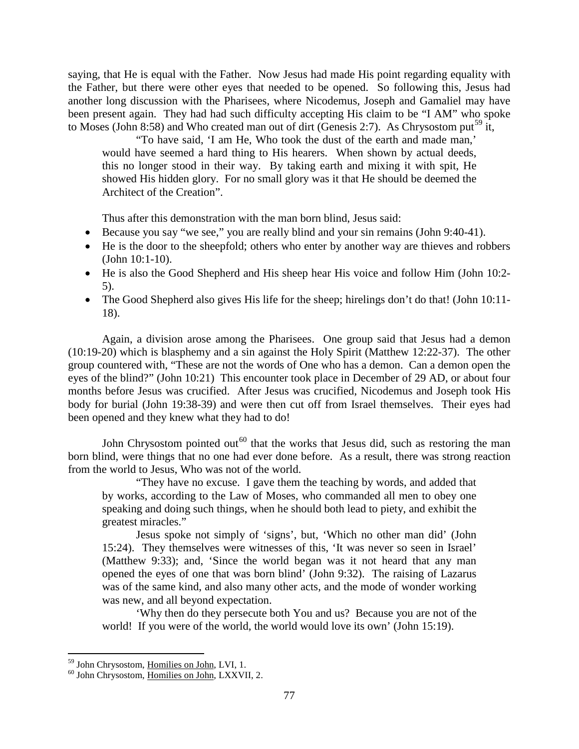saying, that He is equal with the Father. Now Jesus had made His point regarding equality with the Father, but there were other eyes that needed to be opened. So following this, Jesus had another long discussion with the Pharisees, where Nicodemus, Joseph and Gamaliel may have been present again. They had had such difficulty accepting His claim to be "I AM" who spoke to Moses (John 8:58) and Who created man out of dirt (Genesis 2:7). As Chrysostom put<sup>[59](#page-34-0)</sup> it,

"To have said, 'I am He, Who took the dust of the earth and made man,' would have seemed a hard thing to His hearers. When shown by actual deeds, this no longer stood in their way. By taking earth and mixing it with spit, He showed His hidden glory. For no small glory was it that He should be deemed the Architect of the Creation".

Thus after this demonstration with the man born blind, Jesus said:

- Because you say "we see," you are really blind and your sin remains (John 9:40-41).
- He is the door to the sheepfold; others who enter by another way are thieves and robbers (John 10:1-10).
- He is also the Good Shepherd and His sheep hear His voice and follow Him (John 10:2-5).
- The Good Shepherd also gives His life for the sheep; hirelings don't do that! (John 10:11-18).

Again, a division arose among the Pharisees. One group said that Jesus had a demon (10:19-20) which is blasphemy and a sin against the Holy Spirit (Matthew 12:22-37). The other group countered with, "These are not the words of One who has a demon. Can a demon open the eyes of the blind?" (John 10:21) This encounter took place in December of 29 AD, or about four months before Jesus was crucified. After Jesus was crucified, Nicodemus and Joseph took His body for burial (John 19:38-39) and were then cut off from Israel themselves. Their eyes had been opened and they knew what they had to do!

John Chrysostom pointed out<sup>[60](#page-34-1)</sup> that the works that Jesus did, such as restoring the man born blind, were things that no one had ever done before. As a result, there was strong reaction from the world to Jesus, Who was not of the world.

"They have no excuse. I gave them the teaching by words, and added that by works, according to the Law of Moses, who commanded all men to obey one speaking and doing such things, when he should both lead to piety, and exhibit the greatest miracles."

Jesus spoke not simply of 'signs', but, 'Which no other man did' (John 15:24). They themselves were witnesses of this, 'It was never so seen in Israel' (Matthew 9:33); and, 'Since the world began was it not heard that any man opened the eyes of one that was born blind' (John 9:32). The raising of Lazarus was of the same kind, and also many other acts, and the mode of wonder working was new, and all beyond expectation.

'Why then do they persecute both You and us? Because you are not of the world! If you were of the world, the world would love its own' (John 15:19).

<span id="page-34-1"></span><span id="page-34-0"></span> $^{59}$  John Chrysostom, <u>Homilies on John</u>, LVI, 1.  $^{60}$  John Chrysostom, <u>Homilies on John</u>, LXXVII, 2.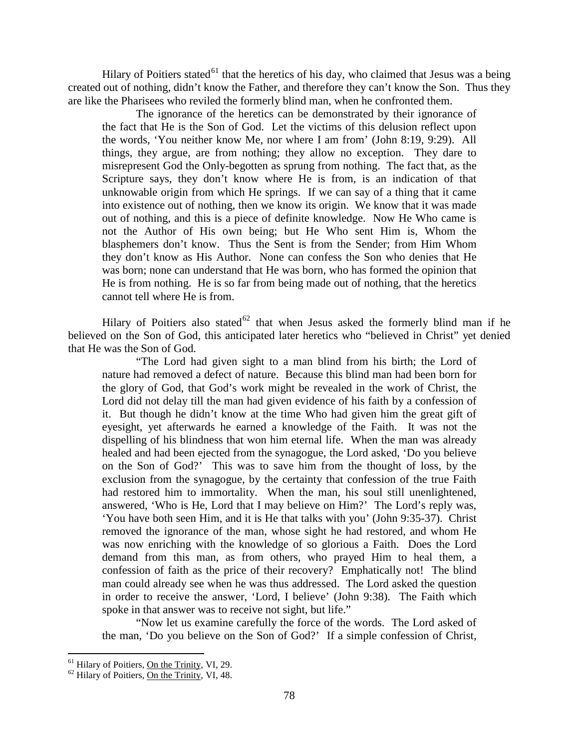Hilary of Poitiers stated<sup>[61](#page-35-0)</sup> that the heretics of his day, who claimed that Jesus was a being created out of nothing, didn't know the Father, and therefore they can't know the Son. Thus they are like the Pharisees who reviled the formerly blind man, when he confronted them.

The ignorance of the heretics can be demonstrated by their ignorance of the fact that He is the Son of God. Let the victims of this delusion reflect upon the words, 'You neither know Me, nor where I am from' (John 8:19, 9:29). All things, they argue, are from nothing; they allow no exception. They dare to misrepresent God the Only-begotten as sprung from nothing. The fact that, as the Scripture says, they don't know where He is from, is an indication of that unknowable origin from which He springs. If we can say of a thing that it came into existence out of nothing, then we know its origin. We know that it was made out of nothing, and this is a piece of definite knowledge. Now He Who came is not the Author of His own being; but He Who sent Him is, Whom the blasphemers don't know. Thus the Sent is from the Sender; from Him Whom they don't know as His Author. None can confess the Son who denies that He was born; none can understand that He was born, who has formed the opinion that He is from nothing. He is so far from being made out of nothing, that the heretics cannot tell where He is from.

Hilary of Poitiers also stated<sup>[62](#page-35-1)</sup> that when Jesus asked the formerly blind man if he believed on the Son of God, this anticipated later heretics who "believed in Christ" yet denied that He was the Son of God.

"The Lord had given sight to a man blind from his birth; the Lord of nature had removed a defect of nature. Because this blind man had been born for the glory of God, that God's work might be revealed in the work of Christ, the Lord did not delay till the man had given evidence of his faith by a confession of it. But though he didn't know at the time Who had given him the great gift of eyesight, yet afterwards he earned a knowledge of the Faith. It was not the dispelling of his blindness that won him eternal life. When the man was already healed and had been ejected from the synagogue, the Lord asked, 'Do you believe on the Son of God?' This was to save him from the thought of loss, by the exclusion from the synagogue, by the certainty that confession of the true Faith had restored him to immortality. When the man, his soul still unenlightened, answered, 'Who is He, Lord that I may believe on Him?' The Lord's reply was, 'You have both seen Him, and it is He that talks with you' (John 9:35-37). Christ removed the ignorance of the man, whose sight he had restored, and whom He was now enriching with the knowledge of so glorious a Faith. Does the Lord demand from this man, as from others, who prayed Him to heal them, a confession of faith as the price of their recovery? Emphatically not! The blind man could already see when he was thus addressed. The Lord asked the question in order to receive the answer, 'Lord, I believe' (John 9:38). The Faith which spoke in that answer was to receive not sight, but life."

"Now let us examine carefully the force of the words. The Lord asked of the man, 'Do you believe on the Son of God?' If a simple confession of Christ,

<span id="page-35-0"></span><sup>&</sup>lt;sup>61</sup> Hilary of Poitiers, <u>On the Trinity</u>, VI, 29. <sup>62</sup> Hilary of Poitiers, <u>On the Trinity</u>, VI, 48.

<span id="page-35-1"></span>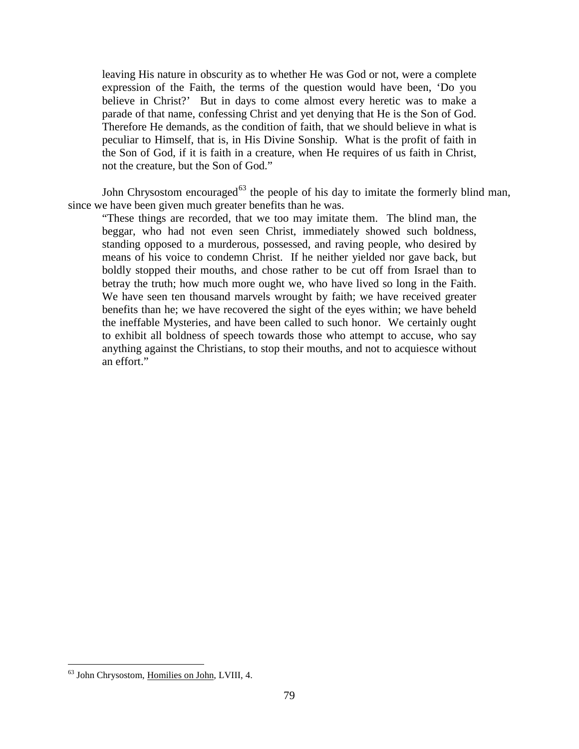leaving His nature in obscurity as to whether He was God or not, were a complete expression of the Faith, the terms of the question would have been, 'Do you believe in Christ?' But in days to come almost every heretic was to make a parade of that name, confessing Christ and yet denying that He is the Son of God. Therefore He demands, as the condition of faith, that we should believe in what is peculiar to Himself, that is, in His Divine Sonship. What is the profit of faith in the Son of God, if it is faith in a creature, when He requires of us faith in Christ, not the creature, but the Son of God."

John Chrysostom encouraged<sup>[63](#page-36-0)</sup> the people of his day to imitate the formerly blind man, since we have been given much greater benefits than he was.

"These things are recorded, that we too may imitate them. The blind man, the beggar, who had not even seen Christ, immediately showed such boldness, standing opposed to a murderous, possessed, and raving people, who desired by means of his voice to condemn Christ. If he neither yielded nor gave back, but boldly stopped their mouths, and chose rather to be cut off from Israel than to betray the truth; how much more ought we, who have lived so long in the Faith. We have seen ten thousand marvels wrought by faith; we have received greater benefits than he; we have recovered the sight of the eyes within; we have beheld the ineffable Mysteries, and have been called to such honor. We certainly ought to exhibit all boldness of speech towards those who attempt to accuse, who say anything against the Christians, to stop their mouths, and not to acquiesce without an effort."

<span id="page-36-0"></span> <sup>63</sup> John Chrysostom, Homilies on John, LVIII, 4.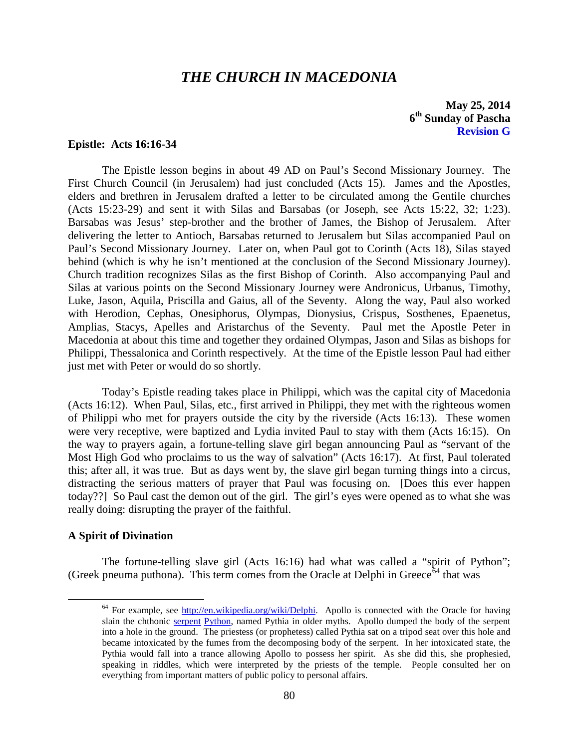# *THE CHURCH IN MACEDONIA*

**May 25, 2014 6th Sunday of Pascha Revision G**

# <span id="page-37-0"></span>**Epistle: Acts 16:16-34**

The Epistle lesson begins in about 49 AD on Paul's Second Missionary Journey. The First Church Council (in Jerusalem) had just concluded (Acts 15). James and the Apostles, elders and brethren in Jerusalem drafted a letter to be circulated among the Gentile churches (Acts 15:23-29) and sent it with Silas and Barsabas (or Joseph, see Acts 15:22, 32; 1:23). Barsabas was Jesus' step-brother and the brother of James, the Bishop of Jerusalem. After delivering the letter to Antioch, Barsabas returned to Jerusalem but Silas accompanied Paul on Paul's Second Missionary Journey. Later on, when Paul got to Corinth (Acts 18), Silas stayed behind (which is why he isn't mentioned at the conclusion of the Second Missionary Journey). Church tradition recognizes Silas as the first Bishop of Corinth. Also accompanying Paul and Silas at various points on the Second Missionary Journey were Andronicus, Urbanus, Timothy, Luke, Jason, Aquila, Priscilla and Gaius, all of the Seventy. Along the way, Paul also worked with Herodion, Cephas, Onesiphorus, Olympas, Dionysius, Crispus, Sosthenes, Epaenetus, Amplias, Stacys, Apelles and Aristarchus of the Seventy. Paul met the Apostle Peter in Macedonia at about this time and together they ordained Olympas, Jason and Silas as bishops for Philippi, Thessalonica and Corinth respectively. At the time of the Epistle lesson Paul had either just met with Peter or would do so shortly.

Today's Epistle reading takes place in Philippi, which was the capital city of Macedonia (Acts 16:12). When Paul, Silas, etc., first arrived in Philippi, they met with the righteous women of Philippi who met for prayers outside the city by the riverside (Acts 16:13). These women were very receptive, were baptized and Lydia invited Paul to stay with them (Acts 16:15). On the way to prayers again, a fortune-telling slave girl began announcing Paul as "servant of the Most High God who proclaims to us the way of salvation" (Acts 16:17). At first, Paul tolerated this; after all, it was true. But as days went by, the slave girl began turning things into a circus, distracting the serious matters of prayer that Paul was focusing on. [Does this ever happen today??] So Paul cast the demon out of the girl. The girl's eyes were opened as to what she was really doing: disrupting the prayer of the faithful.

# <span id="page-37-1"></span>**A Spirit of Divination**

<span id="page-37-2"></span>The fortune-telling slave girl (Acts 16:16) had what was called a "spirit of Python"; (Greek pneuma puthona). This term comes from the Oracle at Delphi in Greece<sup> $64$ </sup> that was

 $64$  For example, see [http://en.wikipedia.org/wiki/Delphi.](http://en.wikipedia.org/wiki/Delphi) Apollo is connected with the Oracle for having slain the chthonic [serpent](http://en.wikipedia.org/wiki/Serpent_%28symbolism%29) [Python,](http://en.wikipedia.org/wiki/Python_%28mythology%29) named Pythia in older myths. Apollo dumped the body of the serpent into a hole in the ground. The priestess (or prophetess) called Pythia sat on a tripod seat over this hole and became intoxicated by the fumes from the decomposing body of the serpent. In her intoxicated state, the Pythia would fall into a trance allowing Apollo to possess her spirit. As she did this, she prophesied, speaking in riddles, which were interpreted by the priests of the temple. People consulted her on everything from important matters of public policy to personal affairs.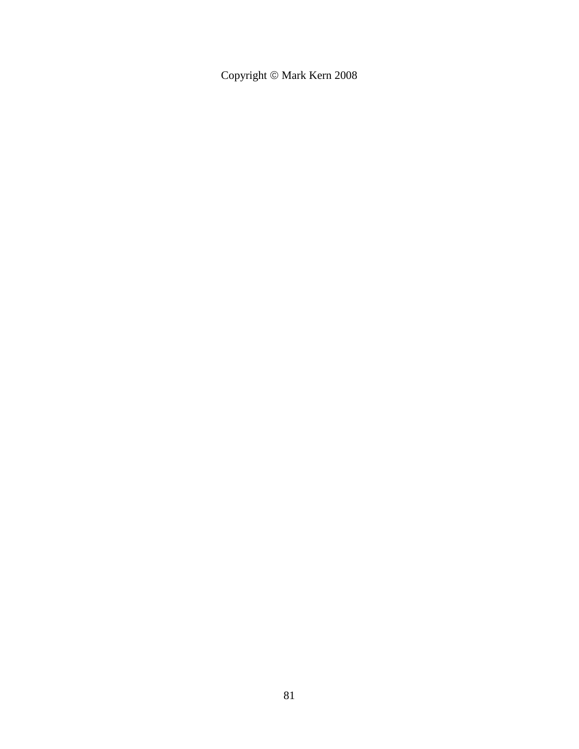Copyright  $\circledcirc$  Mark Kern 2008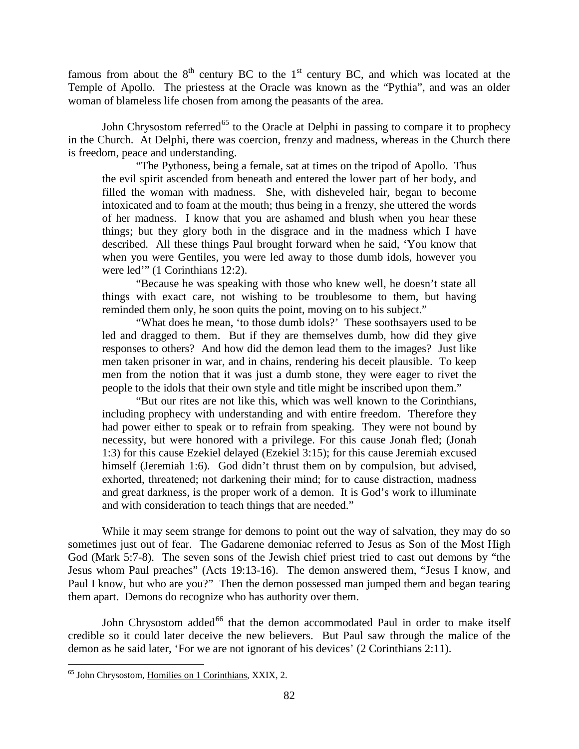famous from about the  $8<sup>th</sup>$  century BC to the 1<sup>st</sup> century BC, and which was located at the Temple of Apollo. The priestess at the Oracle was known as the "Pythia", and was an older woman of blameless life chosen from among the peasants of the area.

John Chrysostom referred<sup>[65](#page-39-0)</sup> to the Oracle at Delphi in passing to compare it to prophecy in the Church. At Delphi, there was coercion, frenzy and madness, whereas in the Church there is freedom, peace and understanding.

"The Pythoness, being a female, sat at times on the tripod of Apollo. Thus the evil spirit ascended from beneath and entered the lower part of her body, and filled the woman with madness. She, with disheveled hair, began to become intoxicated and to foam at the mouth; thus being in a frenzy, she uttered the words of her madness. I know that you are ashamed and blush when you hear these things; but they glory both in the disgrace and in the madness which I have described. All these things Paul brought forward when he said, 'You know that when you were Gentiles, you were led away to those dumb idols, however you were led'" (1 Corinthians 12:2).

"Because he was speaking with those who knew well, he doesn't state all things with exact care, not wishing to be troublesome to them, but having reminded them only, he soon quits the point, moving on to his subject."

"What does he mean, 'to those dumb idols?' These soothsayers used to be led and dragged to them. But if they are themselves dumb, how did they give responses to others? And how did the demon lead them to the images? Just like men taken prisoner in war, and in chains, rendering his deceit plausible. To keep men from the notion that it was just a dumb stone, they were eager to rivet the people to the idols that their own style and title might be inscribed upon them."

"But our rites are not like this, which was well known to the Corinthians, including prophecy with understanding and with entire freedom. Therefore they had power either to speak or to refrain from speaking. They were not bound by necessity, but were honored with a privilege. For this cause Jonah fled; (Jonah 1:3) for this cause Ezekiel delayed (Ezekiel 3:15); for this cause Jeremiah excused himself (Jeremiah 1:6). God didn't thrust them on by compulsion, but advised, exhorted, threatened; not darkening their mind; for to cause distraction, madness and great darkness, is the proper work of a demon. It is God's work to illuminate and with consideration to teach things that are needed."

While it may seem strange for demons to point out the way of salvation, they may do so sometimes just out of fear. The Gadarene demoniac referred to Jesus as Son of the Most High God (Mark 5:7-8). The seven sons of the Jewish chief priest tried to cast out demons by "the Jesus whom Paul preaches" (Acts 19:13-16). The demon answered them, "Jesus I know, and Paul I know, but who are you?" Then the demon possessed man jumped them and began tearing them apart. Demons do recognize who has authority over them.

John Chrysostom added<sup>[66](#page-39-1)</sup> that the demon accommodated Paul in order to make itself credible so it could later deceive the new believers. But Paul saw through the malice of the demon as he said later, 'For we are not ignorant of his devices' (2 Corinthians 2:11).

<span id="page-39-1"></span><span id="page-39-0"></span> <sup>65</sup> John Chrysostom, Homilies on 1 Corinthians, XXIX, 2.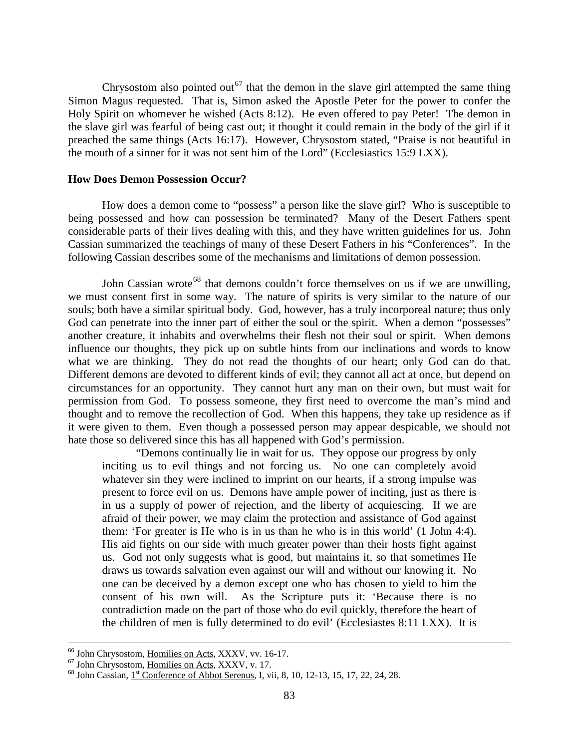Chrysostom also pointed out<sup>[67](#page-40-1)</sup> that the demon in the slave girl attempted the same thing Simon Magus requested. That is, Simon asked the Apostle Peter for the power to confer the Holy Spirit on whomever he wished (Acts 8:12). He even offered to pay Peter! The demon in the slave girl was fearful of being cast out; it thought it could remain in the body of the girl if it preached the same things (Acts 16:17). However, Chrysostom stated, "Praise is not beautiful in the mouth of a sinner for it was not sent him of the Lord" (Ecclesiastics 15:9 LXX).

#### <span id="page-40-0"></span>**How Does Demon Possession Occur?**

How does a demon come to "possess" a person like the slave girl? Who is susceptible to being possessed and how can possession be terminated? Many of the Desert Fathers spent considerable parts of their lives dealing with this, and they have written guidelines for us. John Cassian summarized the teachings of many of these Desert Fathers in his "Conferences". In the following Cassian describes some of the mechanisms and limitations of demon possession.

John Cassian wrote<sup>[68](#page-40-2)</sup> that demons couldn't force themselves on us if we are unwilling, we must consent first in some way. The nature of spirits is very similar to the nature of our souls; both have a similar spiritual body. God, however, has a truly incorporeal nature; thus only God can penetrate into the inner part of either the soul or the spirit. When a demon "possesses" another creature, it inhabits and overwhelms their flesh not their soul or spirit. When demons influence our thoughts, they pick up on subtle hints from our inclinations and words to know what we are thinking. They do not read the thoughts of our heart; only God can do that. Different demons are devoted to different kinds of evil; they cannot all act at once, but depend on circumstances for an opportunity. They cannot hurt any man on their own, but must wait for permission from God. To possess someone, they first need to overcome the man's mind and thought and to remove the recollection of God. When this happens, they take up residence as if it were given to them. Even though a possessed person may appear despicable, we should not hate those so delivered since this has all happened with God's permission.

"Demons continually lie in wait for us. They oppose our progress by only inciting us to evil things and not forcing us. No one can completely avoid whatever sin they were inclined to imprint on our hearts, if a strong impulse was present to force evil on us. Demons have ample power of inciting, just as there is in us a supply of power of rejection, and the liberty of acquiescing. If we are afraid of their power, we may claim the protection and assistance of God against them: 'For greater is He who is in us than he who is in this world' (1 John 4:4). His aid fights on our side with much greater power than their hosts fight against us. God not only suggests what is good, but maintains it, so that sometimes He draws us towards salvation even against our will and without our knowing it. No one can be deceived by a demon except one who has chosen to yield to him the consent of his own will. As the Scripture puts it: 'Because there is no contradiction made on the part of those who do evil quickly, therefore the heart of the children of men is fully determined to do evil' (Ecclesiastes 8:11 LXX). It is

<span id="page-40-2"></span>

<span id="page-40-1"></span><sup>&</sup>lt;sup>66</sup> John Chrysostom, <u>Homilies on Acts</u>, XXXV, vv. 16-17.<br><sup>67</sup> John Chrysostom, <u>Homilies on Acts</u>, XXXV, v. 17.<br><sup>68</sup> John Cassian, 1<sup>st</sup> Conference o<u>f Abbot Serenus</u>, I, vii, 8, 10, 12-13, 15, 17, 22, 24, 28.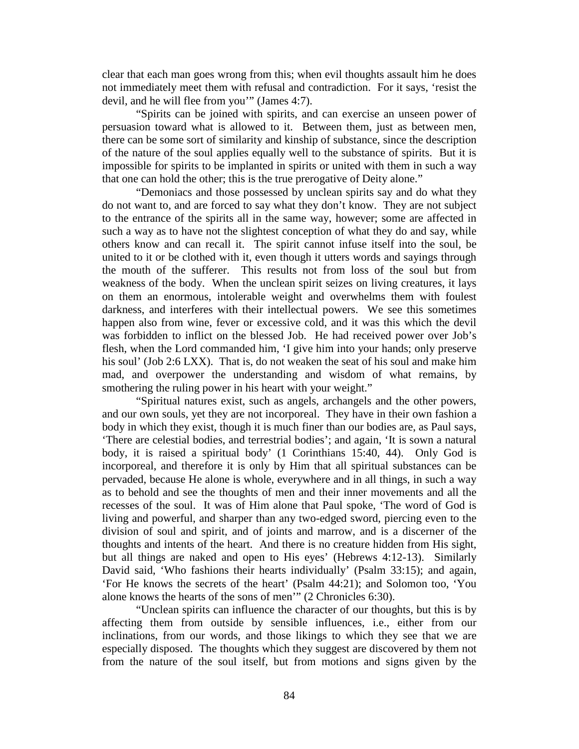clear that each man goes wrong from this; when evil thoughts assault him he does not immediately meet them with refusal and contradiction. For it says, 'resist the devil, and he will flee from you'" (James 4:7).

"Spirits can be joined with spirits, and can exercise an unseen power of persuasion toward what is allowed to it. Between them, just as between men, there can be some sort of similarity and kinship of substance, since the description of the nature of the soul applies equally well to the substance of spirits. But it is impossible for spirits to be implanted in spirits or united with them in such a way that one can hold the other; this is the true prerogative of Deity alone."

"Demoniacs and those possessed by unclean spirits say and do what they do not want to, and are forced to say what they don't know. They are not subject to the entrance of the spirits all in the same way, however; some are affected in such a way as to have not the slightest conception of what they do and say, while others know and can recall it. The spirit cannot infuse itself into the soul, be united to it or be clothed with it, even though it utters words and sayings through the mouth of the sufferer. This results not from loss of the soul but from weakness of the body. When the unclean spirit seizes on living creatures, it lays on them an enormous, intolerable weight and overwhelms them with foulest darkness, and interferes with their intellectual powers. We see this sometimes happen also from wine, fever or excessive cold, and it was this which the devil was forbidden to inflict on the blessed Job. He had received power over Job's flesh, when the Lord commanded him, 'I give him into your hands; only preserve his soul' (Job 2:6 LXX). That is, do not weaken the seat of his soul and make him mad, and overpower the understanding and wisdom of what remains, by smothering the ruling power in his heart with your weight."

"Spiritual natures exist, such as angels, archangels and the other powers, and our own souls, yet they are not incorporeal. They have in their own fashion a body in which they exist, though it is much finer than our bodies are, as Paul says, 'There are celestial bodies, and terrestrial bodies'; and again, 'It is sown a natural body, it is raised a spiritual body' (1 Corinthians 15:40, 44). Only God is incorporeal, and therefore it is only by Him that all spiritual substances can be pervaded, because He alone is whole, everywhere and in all things, in such a way as to behold and see the thoughts of men and their inner movements and all the recesses of the soul. It was of Him alone that Paul spoke, 'The word of God is living and powerful, and sharper than any two-edged sword, piercing even to the division of soul and spirit, and of joints and marrow, and is a discerner of the thoughts and intents of the heart. And there is no creature hidden from His sight, but all things are naked and open to His eyes' (Hebrews 4:12-13). Similarly David said, 'Who fashions their hearts individually' (Psalm 33:15); and again, 'For He knows the secrets of the heart' (Psalm 44:21); and Solomon too, 'You alone knows the hearts of the sons of men'" (2 Chronicles 6:30).

"Unclean spirits can influence the character of our thoughts, but this is by affecting them from outside by sensible influences, i.e., either from our inclinations, from our words, and those likings to which they see that we are especially disposed. The thoughts which they suggest are discovered by them not from the nature of the soul itself, but from motions and signs given by the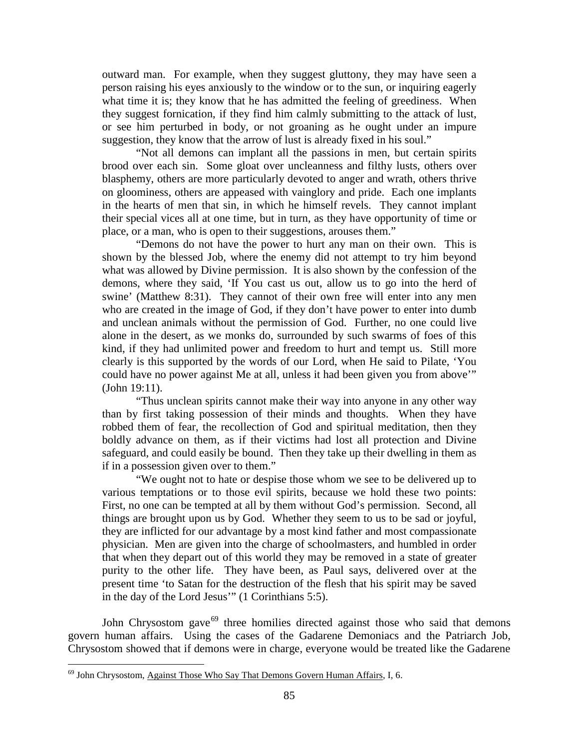outward man. For example, when they suggest gluttony, they may have seen a person raising his eyes anxiously to the window or to the sun, or inquiring eagerly what time it is; they know that he has admitted the feeling of greediness. When they suggest fornication, if they find him calmly submitting to the attack of lust, or see him perturbed in body, or not groaning as he ought under an impure suggestion, they know that the arrow of lust is already fixed in his soul."

"Not all demons can implant all the passions in men, but certain spirits brood over each sin. Some gloat over uncleanness and filthy lusts, others over blasphemy, others are more particularly devoted to anger and wrath, others thrive on gloominess, others are appeased with vainglory and pride. Each one implants in the hearts of men that sin, in which he himself revels. They cannot implant their special vices all at one time, but in turn, as they have opportunity of time or place, or a man, who is open to their suggestions, arouses them."

"Demons do not have the power to hurt any man on their own. This is shown by the blessed Job, where the enemy did not attempt to try him beyond what was allowed by Divine permission. It is also shown by the confession of the demons, where they said, 'If You cast us out, allow us to go into the herd of swine' (Matthew 8:31). They cannot of their own free will enter into any men who are created in the image of God, if they don't have power to enter into dumb and unclean animals without the permission of God. Further, no one could live alone in the desert, as we monks do, surrounded by such swarms of foes of this kind, if they had unlimited power and freedom to hurt and tempt us. Still more clearly is this supported by the words of our Lord, when He said to Pilate, 'You could have no power against Me at all, unless it had been given you from above'" (John 19:11).

"Thus unclean spirits cannot make their way into anyone in any other way than by first taking possession of their minds and thoughts. When they have robbed them of fear, the recollection of God and spiritual meditation, then they boldly advance on them, as if their victims had lost all protection and Divine safeguard, and could easily be bound. Then they take up their dwelling in them as if in a possession given over to them."

"We ought not to hate or despise those whom we see to be delivered up to various temptations or to those evil spirits, because we hold these two points: First, no one can be tempted at all by them without God's permission. Second, all things are brought upon us by God. Whether they seem to us to be sad or joyful, they are inflicted for our advantage by a most kind father and most compassionate physician. Men are given into the charge of schoolmasters, and humbled in order that when they depart out of this world they may be removed in a state of greater purity to the other life. They have been, as Paul says, delivered over at the present time 'to Satan for the destruction of the flesh that his spirit may be saved in the day of the Lord Jesus'" (1 Corinthians 5:5).

John Chrysostom gave<sup>[69](#page-42-0)</sup> three homilies directed against those who said that demons govern human affairs. Using the cases of the Gadarene Demoniacs and the Patriarch Job, Chrysostom showed that if demons were in charge, everyone would be treated like the Gadarene

<span id="page-42-0"></span> $69$  John Chrysostom, Against Those Who Say That Demons Govern Human Affairs, I, 6.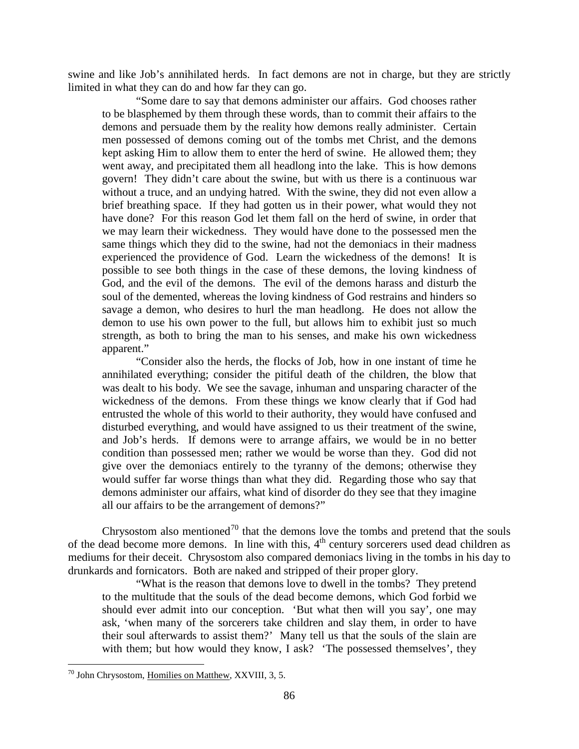swine and like Job's annihilated herds. In fact demons are not in charge, but they are strictly limited in what they can do and how far they can go.

"Some dare to say that demons administer our affairs. God chooses rather to be blasphemed by them through these words, than to commit their affairs to the demons and persuade them by the reality how demons really administer. Certain men possessed of demons coming out of the tombs met Christ, and the demons kept asking Him to allow them to enter the herd of swine. He allowed them; they went away, and precipitated them all headlong into the lake. This is how demons govern! They didn't care about the swine, but with us there is a continuous war without a truce, and an undying hatred. With the swine, they did not even allow a brief breathing space. If they had gotten us in their power, what would they not have done? For this reason God let them fall on the herd of swine, in order that we may learn their wickedness. They would have done to the possessed men the same things which they did to the swine, had not the demoniacs in their madness experienced the providence of God. Learn the wickedness of the demons! It is possible to see both things in the case of these demons, the loving kindness of God, and the evil of the demons. The evil of the demons harass and disturb the soul of the demented, whereas the loving kindness of God restrains and hinders so savage a demon, who desires to hurl the man headlong. He does not allow the demon to use his own power to the full, but allows him to exhibit just so much strength, as both to bring the man to his senses, and make his own wickedness apparent."

"Consider also the herds, the flocks of Job, how in one instant of time he annihilated everything; consider the pitiful death of the children, the blow that was dealt to his body. We see the savage, inhuman and unsparing character of the wickedness of the demons. From these things we know clearly that if God had entrusted the whole of this world to their authority, they would have confused and disturbed everything, and would have assigned to us their treatment of the swine, and Job's herds. If demons were to arrange affairs, we would be in no better condition than possessed men; rather we would be worse than they. God did not give over the demoniacs entirely to the tyranny of the demons; otherwise they would suffer far worse things than what they did. Regarding those who say that demons administer our affairs, what kind of disorder do they see that they imagine all our affairs to be the arrangement of demons?"

Chrysostom also mentioned<sup>[70](#page-43-0)</sup> that the demons love the tombs and pretend that the souls of the dead become more demons. In line with this,  $4<sup>th</sup>$  century sorcerers used dead children as mediums for their deceit. Chrysostom also compared demoniacs living in the tombs in his day to drunkards and fornicators. Both are naked and stripped of their proper glory.

"What is the reason that demons love to dwell in the tombs? They pretend to the multitude that the souls of the dead become demons, which God forbid we should ever admit into our conception. 'But what then will you say', one may ask, 'when many of the sorcerers take children and slay them, in order to have their soul afterwards to assist them?' Many tell us that the souls of the slain are with them; but how would they know, I ask? 'The possessed themselves', they

<span id="page-43-0"></span><sup>&</sup>lt;sup>70</sup> John Chrysostom, Homilies on Matthew, XXVIII, 3, 5.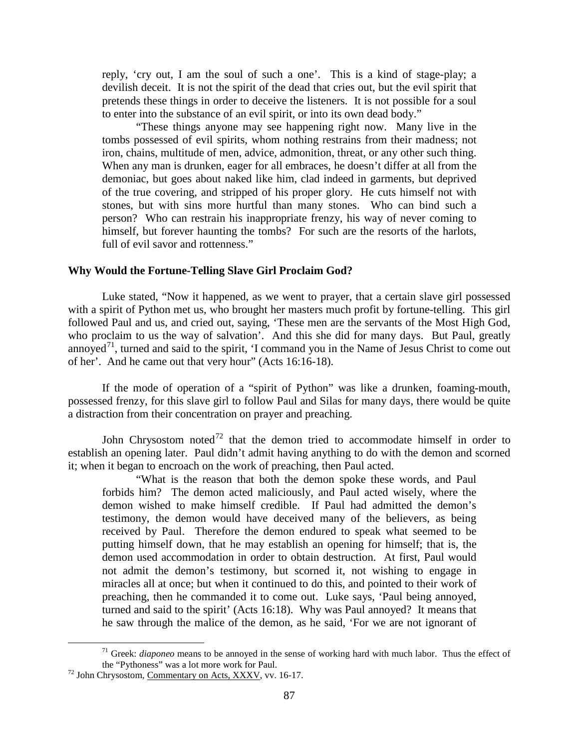reply, 'cry out, I am the soul of such a one'. This is a kind of stage-play; a devilish deceit. It is not the spirit of the dead that cries out, but the evil spirit that pretends these things in order to deceive the listeners. It is not possible for a soul to enter into the substance of an evil spirit, or into its own dead body."

"These things anyone may see happening right now. Many live in the tombs possessed of evil spirits, whom nothing restrains from their madness; not iron, chains, multitude of men, advice, admonition, threat, or any other such thing. When any man is drunken, eager for all embraces, he doesn't differ at all from the demoniac, but goes about naked like him, clad indeed in garments, but deprived of the true covering, and stripped of his proper glory. He cuts himself not with stones, but with sins more hurtful than many stones. Who can bind such a person? Who can restrain his inappropriate frenzy, his way of never coming to himself, but forever haunting the tombs? For such are the resorts of the harlots, full of evil savor and rottenness."

# <span id="page-44-0"></span>**Why Would the Fortune-Telling Slave Girl Proclaim God?**

Luke stated, "Now it happened, as we went to prayer, that a certain slave girl possessed with a spirit of Python met us, who brought her masters much profit by fortune-telling. This girl followed Paul and us, and cried out, saying, 'These men are the servants of the Most High God, who proclaim to us the way of salvation'. And this she did for many days. But Paul, greatly annoyed<sup>[71](#page-44-1)</sup>, turned and said to the spirit, 'I command you in the Name of Jesus Christ to come out of her'. And he came out that very hour" (Acts 16:16-18).

If the mode of operation of a "spirit of Python" was like a drunken, foaming-mouth, possessed frenzy, for this slave girl to follow Paul and Silas for many days, there would be quite a distraction from their concentration on prayer and preaching.

John Chrysostom noted<sup>[72](#page-44-2)</sup> that the demon tried to accommodate himself in order to establish an opening later. Paul didn't admit having anything to do with the demon and scorned it; when it began to encroach on the work of preaching, then Paul acted.

"What is the reason that both the demon spoke these words, and Paul forbids him? The demon acted maliciously, and Paul acted wisely, where the demon wished to make himself credible. If Paul had admitted the demon's testimony, the demon would have deceived many of the believers, as being received by Paul. Therefore the demon endured to speak what seemed to be putting himself down, that he may establish an opening for himself; that is, the demon used accommodation in order to obtain destruction. At first, Paul would not admit the demon's testimony, but scorned it, not wishing to engage in miracles all at once; but when it continued to do this, and pointed to their work of preaching, then he commanded it to come out. Luke says, 'Paul being annoyed, turned and said to the spirit' (Acts 16:18). Why was Paul annoyed? It means that he saw through the malice of the demon, as he said, 'For we are not ignorant of

<sup>&</sup>lt;sup>71</sup> Greek: *diaponeo* means to be annoyed in the sense of working hard with much labor. Thus the effect of the "Pythoness" was a lot more work for Paul.

<span id="page-44-2"></span><span id="page-44-1"></span> $12$  John Chrysostom, Commentary on Acts, XXXV, vv. 16-17.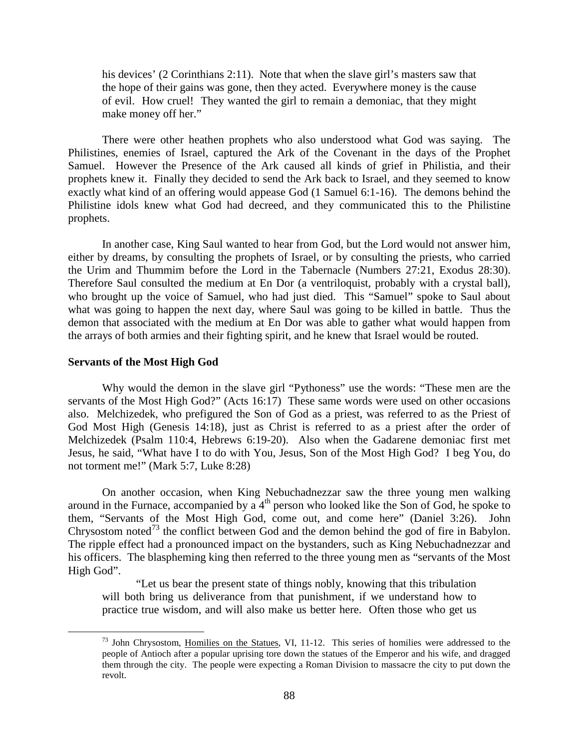his devices' (2 Corinthians 2:11). Note that when the slave girl's masters saw that the hope of their gains was gone, then they acted. Everywhere money is the cause of evil. How cruel! They wanted the girl to remain a demoniac, that they might make money off her."

There were other heathen prophets who also understood what God was saying. The Philistines, enemies of Israel, captured the Ark of the Covenant in the days of the Prophet Samuel. However the Presence of the Ark caused all kinds of grief in Philistia, and their prophets knew it. Finally they decided to send the Ark back to Israel, and they seemed to know exactly what kind of an offering would appease God (1 Samuel 6:1-16). The demons behind the Philistine idols knew what God had decreed, and they communicated this to the Philistine prophets.

In another case, King Saul wanted to hear from God, but the Lord would not answer him, either by dreams, by consulting the prophets of Israel, or by consulting the priests, who carried the Urim and Thummim before the Lord in the Tabernacle (Numbers 27:21, Exodus 28:30). Therefore Saul consulted the medium at En Dor (a ventriloquist, probably with a crystal ball), who brought up the voice of Samuel, who had just died. This "Samuel" spoke to Saul about what was going to happen the next day, where Saul was going to be killed in battle. Thus the demon that associated with the medium at En Dor was able to gather what would happen from the arrays of both armies and their fighting spirit, and he knew that Israel would be routed.

#### <span id="page-45-0"></span>**Servants of the Most High God**

Why would the demon in the slave girl "Pythoness" use the words: "These men are the servants of the Most High God?" (Acts 16:17) These same words were used on other occasions also. Melchizedek, who prefigured the Son of God as a priest, was referred to as the Priest of God Most High (Genesis 14:18), just as Christ is referred to as a priest after the order of Melchizedek (Psalm 110:4, Hebrews 6:19-20). Also when the Gadarene demoniac first met Jesus, he said, "What have I to do with You, Jesus, Son of the Most High God? I beg You, do not torment me!" (Mark 5:7, Luke 8:28)

On another occasion, when King Nebuchadnezzar saw the three young men walking around in the Furnace, accompanied by a  $4<sup>th</sup>$  person who looked like the Son of God, he spoke to them, "Servants of the Most High God, come out, and come here" (Daniel 3:26). John Chrysostom noted<sup>[73](#page-45-1)</sup> the conflict between God and the demon behind the god of fire in Babylon. The ripple effect had a pronounced impact on the bystanders, such as King Nebuchadnezzar and his officers. The blaspheming king then referred to the three young men as "servants of the Most High God".

"Let us bear the present state of things nobly, knowing that this tribulation will both bring us deliverance from that punishment, if we understand how to practice true wisdom, and will also make us better here. Often those who get us

<span id="page-45-1"></span><sup>&</sup>lt;sup>73</sup> John Chrysostom, Homilies on the Statues, VI, 11-12. This series of homilies were addressed to the people of Antioch after a popular uprising tore down the statues of the Emperor and his wife, and dragged them through the city. The people were expecting a Roman Division to massacre the city to put down the revolt.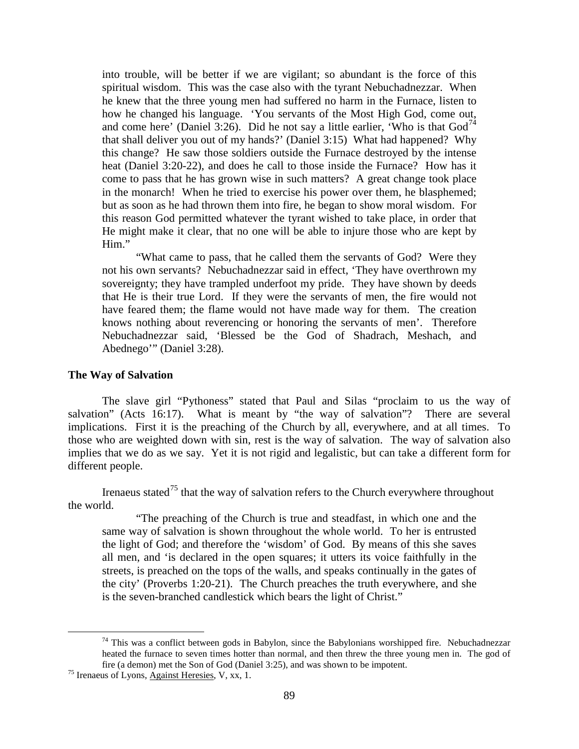into trouble, will be better if we are vigilant; so abundant is the force of this spiritual wisdom. This was the case also with the tyrant Nebuchadnezzar. When he knew that the three young men had suffered no harm in the Furnace, listen to how he changed his language. 'You servants of the Most High God, come out, and come here' (Daniel 3:26). Did he not say a little earlier, 'Who is that  $God<sup>74</sup>$  $God<sup>74</sup>$  $God<sup>74</sup>$ that shall deliver you out of my hands?' (Daniel 3:15) What had happened? Why this change? He saw those soldiers outside the Furnace destroyed by the intense heat (Daniel 3:20-22), and does he call to those inside the Furnace? How has it come to pass that he has grown wise in such matters? A great change took place in the monarch! When he tried to exercise his power over them, he blasphemed; but as soon as he had thrown them into fire, he began to show moral wisdom. For this reason God permitted whatever the tyrant wished to take place, in order that He might make it clear, that no one will be able to injure those who are kept by Him."

"What came to pass, that he called them the servants of God? Were they not his own servants? Nebuchadnezzar said in effect, 'They have overthrown my sovereignty; they have trampled underfoot my pride. They have shown by deeds that He is their true Lord. If they were the servants of men, the fire would not have feared them; the flame would not have made way for them. The creation knows nothing about reverencing or honoring the servants of men'. Therefore Nebuchadnezzar said, 'Blessed be the God of Shadrach, Meshach, and Abednego'" (Daniel 3:28).

# <span id="page-46-0"></span>**The Way of Salvation**

The slave girl "Pythoness" stated that Paul and Silas "proclaim to us the way of salvation" (Acts 16:17). What is meant by "the way of salvation"? There are several implications. First it is the preaching of the Church by all, everywhere, and at all times. To those who are weighted down with sin, rest is the way of salvation. The way of salvation also implies that we do as we say. Yet it is not rigid and legalistic, but can take a different form for different people.

Irenaeus stated<sup>[75](#page-46-2)</sup> that the way of salvation refers to the Church everywhere throughout the world.

"The preaching of the Church is true and steadfast, in which one and the same way of salvation is shown throughout the whole world. To her is entrusted the light of God; and therefore the 'wisdom' of God. By means of this she saves all men, and 'is declared in the open squares; it utters its voice faithfully in the streets, is preached on the tops of the walls, and speaks continually in the gates of the city' (Proverbs 1:20-21). The Church preaches the truth everywhere, and she is the seven-branched candlestick which bears the light of Christ."

<span id="page-46-1"></span> $74$  This was a conflict between gods in Babylon, since the Babylonians worshipped fire. Nebuchadnezzar heated the furnace to seven times hotter than normal, and then threw the three young men in. The god of fire (a demon) met the Son of God (Daniel 3:25), and was shown to be impotent. <sup>75</sup> Irenaeus of Lyons, Against Heresies, V, xx, 1.

<span id="page-46-2"></span>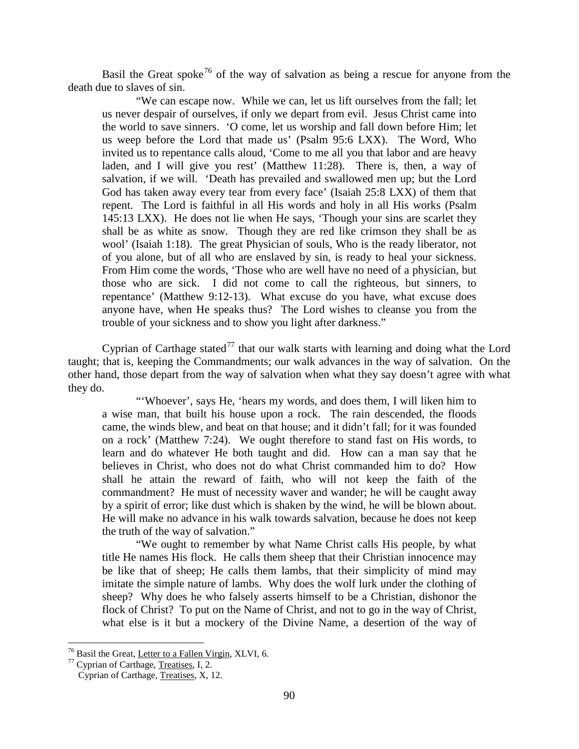Basil the Great spoke<sup>[76](#page-47-0)</sup> of the way of salvation as being a rescue for anyone from the death due to slaves of sin.

"We can escape now. While we can, let us lift ourselves from the fall; let us never despair of ourselves, if only we depart from evil. Jesus Christ came into the world to save sinners. 'O come, let us worship and fall down before Him; let us weep before the Lord that made us' (Psalm 95:6 LXX). The Word, Who invited us to repentance calls aloud, 'Come to me all you that labor and are heavy laden, and I will give you rest' (Matthew 11:28). There is, then, a way of salvation, if we will. 'Death has prevailed and swallowed men up; but the Lord God has taken away every tear from every face' (Isaiah 25:8 LXX) of them that repent. The Lord is faithful in all His words and holy in all His works (Psalm 145:13 LXX). He does not lie when He says, 'Though your sins are scarlet they shall be as white as snow. Though they are red like crimson they shall be as wool' (Isaiah 1:18). The great Physician of souls, Who is the ready liberator, not of you alone, but of all who are enslaved by sin, is ready to heal your sickness. From Him come the words, 'Those who are well have no need of a physician, but those who are sick. I did not come to call the righteous, but sinners, to repentance' (Matthew 9:12-13). What excuse do you have, what excuse does anyone have, when He speaks thus? The Lord wishes to cleanse you from the trouble of your sickness and to show you light after darkness."

Cyprian of Carthage stated<sup>[77](#page-47-1)</sup> that our walk starts with learning and doing what the Lord taught; that is, keeping the Commandments; our walk advances in the way of salvation. On the other hand, those depart from the way of salvation when what they say doesn't agree with what they do.

"'Whoever', says He, 'hears my words, and does them, I will liken him to a wise man, that built his house upon a rock. The rain descended, the floods came, the winds blew, and beat on that house; and it didn't fall; for it was founded on a rock' (Matthew 7:24). We ought therefore to stand fast on His words, to learn and do whatever He both taught and did. How can a man say that he believes in Christ, who does not do what Christ commanded him to do? How shall he attain the reward of faith, who will not keep the faith of the commandment? He must of necessity waver and wander; he will be caught away by a spirit of error; like dust which is shaken by the wind, he will be blown about. He will make no advance in his walk towards salvation, because he does not keep the truth of the way of salvation."

"We ought to remember by what Name Christ calls His people, by what title He names His flock. He calls them sheep that their Christian innocence may be like that of sheep; He calls them lambs, that their simplicity of mind may imitate the simple nature of lambs. Why does the wolf lurk under the clothing of sheep? Why does he who falsely asserts himself to be a Christian, dishonor the flock of Christ? To put on the Name of Christ, and not to go in the way of Christ, what else is it but a mockery of the Divine Name, a desertion of the way of

<span id="page-47-1"></span><span id="page-47-0"></span><sup>&</sup>lt;sup>76</sup> Basil the Great, <u>Letter to a Fallen Virgin</u>, XLVI, 6.<br><sup>77</sup> Cyprian of Carthage, <u>Treatises</u>, I, 2.

Cyprian of Carthage, Treatises, X, 12.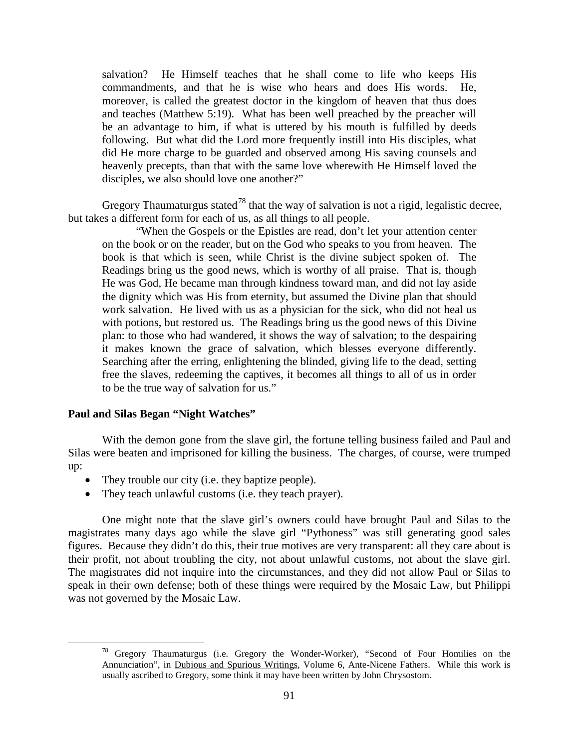salvation? He Himself teaches that he shall come to life who keeps His commandments, and that he is wise who hears and does His words. He, moreover, is called the greatest doctor in the kingdom of heaven that thus does and teaches (Matthew 5:19). What has been well preached by the preacher will be an advantage to him, if what is uttered by his mouth is fulfilled by deeds following. But what did the Lord more frequently instill into His disciples, what did He more charge to be guarded and observed among His saving counsels and heavenly precepts, than that with the same love wherewith He Himself loved the disciples, we also should love one another?"

Gregory Thaumaturgus stated<sup>[78](#page-48-1)</sup> that the way of salvation is not a rigid, legalistic decree, but takes a different form for each of us, as all things to all people.

"When the Gospels or the Epistles are read, don't let your attention center on the book or on the reader, but on the God who speaks to you from heaven. The book is that which is seen, while Christ is the divine subject spoken of. The Readings bring us the good news, which is worthy of all praise. That is, though He was God, He became man through kindness toward man, and did not lay aside the dignity which was His from eternity, but assumed the Divine plan that should work salvation. He lived with us as a physician for the sick, who did not heal us with potions, but restored us. The Readings bring us the good news of this Divine plan: to those who had wandered, it shows the way of salvation; to the despairing it makes known the grace of salvation, which blesses everyone differently. Searching after the erring, enlightening the blinded, giving life to the dead, setting free the slaves, redeeming the captives, it becomes all things to all of us in order to be the true way of salvation for us."

# <span id="page-48-0"></span>**Paul and Silas Began "Night Watches"**

With the demon gone from the slave girl, the fortune telling business failed and Paul and Silas were beaten and imprisoned for killing the business. The charges, of course, were trumped up:

- They trouble our city (i.e. they baptize people).
- They teach unlawful customs (i.e. they teach prayer).

One might note that the slave girl's owners could have brought Paul and Silas to the magistrates many days ago while the slave girl "Pythoness" was still generating good sales figures. Because they didn't do this, their true motives are very transparent: all they care about is their profit, not about troubling the city, not about unlawful customs, not about the slave girl. The magistrates did not inquire into the circumstances, and they did not allow Paul or Silas to speak in their own defense; both of these things were required by the Mosaic Law, but Philippi was not governed by the Mosaic Law.

<span id="page-48-1"></span><sup>&</sup>lt;sup>78</sup> Gregory Thaumaturgus (i.e. Gregory the Wonder-Worker), "Second of Four Homilies on the Annunciation", in Dubious and Spurious Writings, Volume 6, Ante-Nicene Fathers. While this work is usually ascribed to Gregory, some think it may have been written by John Chrysostom.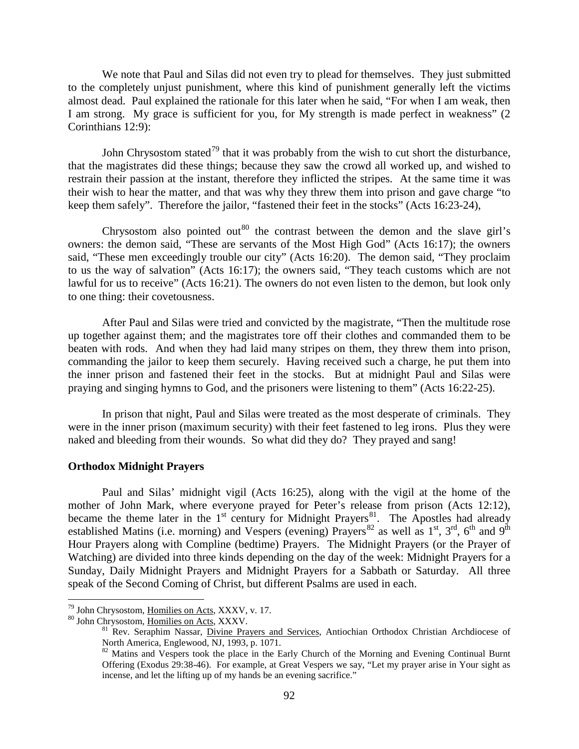We note that Paul and Silas did not even try to plead for themselves. They just submitted to the completely unjust punishment, where this kind of punishment generally left the victims almost dead. Paul explained the rationale for this later when he said, "For when I am weak, then I am strong. My grace is sufficient for you, for My strength is made perfect in weakness" (2 Corinthians 12:9):

John Chrysostom stated<sup>[79](#page-49-1)</sup> that it was probably from the wish to cut short the disturbance, that the magistrates did these things; because they saw the crowd all worked up, and wished to restrain their passion at the instant, therefore they inflicted the stripes. At the same time it was their wish to hear the matter, and that was why they threw them into prison and gave charge "to keep them safely". Therefore the jailor, "fastened their feet in the stocks" (Acts 16:23-24),

Chrysostom also pointed out<sup>[80](#page-49-2)</sup> the contrast between the demon and the slave girl's owners: the demon said, "These are servants of the Most High God" (Acts 16:17); the owners said, "These men exceedingly trouble our city" (Acts 16:20). The demon said, "They proclaim to us the way of salvation" (Acts 16:17); the owners said, "They teach customs which are not lawful for us to receive" (Acts 16:21). The owners do not even listen to the demon, but look only to one thing: their covetousness.

After Paul and Silas were tried and convicted by the magistrate, "Then the multitude rose up together against them; and the magistrates tore off their clothes and commanded them to be beaten with rods. And when they had laid many stripes on them, they threw them into prison, commanding the jailor to keep them securely. Having received such a charge, he put them into the inner prison and fastened their feet in the stocks. But at midnight Paul and Silas were praying and singing hymns to God, and the prisoners were listening to them" (Acts 16:22-25).

In prison that night, Paul and Silas were treated as the most desperate of criminals. They were in the inner prison (maximum security) with their feet fastened to leg irons. Plus they were naked and bleeding from their wounds. So what did they do? They prayed and sang!

#### <span id="page-49-0"></span>**Orthodox Midnight Prayers**

Paul and Silas' midnight vigil (Acts 16:25), along with the vigil at the home of the mother of John Mark, where everyone prayed for Peter's release from prison (Acts 12:12), became the theme later in the  $1<sup>st</sup>$  century for Midnight Prayers<sup>81</sup>. The Apostles had already established Matins (i.e. morning) and Vespers (evening) Prayers<sup>[82](#page-49-4)</sup> as well as  $1<sup>st</sup>$ ,  $3<sup>rd</sup>$ ,  $6<sup>th</sup>$  and  $9<sup>th</sup>$ Hour Prayers along with Compline (bedtime) Prayers. The Midnight Prayers (or the Prayer of Watching) are divided into three kinds depending on the day of the week: Midnight Prayers for a Sunday, Daily Midnight Prayers and Midnight Prayers for a Sabbath or Saturday. All three speak of the Second Coming of Christ, but different Psalms are used in each.

<span id="page-49-3"></span><span id="page-49-2"></span>

<span id="page-49-4"></span>

<span id="page-49-1"></span><sup>&</sup>lt;sup>79</sup> John Chrysostom, <u>Homilies on Acts</u>, XXXV, v. 17.<br><sup>80</sup> John Chrysostom, <u>Homilies on Acts</u>, XXXV.<br><sup>81</sup> Rev. Seraphim Nassar, <u>Divine Prayers and Services</u>, Antiochian Orthodox Christian Archdiocese of<br>North America,

 $82$  Matins and Vespers took the place in the Early Church of the Morning and Evening Continual Burnt Offering (Exodus 29:38-46). For example, at Great Vespers we say, "Let my prayer arise in Your sight as incense, and let the lifting up of my hands be an evening sacrifice."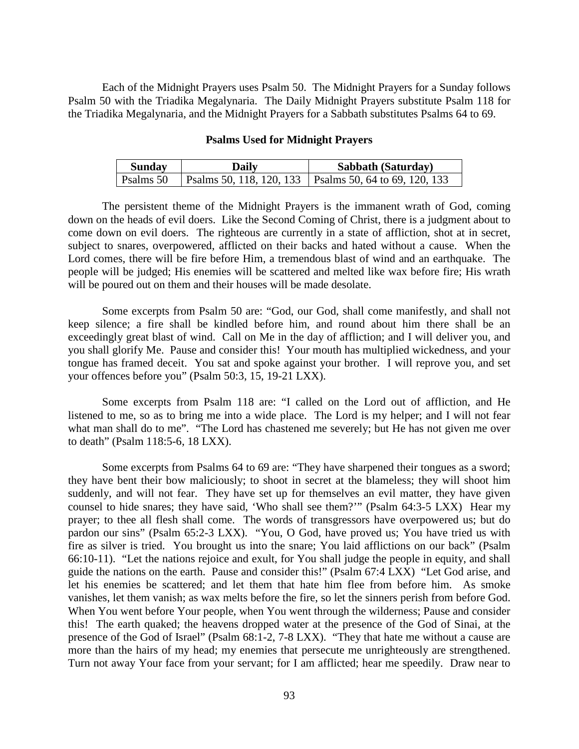Each of the Midnight Prayers uses Psalm 50. The Midnight Prayers for a Sunday follows Psalm 50 with the Triadika Megalynaria. The Daily Midnight Prayers substitute Psalm 118 for the Triadika Megalynaria, and the Midnight Prayers for a Sabbath substitutes Psalms 64 to 69.

#### **Psalms Used for Midnight Prayers**

| <b>Sunday</b> | Daily | Sabbath (Saturday)                                       |
|---------------|-------|----------------------------------------------------------|
| Psalms 50     |       | Psalms 50, 118, 120, 133   Psalms 50, 64 to 69, 120, 133 |

The persistent theme of the Midnight Prayers is the immanent wrath of God, coming down on the heads of evil doers. Like the Second Coming of Christ, there is a judgment about to come down on evil doers. The righteous are currently in a state of affliction, shot at in secret, subject to snares, overpowered, afflicted on their backs and hated without a cause. When the Lord comes, there will be fire before Him, a tremendous blast of wind and an earthquake. The people will be judged; His enemies will be scattered and melted like wax before fire; His wrath will be poured out on them and their houses will be made desolate.

Some excerpts from Psalm 50 are: "God, our God, shall come manifestly, and shall not keep silence; a fire shall be kindled before him, and round about him there shall be an exceedingly great blast of wind. Call on Me in the day of affliction; and I will deliver you, and you shall glorify Me. Pause and consider this! Your mouth has multiplied wickedness, and your tongue has framed deceit. You sat and spoke against your brother. I will reprove you, and set your offences before you" (Psalm 50:3, 15, 19-21 LXX).

Some excerpts from Psalm 118 are: "I called on the Lord out of affliction, and He listened to me, so as to bring me into a wide place. The Lord is my helper; and I will not fear what man shall do to me". "The Lord has chastened me severely; but He has not given me over to death" (Psalm 118:5-6, 18 LXX).

Some excerpts from Psalms 64 to 69 are: "They have sharpened their tongues as a sword; they have bent their bow maliciously; to shoot in secret at the blameless; they will shoot him suddenly, and will not fear. They have set up for themselves an evil matter, they have given counsel to hide snares; they have said, 'Who shall see them?'" (Psalm 64:3-5 LXX) Hear my prayer; to thee all flesh shall come. The words of transgressors have overpowered us; but do pardon our sins" (Psalm 65:2-3 LXX). "You, O God, have proved us; You have tried us with fire as silver is tried. You brought us into the snare; You laid afflictions on our back" (Psalm 66:10-11). "Let the nations rejoice and exult, for You shall judge the people in equity, and shall guide the nations on the earth. Pause and consider this!" (Psalm 67:4 LXX) "Let God arise, and let his enemies be scattered; and let them that hate him flee from before him. As smoke vanishes, let them vanish; as wax melts before the fire, so let the sinners perish from before God. When You went before Your people, when You went through the wilderness; Pause and consider this! The earth quaked; the heavens dropped water at the presence of the God of Sinai, at the presence of the God of Israel" (Psalm 68:1-2, 7-8 LXX). "They that hate me without a cause are more than the hairs of my head; my enemies that persecute me unrighteously are strengthened. Turn not away Your face from your servant; for I am afflicted; hear me speedily. Draw near to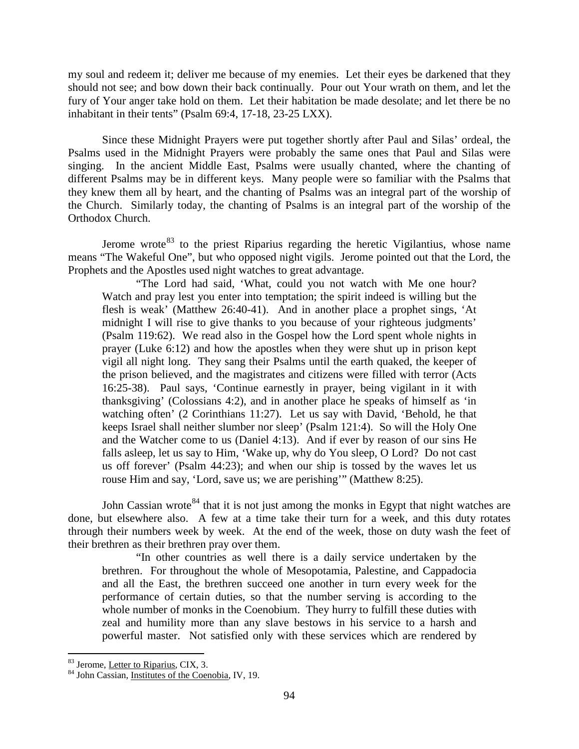my soul and redeem it; deliver me because of my enemies. Let their eyes be darkened that they should not see; and bow down their back continually. Pour out Your wrath on them, and let the fury of Your anger take hold on them. Let their habitation be made desolate; and let there be no inhabitant in their tents" (Psalm 69:4, 17-18, 23-25 LXX).

Since these Midnight Prayers were put together shortly after Paul and Silas' ordeal, the Psalms used in the Midnight Prayers were probably the same ones that Paul and Silas were singing. In the ancient Middle East, Psalms were usually chanted, where the chanting of different Psalms may be in different keys. Many people were so familiar with the Psalms that they knew them all by heart, and the chanting of Psalms was an integral part of the worship of the Church. Similarly today, the chanting of Psalms is an integral part of the worship of the Orthodox Church.

Jerome wrote  $83$  to the priest Riparius regarding the heretic Vigilantius, whose name means "The Wakeful One", but who opposed night vigils. Jerome pointed out that the Lord, the Prophets and the Apostles used night watches to great advantage.

"The Lord had said, 'What, could you not watch with Me one hour? Watch and pray lest you enter into temptation; the spirit indeed is willing but the flesh is weak' (Matthew 26:40-41). And in another place a prophet sings, 'At midnight I will rise to give thanks to you because of your righteous judgments' (Psalm 119:62). We read also in the Gospel how the Lord spent whole nights in prayer (Luke 6:12) and how the apostles when they were shut up in prison kept vigil all night long. They sang their Psalms until the earth quaked, the keeper of the prison believed, and the magistrates and citizens were filled with terror (Acts 16:25-38). Paul says, 'Continue earnestly in prayer, being vigilant in it with thanksgiving' (Colossians 4:2), and in another place he speaks of himself as 'in watching often' (2 Corinthians 11:27). Let us say with David, 'Behold, he that keeps Israel shall neither slumber nor sleep' (Psalm 121:4). So will the Holy One and the Watcher come to us (Daniel 4:13). And if ever by reason of our sins He falls asleep, let us say to Him, 'Wake up, why do You sleep, O Lord? Do not cast us off forever' (Psalm 44:23); and when our ship is tossed by the waves let us rouse Him and say, 'Lord, save us; we are perishing'" (Matthew 8:25).

John Cassian wrote<sup>[84](#page-51-1)</sup> that it is not just among the monks in Egypt that night watches are done, but elsewhere also. A few at a time take their turn for a week, and this duty rotates through their numbers week by week. At the end of the week, those on duty wash the feet of their brethren as their brethren pray over them.

"In other countries as well there is a daily service undertaken by the brethren. For throughout the whole of Mesopotamia, Palestine, and Cappadocia and all the East, the brethren succeed one another in turn every week for the performance of certain duties, so that the number serving is according to the whole number of monks in the Coenobium. They hurry to fulfill these duties with zeal and humility more than any slave bestows in his service to a harsh and powerful master. Not satisfied only with these services which are rendered by

<span id="page-51-1"></span><span id="page-51-0"></span> $83$  Jerome, Letter to Riparius, CIX, 3.<br> $84$  John Cassian, Institutes of the Coenobia, IV, 19.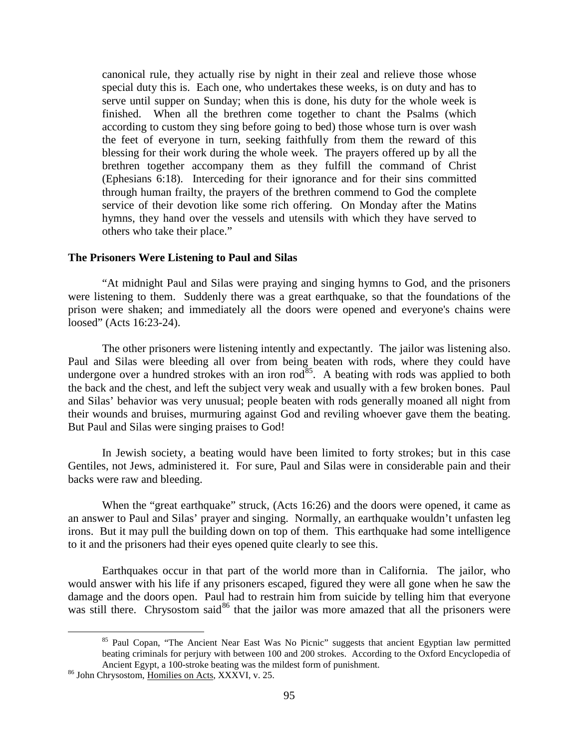canonical rule, they actually rise by night in their zeal and relieve those whose special duty this is. Each one, who undertakes these weeks, is on duty and has to serve until supper on Sunday; when this is done, his duty for the whole week is finished. When all the brethren come together to chant the Psalms (which according to custom they sing before going to bed) those whose turn is over wash the feet of everyone in turn, seeking faithfully from them the reward of this blessing for their work during the whole week. The prayers offered up by all the brethren together accompany them as they fulfill the command of Christ (Ephesians 6:18). Interceding for their ignorance and for their sins committed through human frailty, the prayers of the brethren commend to God the complete service of their devotion like some rich offering. On Monday after the Matins hymns, they hand over the vessels and utensils with which they have served to others who take their place."

# <span id="page-52-0"></span>**The Prisoners Were Listening to Paul and Silas**

"At midnight Paul and Silas were praying and singing hymns to God, and the prisoners were listening to them. Suddenly there was a great earthquake, so that the foundations of the prison were shaken; and immediately all the doors were opened and everyone's chains were loosed" (Acts 16:23-24).

The other prisoners were listening intently and expectantly. The jailor was listening also. Paul and Silas were bleeding all over from being beaten with rods, where they could have undergone over a hundred strokes with an iron  $rod^{85}$ . A beating with rods was applied to both the back and the chest, and left the subject very weak and usually with a few broken bones. Paul and Silas' behavior was very unusual; people beaten with rods generally moaned all night from their wounds and bruises, murmuring against God and reviling whoever gave them the beating. But Paul and Silas were singing praises to God!

In Jewish society, a beating would have been limited to forty strokes; but in this case Gentiles, not Jews, administered it. For sure, Paul and Silas were in considerable pain and their backs were raw and bleeding.

When the "great earthquake" struck, (Acts 16:26) and the doors were opened, it came as an answer to Paul and Silas' prayer and singing. Normally, an earthquake wouldn't unfasten leg irons. But it may pull the building down on top of them. This earthquake had some intelligence to it and the prisoners had their eyes opened quite clearly to see this.

Earthquakes occur in that part of the world more than in California. The jailor, who would answer with his life if any prisoners escaped, figured they were all gone when he saw the damage and the doors open. Paul had to restrain him from suicide by telling him that everyone was still there. Chrysostom said<sup>[86](#page-52-2)</sup> that the jailor was more amazed that all the prisoners were

<span id="page-52-1"></span><sup>&</sup>lt;sup>85</sup> Paul Copan, "The Ancient Near East Was No Picnic" suggests that ancient Egyptian law permitted beating criminals for perjury with between 100 and 200 strokes. According to the Oxford Encyclopedia of Ancient Egypt, a 100-stroke beating was the mildest form of punishment. <sup>86</sup> John Chrysostom, <u>Homilies on Acts</u>, XXXVI, v. 25.

<span id="page-52-2"></span>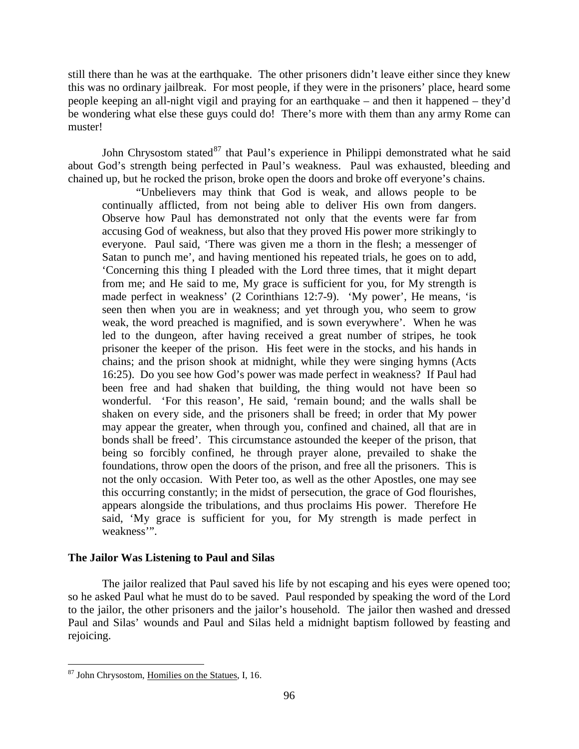still there than he was at the earthquake. The other prisoners didn't leave either since they knew this was no ordinary jailbreak. For most people, if they were in the prisoners' place, heard some people keeping an all-night vigil and praying for an earthquake – and then it happened – they'd be wondering what else these guys could do! There's more with them than any army Rome can muster!

John Chrysostom stated $^{87}$  $^{87}$  $^{87}$  that Paul's experience in Philippi demonstrated what he said about God's strength being perfected in Paul's weakness. Paul was exhausted, bleeding and chained up, but he rocked the prison, broke open the doors and broke off everyone's chains.

"Unbelievers may think that God is weak, and allows people to be continually afflicted, from not being able to deliver His own from dangers. Observe how Paul has demonstrated not only that the events were far from accusing God of weakness, but also that they proved His power more strikingly to everyone. Paul said, 'There was given me a thorn in the flesh; a messenger of Satan to punch me', and having mentioned his repeated trials, he goes on to add, 'Concerning this thing I pleaded with the Lord three times, that it might depart from me; and He said to me, My grace is sufficient for you, for My strength is made perfect in weakness' (2 Corinthians 12:7-9). 'My power', He means, 'is seen then when you are in weakness; and yet through you, who seem to grow weak, the word preached is magnified, and is sown everywhere'. When he was led to the dungeon, after having received a great number of stripes, he took prisoner the keeper of the prison. His feet were in the stocks, and his hands in chains; and the prison shook at midnight, while they were singing hymns (Acts 16:25). Do you see how God's power was made perfect in weakness? If Paul had been free and had shaken that building, the thing would not have been so wonderful. 'For this reason', He said, 'remain bound; and the walls shall be shaken on every side, and the prisoners shall be freed; in order that My power may appear the greater, when through you, confined and chained, all that are in bonds shall be freed'. This circumstance astounded the keeper of the prison, that being so forcibly confined, he through prayer alone, prevailed to shake the foundations, throw open the doors of the prison, and free all the prisoners. This is not the only occasion. With Peter too, as well as the other Apostles, one may see this occurring constantly; in the midst of persecution, the grace of God flourishes, appears alongside the tribulations, and thus proclaims His power. Therefore He said, 'My grace is sufficient for you, for My strength is made perfect in weakness'".

# <span id="page-53-0"></span>**The Jailor Was Listening to Paul and Silas**

The jailor realized that Paul saved his life by not escaping and his eyes were opened too; so he asked Paul what he must do to be saved. Paul responded by speaking the word of the Lord to the jailor, the other prisoners and the jailor's household. The jailor then washed and dressed Paul and Silas' wounds and Paul and Silas held a midnight baptism followed by feasting and rejoicing.

<span id="page-53-1"></span> <sup>87</sup> John Chrysostom, Homilies on the Statues, I, 16.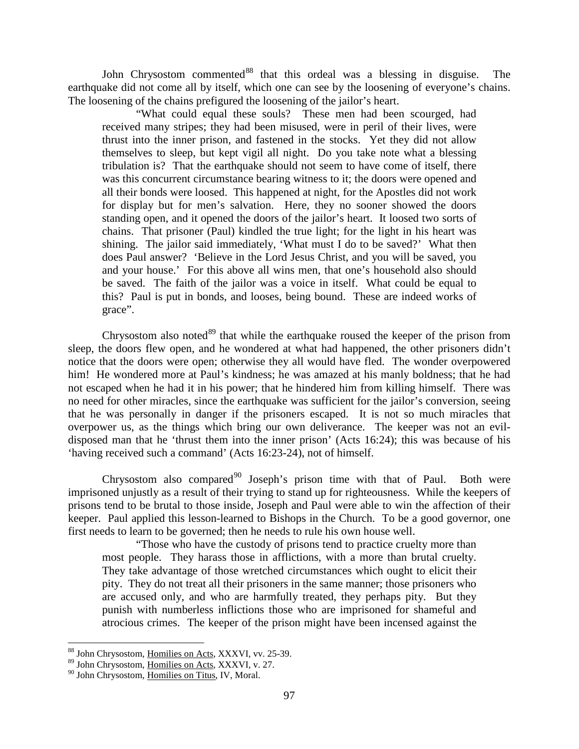John Chrysostom commented<sup>[88](#page-54-0)</sup> that this ordeal was a blessing in disguise. The earthquake did not come all by itself, which one can see by the loosening of everyone's chains. The loosening of the chains prefigured the loosening of the jailor's heart.

"What could equal these souls? These men had been scourged, had received many stripes; they had been misused, were in peril of their lives, were thrust into the inner prison, and fastened in the stocks. Yet they did not allow themselves to sleep, but kept vigil all night. Do you take note what a blessing tribulation is? That the earthquake should not seem to have come of itself, there was this concurrent circumstance bearing witness to it; the doors were opened and all their bonds were loosed. This happened at night, for the Apostles did not work for display but for men's salvation. Here, they no sooner showed the doors standing open, and it opened the doors of the jailor's heart. It loosed two sorts of chains. That prisoner (Paul) kindled the true light; for the light in his heart was shining. The jailor said immediately, 'What must I do to be saved?' What then does Paul answer? 'Believe in the Lord Jesus Christ, and you will be saved, you and your house.' For this above all wins men, that one's household also should be saved. The faith of the jailor was a voice in itself. What could be equal to this? Paul is put in bonds, and looses, being bound. These are indeed works of grace".

Chrysostom also noted $89$  that while the earthquake roused the keeper of the prison from sleep, the doors flew open, and he wondered at what had happened, the other prisoners didn't notice that the doors were open; otherwise they all would have fled. The wonder overpowered him! He wondered more at Paul's kindness; he was amazed at his manly boldness; that he had not escaped when he had it in his power; that he hindered him from killing himself. There was no need for other miracles, since the earthquake was sufficient for the jailor's conversion, seeing that he was personally in danger if the prisoners escaped. It is not so much miracles that overpower us, as the things which bring our own deliverance. The keeper was not an evildisposed man that he 'thrust them into the inner prison' (Acts 16:24); this was because of his 'having received such a command' (Acts 16:23-24), not of himself.

Chrysostom also compared<sup>[90](#page-54-2)</sup> Joseph's prison time with that of Paul. Both were imprisoned unjustly as a result of their trying to stand up for righteousness. While the keepers of prisons tend to be brutal to those inside, Joseph and Paul were able to win the affection of their keeper. Paul applied this lesson-learned to Bishops in the Church. To be a good governor, one first needs to learn to be governed; then he needs to rule his own house well.

"Those who have the custody of prisons tend to practice cruelty more than most people. They harass those in afflictions, with a more than brutal cruelty. They take advantage of those wretched circumstances which ought to elicit their pity. They do not treat all their prisoners in the same manner; those prisoners who are accused only, and who are harmfully treated, they perhaps pity. But they punish with numberless inflictions those who are imprisoned for shameful and atrocious crimes. The keeper of the prison might have been incensed against the

<sup>&</sup>lt;sub>88</sub><br>Bohn Chrysostom, <u>Homilies on Acts</u>, XXXVI, vv. 25-39.

<span id="page-54-0"></span><sup>&</sup>lt;sup>89</sup> John Chrysostom, Homilies on Acts, XXXVI, v. 27.

<span id="page-54-2"></span><span id="page-54-1"></span><sup>&</sup>lt;sup>90</sup> John Chrysostom, Homilies on Titus, IV, Moral.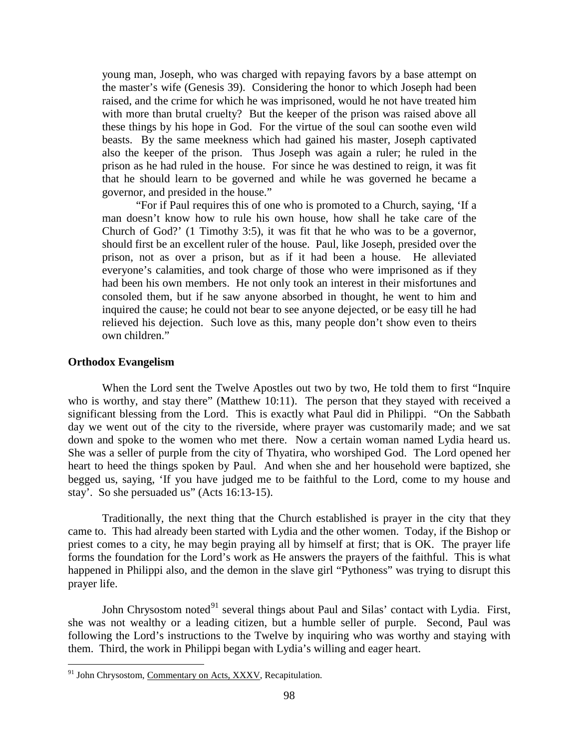young man, Joseph, who was charged with repaying favors by a base attempt on the master's wife (Genesis 39). Considering the honor to which Joseph had been raised, and the crime for which he was imprisoned, would he not have treated him with more than brutal cruelty? But the keeper of the prison was raised above all these things by his hope in God. For the virtue of the soul can soothe even wild beasts. By the same meekness which had gained his master, Joseph captivated also the keeper of the prison. Thus Joseph was again a ruler; he ruled in the prison as he had ruled in the house. For since he was destined to reign, it was fit that he should learn to be governed and while he was governed he became a governor, and presided in the house."

"For if Paul requires this of one who is promoted to a Church, saying, 'If a man doesn't know how to rule his own house, how shall he take care of the Church of God?' (1 Timothy 3:5), it was fit that he who was to be a governor, should first be an excellent ruler of the house. Paul, like Joseph, presided over the prison, not as over a prison, but as if it had been a house. He alleviated everyone's calamities, and took charge of those who were imprisoned as if they had been his own members. He not only took an interest in their misfortunes and consoled them, but if he saw anyone absorbed in thought, he went to him and inquired the cause; he could not bear to see anyone dejected, or be easy till he had relieved his dejection. Such love as this, many people don't show even to theirs own children."

#### <span id="page-55-0"></span>**Orthodox Evangelism**

When the Lord sent the Twelve Apostles out two by two, He told them to first "Inquire who is worthy, and stay there" (Matthew 10:11). The person that they stayed with received a significant blessing from the Lord. This is exactly what Paul did in Philippi. "On the Sabbath day we went out of the city to the riverside, where prayer was customarily made; and we sat down and spoke to the women who met there. Now a certain woman named Lydia heard us. She was a seller of purple from the city of Thyatira, who worshiped God. The Lord opened her heart to heed the things spoken by Paul. And when she and her household were baptized, she begged us, saying, 'If you have judged me to be faithful to the Lord, come to my house and stay'. So she persuaded us" (Acts 16:13-15).

Traditionally, the next thing that the Church established is prayer in the city that they came to. This had already been started with Lydia and the other women. Today, if the Bishop or priest comes to a city, he may begin praying all by himself at first; that is OK. The prayer life forms the foundation for the Lord's work as He answers the prayers of the faithful. This is what happened in Philippi also, and the demon in the slave girl "Pythoness" was trying to disrupt this prayer life.

John Chrysostom noted<sup>[91](#page-55-1)</sup> several things about Paul and Silas' contact with Lydia. First, she was not wealthy or a leading citizen, but a humble seller of purple. Second, Paul was following the Lord's instructions to the Twelve by inquiring who was worthy and staying with them. Third, the work in Philippi began with Lydia's willing and eager heart.

<span id="page-55-1"></span><sup>&</sup>lt;sup>91</sup> John Chrysostom, Commentary on Acts, XXXV, Recapitulation.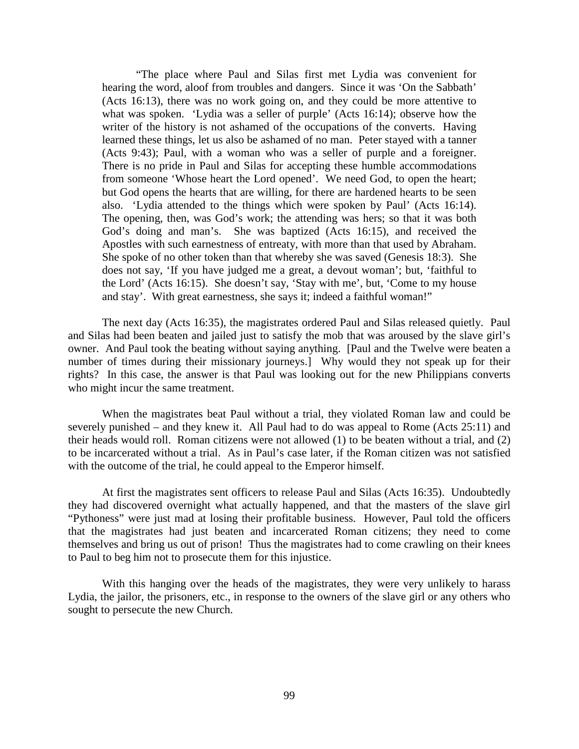"The place where Paul and Silas first met Lydia was convenient for hearing the word, aloof from troubles and dangers. Since it was 'On the Sabbath' (Acts 16:13), there was no work going on, and they could be more attentive to what was spoken. 'Lydia was a seller of purple' (Acts 16:14); observe how the writer of the history is not ashamed of the occupations of the converts. Having learned these things, let us also be ashamed of no man. Peter stayed with a tanner (Acts 9:43); Paul, with a woman who was a seller of purple and a foreigner. There is no pride in Paul and Silas for accepting these humble accommodations from someone 'Whose heart the Lord opened'. We need God, to open the heart; but God opens the hearts that are willing, for there are hardened hearts to be seen also. 'Lydia attended to the things which were spoken by Paul' (Acts 16:14). The opening, then, was God's work; the attending was hers; so that it was both God's doing and man's. She was baptized (Acts 16:15), and received the Apostles with such earnestness of entreaty, with more than that used by Abraham. She spoke of no other token than that whereby she was saved (Genesis 18:3). She does not say, 'If you have judged me a great, a devout woman'; but, 'faithful to the Lord' (Acts 16:15). She doesn't say, 'Stay with me', but, 'Come to my house and stay'. With great earnestness, she says it; indeed a faithful woman!"

The next day (Acts 16:35), the magistrates ordered Paul and Silas released quietly. Paul and Silas had been beaten and jailed just to satisfy the mob that was aroused by the slave girl's owner. And Paul took the beating without saying anything. [Paul and the Twelve were beaten a number of times during their missionary journeys.] Why would they not speak up for their rights? In this case, the answer is that Paul was looking out for the new Philippians converts who might incur the same treatment.

When the magistrates beat Paul without a trial, they violated Roman law and could be severely punished – and they knew it. All Paul had to do was appeal to Rome (Acts 25:11) and their heads would roll. Roman citizens were not allowed (1) to be beaten without a trial, and (2) to be incarcerated without a trial. As in Paul's case later, if the Roman citizen was not satisfied with the outcome of the trial, he could appeal to the Emperor himself.

At first the magistrates sent officers to release Paul and Silas (Acts 16:35). Undoubtedly they had discovered overnight what actually happened, and that the masters of the slave girl "Pythoness" were just mad at losing their profitable business. However, Paul told the officers that the magistrates had just beaten and incarcerated Roman citizens; they need to come themselves and bring us out of prison! Thus the magistrates had to come crawling on their knees to Paul to beg him not to prosecute them for this injustice.

With this hanging over the heads of the magistrates, they were very unlikely to harass Lydia, the jailor, the prisoners, etc., in response to the owners of the slave girl or any others who sought to persecute the new Church.